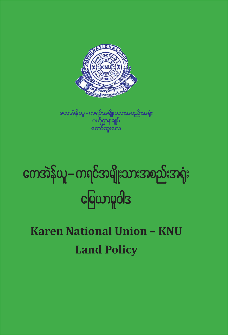## **Karen National Union – KNU Land Policy**

# ကေအဲန်ယူ–ကရင်အမျိုးသားအစည်းအရုံး<br>မြေယာမူဝါဒ J de de la construcción de la construcción de la construcción de la construcción de la construcción de la construcción de la construcción de la construcción de la construcción de la construcción de la construcción de la cons

ကေအဲန်ယူ – ကရင်အမျိုးသားအစည်းအရ<mark>ုံး</mark> '<br>ဗဟိုဌာနရ<mark>ှု</mark>ပ်<br>ကော်သူးလေ

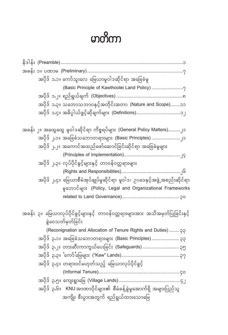## မာတိကာ

| အပိုဒ် ၁.၁။ ကော်သူးလေ မြေယာမူဝါဒဆိုင်ရာ အခြေခံမူ                                                     |  |
|------------------------------------------------------------------------------------------------------|--|
| (Basic Principle of Kawthoolei Land Policy) ?                                                        |  |
|                                                                                                      |  |
| အပိုဒ်  ၁.၃။ သဘောသဘာဝနှင့်အတိုင်းအတာ  (Nature and Scope) ၁၁                                          |  |
|                                                                                                      |  |
| အခန်း ၂။ အထွေထွေ မူဝါဒဆိုင်ရာ ကိစ္စရပ်များ (General Policy Matters)၂၁                                |  |
| အပိုဒ် ၂.၁။ အခြေခံသဘောတရားများ (Basic Principles) ၂၁                                                 |  |
| အပိုဒ် ၂.၂။ အကောင်အထည်ဖော်ဆောင်ခြင်းဆိုင်ရာ အခြေခံမှုများ                                            |  |
|                                                                                                      |  |
| အပိုဒ် ၂.၃။ လုပ်ပိုင်ခွင့်များနှင့် တာဝန်ဝတ္တရားများ                                                 |  |
|                                                                                                      |  |
| အပိုဒ် ၂.၄။ မြေယာစီမံအုပ်ချုပ်မှုဆိုင်ရာ မူဝါဒ၊ ဥပဒေနှင့်အဖွဲ့ အစည်းဆိုင်ရာ                          |  |
| မှုဘောင်များ (Policy, Legal and Organizational Frameworks                                            |  |
|                                                                                                      |  |
|                                                                                                      |  |
| အခန်း ၃။ မြေယာလုပ်ပိုင်ခွင့်များနှင့် တာဝန်ဝတ္တရားများအား အသိအမှတ်ပြုခြင်းနှင့်<br>ခွဲဝေသတ်မှတ်ခြင်း |  |
| (Reconignation and Allocation of Tenure Rights and Duties)  ??                                       |  |
| အပိုဒ်  ၃.၁။  အခြေခံသဘောတရားများ  (Basic Principles)  ၃၃                                             |  |
| အပိုဒ်  ၃.၂။  တားဆီးကာကွယ်ပေးခြင်း  (Safeguards)  ၃၅                                                 |  |
|                                                                                                      |  |
| အပိုဒ် ၃.၄။ တရားဝင်မဟုတ်သည့် မြေယာလုပ်ပိုင်ခွင့်                                                     |  |
|                                                                                                      |  |
|                                                                                                      |  |
| အပိုဒ် ၃.၆။   KNU အာဏာပိုင်များ၏ စီမံခန့်ခွဲမှုအောက်ရှိ အများပြည်သူ                                  |  |
| အကျိုး စီးပွားအတွက် ရည်ရွယ်ထားသောမြေ                                                                 |  |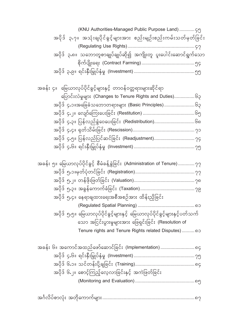| (KNU Authorities-Managed Public Purpose Land)  ၄၅                                       |
|-----------------------------------------------------------------------------------------|
| အပိုဒ် ၃.၇။ အသုံးရျပိုင်ခွင့်များအား စည်းမျဉ်းစည်းကမ်းသတ်မှတ်ခြင်း                      |
|                                                                                         |
| အပိုဒ် ၃.၈။ သဘောတူစာချုပ်ချုပ်ဆို၍ အကျိုးတူ ပူးပေါင်းဆောင်ရွက်သော                       |
|                                                                                         |
|                                                                                         |
| အခန်း ၄။  မြေယာလုပ်ပိုင်ခွင့်များနှင့် တာဝန်ဝတ္တရားများဆိုင်ရာ                          |
| ပြောင်းလဲမှုများ (Changes to Tenure Rights and Duties)၆၃                                |
|                                                                                         |
|                                                                                         |
|                                                                                         |
|                                                                                         |
| အပိုဒ် ၄.၅။ ပြန်လည်ပြင်ဆင်ခြင်း (Readjustment) ၇၄                                       |
|                                                                                         |
|                                                                                         |
| အခန်း ၅။ မြေယာလုပ်ပိုင်ခွင့် စီမံခန့်ခွဲခြင်း (Administration of Tenure) $\gamma\gamma$ |
|                                                                                         |
|                                                                                         |
|                                                                                         |
| အပိုဒ် ၅.၄။ နေရာချထားရေးအစီအစဉ်အား ထိန်းညှိခြင်း                                        |
|                                                                                         |
| အပိုဒ် ၅.၅။ မြေယာလုပ်ပိုင်ခွင့်များနှင့် မြေယာလုပ်ပိုင်ခွင့်များနှင့်ပတ်သက်             |
| သော အငြင်းပွားမှုများအား ဖြေရှင်းခြင်း (Resolution of                                   |
| Tenure rights and Tenure Rights related Disputes) ดว                                    |
|                                                                                         |
| အခန်း ၆။ အကောင်အထည်ဖော်ဆောင်ခြင်း (Implementation) ၈၄                                   |
|                                                                                         |
|                                                                                         |
| အပိုဒ် ၆.၂။ စောင့်ကြည့်လေ့လာခြင်းနှင့် အကဲဖြတ်ခြင်း                                     |
|                                                                                         |
|                                                                                         |
|                                                                                         |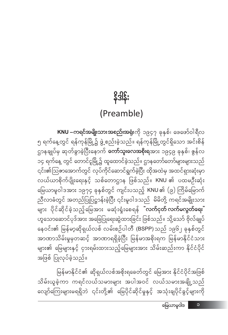မြန်မာနိုင်ငံ၏ ဆိုရှယ်လစ်အစိုးရခေတ်တွင် မြေအား နိုင်ငံပိုင်အဖြစ် သိမ်းယူခဲ့ကာ ကရင်လယ်သမားများ အပါအဝင် လယ်သမားအချို့သည် လျော်ကြေးများမရရှိဘဲ ၎င်းတို့၏ မြေပိုင်ဆိုင်မှုနှင့် အသုံးချပိုင်ခွင့်များကို

**KNU –ကရင်အမျိုးသားအစည်းအရုံး**ကို ၁၉၄၇ ခုနှစ်၊ ဖေဖော်ဝါရီလ ၅ ရက်နေ့တွင် ရန်ကုန်မြို့၌ ဖွဲ့ စည်းခဲ့သည်။ ရန်ကုန်မြို့တွင်ရှိသော အင်းစိန် ဌာနချုပ်မှ ဆုတ်ခွာခဲ့ပြီးနောက် **ကော်သူးလေအစိုးရ**အား ၁၉၄၉ ခုနှစ်၊ ဇွန်လ ၁၄ ရက်နေ့ တွင် တောင်ငူမြို့၌ ထူထောင်ခဲ့သည်။ ဌာနတော်တော်မျာ<mark>း</mark>များသည် ၎င်း၏ဩဇာအောက်တွင် လုပ်ကိုင်ဆောင်ရွက်ခဲ့ပြီး ထိုအထဲမှ အထင်ရှားဆုံးမှာ လယ်ယာစိုက်ပျိုးရေးနှင့် သစ်တောဌာန ဖြစ်သည်။ KNU ၏ ပထမဦးဆုံး မြေယာမူဝါဒအား ၁၉၇၄ ခုနှစ်တွင် ကျင်းပသည့် KNU ၏ (၉) ကြိမ်မြောက် ညီလာခံတွင် အတည်ပြုပြဋ္ဌာန်းခဲ့ပြီး ၎င်းမူဝါဒသည် မိမိတို့ ကရင်အမျိုးသား များ ပိုင်ဆိုင်ခဲ့သည့်မြေအား မဆုံးရှုံးစေရန် <mark>"လက်ငုတ်လက်မလွတ်ရေး</mark>" ဟူသောဆောင်ပုဒ်အား အခြေပြုရေးဆွဲထားခြင်း ဖြစ်သည်။ သို့သော် ဗိုလ်ချုပ် နေဝင်း၏ မြန်မာ့ဆိုရှယ်လစ် လမ်းစဉ်ပါတီ (BSPP)သည် ၁၉၆၂ ခုနှစ်တွင် အာဏာသိမ်းမှုမှတဆင့် အာဏာရရှိခဲ့ပြီး မြန်မာအစိုးရက မြန်မာနိုင်ငံသား များ၏ မြေများနှင့် ငှားရမ်းထားသည့်မြေများအား သိမ်းဆည်းကာ နိုင်ငံပိုင် အဖြစ် ပြုလုပ်ခဲ့သည်။

### (Preamble)

န္ဒဒါန္း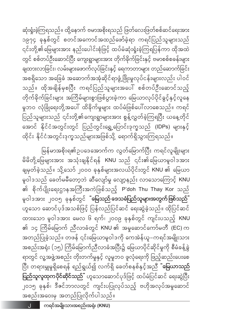အစည်းအဝေးမှ အတည်ပြုလိုက်ပါသည်။  $J$ 

မြန်မာအစိုးရ၏ဥပဒေအောက်က လွတ်မြောက်ပြီး ကရင်လူမျိုးများ မိမိတို့ မြေများအား အသုံးချနိုင်ရန် KNU သည် ၎င်း၏မြေယာမူဝါဒအား ချမှတ်ခဲ့သည်။ သို့သော် ၂၀၀၀ ခုနှစ်များအလယ်ပိုင်းတွင် KNU ၏ မြေယာ မူဝါဒသည် ခေတ်မမီတော့ဘဲ ဆီလျော်မှု လျော့နည်း လာသောကြောင့် KNU ၏ စိုက်ပျိုးရေးဌာနအကြီးအကဲဖြစ်သည့် P'doh Thu Thay Kor သည် မူဝါဒအား ၂၀၀၅ ခုနှစ်တွင် <mark>"မြေသည် ဒေသခံပြည်သူများအတွက် ဖြစ်သည်"</mark> ဟူသော ဆောင်ပုဒ်အသစ်ဖြင့် ပြန်လည်ပြင်ဆင် ရေးဆွဲခဲ့သည်။ ထိုပြင်ဆင် ထားသော မူဝါဒအား မေလ ၆ ရက်၊ ၂၀၀၉ ခုနှစ်တွင် ကျင်းပသည့် KNU ၏ ၁၄ ကြိမ်မြောက် ညီလာခံတွင် KNU ၏ အမှုဆောင်ကော်မတီ (EC) က အတည်ပြုခဲ့သည်။ တဖန် ၎င်းမြေယာမူဝါဒကို ကေအဲန်ယူ–ကရင်အမျိုးသား အစည်းအရုံး (၁၅) ကြိမ်မြောက်ညီလာခံအပြီး၌ မြေယာပိုင်ဆိုင်မှုကို စီမံခန့်ခွဲ ရာတွင် လူ့အဖွဲ့အစည်း တိုးတက်မှုနှင့် လူမှုဘဝ ဖူလုံရေးကို ဖြည့်ဆည်းပေးစေ ပြီး တရားမျှမှုရှိစေရန် ရည်ရွယ်၍ လက်ရှိ ခေတ်စနစ်နှင့်အညီ **ံမြေယာသည်** ပြည်သူလူထုကပိုင်ဆိုင်သည်" ဟူသောဆောင်ပုဒ်ဖြင့် ထပ်မံပြင်ဆင် ရေးဆွဲပြီး ၂၀၁၅ ခုနှစ်၊ ဒီဇင်ဘာလတွင် ကျင်းပပြုလုပ်သည့် ဗဟိုအလုပ်အမှုဆောင်

ဆုံးရှုံးခဲ့ကြရသည်။ ထို့နောက် ဗမာအစိုးရသည် ဖြတ်လေးဖြတ်စစ်ဆင်ရေးအား ၁၉၇၄ ခုနှစ်တွင် စတင်အကောင်အထည်ဖော်ခဲ့ရာ ကရင်ပြည်သူများသည် ၎င်းတို့၏မြေများအား နည်းပေါင်းစုံဖြင့် ထပ်မံဆုံးရုံးခဲ့ကြရပြန်ကာ ထိုအထဲ တွင် စစ်တပ်ဦးဆောင်ပြီး ကျေးရွာများအား တိုက်ခိုက်ခြင်းနှင့် ဗမာစစ်စခန်းများ .<br>ချထားလာခြင်း၊ လမ်းများဖောက်လုပ်ခြင်းနှင့် ရေကာတာများ တည်ဆောက်ခြင်း အစရှိသော အခြေခံ အဆောက်အအုံဆိုင်ရာဖွံ့ဖြိုးမှုလုပ်ငန်းများလည်း ပါဝင် သည်။ ထိုအချိန်မှစပြီး ကရင်ပြည်သူများအပေါ် စစ်တပ်ဦးဆောင်သည့် တိုက်ခိုက်ခြင်းများ အကြိမ်များစွာဖြစ်ပွားခဲ့ကာ မြေယာလုပ်ပိုင်ခွင့်နှင့်လူနေ မှုဘဝ လုံခြုံရေးတို့အပေါ် ထိခိုက်မှုများ ထပ်မံဖြစ်ပေါ်လာစေသည်။ ကရင် ပြည်သူများသည် ၎င်းတို့၏ကျေးရွာများအား စွန့်လွှတ်ခဲ့ကြရပြီး ယနေ့တိုင် အောင် နိုင်ငံအတွင်းတွင် ပြည်တွင်းရွှေ့ပြောင်းဒုက္ခသည် (IDPs) များနှင့် ထိုင်း နိုင်ငံအတွင်းဒုက္ခသည်များအဖြစ်သို့ ရောက်ရှိသွားကြရသည်။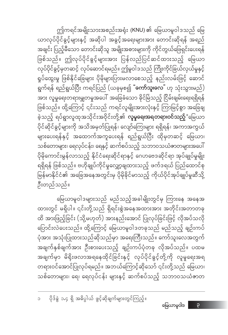မြေယာမူဝါဒများသည် မည်သည့်အခါမျိုးတွင်မှ ကြားနေ အနေအ ထားတွင် မရှိပါ။ ၎င်းတို့သည် ရှိရင်းစွဲအနေအထားအား အတိုင်းအတာတခု ထိ အားဖြည့်ခြင်း (သို့မဟုတ်) အားနည်းအောင် ပြုလုပ်ခြင်းဖြင့် လိုအပ်သလို ပြောင်းလဲပေးသည်။ ထို့ကြောင့် မြေယာမူဝါဒတခုသည် မည်သည့် ချဉ်းကပ် ပုံအား အသုံးပြုထားသည်ဆိုသည်မှာ အရေးကြီးသည်။ ကော်သူးလေအတွက် အချက်နှစ်ချက်အား ဦးစားပေးသည့် ချဉ်းကပ်ပုံတခု လိုအပ်သည်။ ပထမ အချက်မှာ မိရိုးဖလာအရနေထိုင်ခြင်းနှင့် လုပ်ပိုင်ခွင့်တို့ကို လူမှုရေးအရ တရားဝင်အောင်ပြုလုပ်ရမည်။ အဘယ်ကြောင့်ဆိုသော် ၎င်းတို့သည် မြေယာ၊ သစ်တောများ၊ ရေ၊ ရေလုပ်ငန်း များနှင့် ဆက်စပ်သည့် သဘာဝသယံဇာတ

ဤကရင်အမျိုးသားအစည်းအရုံး (KNU) ၏ မြေယာမူဝါဒသည် မြေ ယာလုပ်ပိုင်ခွင့်များနှင့် အဆိုပါ အခွင့်အရေးများအား တောင်းဆိုရန် အရည် အချင်း ပြည့်မီသော တောင်းဆိုသူ အမျိုးအစားများကို ကိုင်တွယ်ဖြေရှင်းပေးရန် ဖြစ်သည်။ ဤလုပ်ပိုင်ခွင့်များအား ပြန်လည်ပြင်ဆင်ထားသည့် မြေယာ လုပ်ပိုင်ခွင့်မှတဆင့် လုပ်ဆောင်ရမည်။ ဤမူဝါဒသည် ကြိုးကိုင်ခြယ်လှယ်မှုနှင့် ရှုပ်ထွေးမှု ဖြစ်နိုင်ခြေများ ပိုမိုများပြားမလာစေသည့် နည်းလမ်းဖြင့် ဆောင် ရွက်ရန် ရည်ရွယ်ပြီး ကရင်ပြည် (ယခုမှစ၍ **ံကော်သူးလေ**ံဟု သုံးသွားမည်) ာ<br>အား လူမှုရေးတရားမျှတမှုအပေါ် အခြေခံသော ခိုင်မြဲသည့် ငြိမ်းချမ်းရေးရရှိရန် .<br>ဖြစ်သည်။ ထို့ကြောင့် ၎င်းသည် ကရင်လူမျိုးအားလုံးနှင့် ကြာမြင့်စွာ အခြေချ ခဲ့သည့် ရပ်ရွာလူထုအသိုင်းအဝိုင်းတို့၏ **လူမှုရေးအရတရားဝင်သည့်**ိမြေယာ ပိုင်ဆိုင်ခွင့်များကို အသိအမှတ်ပြုရန်၊ လျော်ကြေးများ ရရှိရန်၊ အကာအကွယ် များပေးရန်နှင့် အထောက်အကူပေးရန် ရည်ရွယ်ပြီး ထိုမှတဆင့် မြေယာ၊ သစ်တောများ၊ ရေလုပ်ငန်း၊ ရေနှင့် ဆက်စပ်သည့် သဘာဝသယံဇာတများအပေါ် ပိုမိုကောင်းမွန်လာသည့် နိုင်ငံရေးဆိုင်ရာနှင့် ဂေဟဗေဒဆိုင်ရာ အုပ်ချုပ်မှုမျိုး ရရှိရန် ဖြစ်သည်။ ဗဟိုချုပ်ကိုင်မှုလျှော့ချထားသည့် ဖက်ဒရယ် ပြည်ထောင်စု မြန်မာနိုင်ငံ၏ အခြေအနေအတွင်းမှ ပိုမိုခိုင်မာသည့် ကိုယ်ပိုင်အုပ်ချုပ်မှုဆီသို့ ဦးတည်သည်။

 $\tilde{\mathcal{C}}$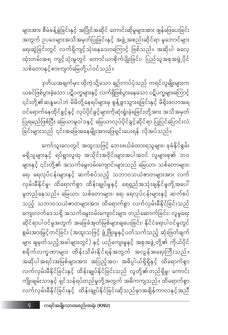ကော်သူးလေတွင် အထူးသဖြင့် ဘေးဖယ်ခံထားရသူများ၊ ခုခံနိုင်စွမ်း မရှိသူများနှင့် ရပ်ရွာလူထု အသိုင်းအဝိုင်းများအပါအဝင် လူများစု၏ ဘဝ များနှင့် ၎င်းတို့၏ အသက်မွေးဝမ်းကျောင်းများသည် မြေယာ၊ သစ်တောများ၊ ရေ၊ ရေလုပ်ငန်းများနှင့် ဆက်စပ်သည့် သဘာဝသယံဇာတများအား လက် လှမ်းမီနိုင်မှု၊ ထိရောက်စွာ ထိန်းချုပ်မှုနှင့် ရေရှည်အသုံးချနိုင်မှုတို့အပေါ် မူတည်နေသည်။ မြေယာ၊ သစ်တောများ၊ ရေ၊ ရေလုပ်ငန်းများနှင့် ဆက်စပ် သည့် သဘာဝသယံဇာတများအား ထိရောက်စွာ လက်လှမ်းမီနိုင်ခြင်းသည် ကျေးလက်ဒေသရှိ အသက်မွေးဝမ်းကျောင်းများ တည်ဆောက်ခြင်း၊ လူမှုရေး ဆိုင်ရာပါဝင်မှုအတွက် အခြေခံအုတ်မြစ်များချပေးခြင်း၊ နိုင်ငံရေးပါဝင်မှုတွင် စွမ်းအားမြှင့်တင်ခြင်း (အထူးသဖြင့် ဖွံ့ဖြိုးမှုနှင့်ပတ်သက်သည့် ဆုံးဖြတ်ချက် များ ချမှတ်သည့်အခါများတွင်) နှင့် ယဉ်ကျေးမှုနှင့် အစုအဖွဲ့တို့၏ ကိုယ်ပိုင် စရိက်လက္ခဏာများ ထိန်းသိမ်းနိုင်ရန်အတွက် အလွန်အရေးကြီးသည်။ အဆိုပါအရင်းအမြစ်များအား အပြည့်အဝ၊ အဓိပ္ပါယ်ရှိရှိနှင့် ထိရောက်စွာ လက်လှမ်းမီနိုင်ခြင်းနှင့် ထိန်းချုပ်နိုင်ခြင်းသည် လူတို့၏တည်ရှိမှု၊ ကောင်း .<br>ကျိုးချမ်းသာနှင့် ရှင်သန်ရပ်တည်မှုတို့အတွက် အဓိကကျသည်။ ထိရောက်စွာ လက်လှမ်းမီနိုင်ခြင်းနှင့် ထိန်းချုပ်နိုင်ခြင်းဆိုသည်မှာအချိန်ကာလနှင့်အညီ

ဒုတိယအချက်မှာ ထိုကဲ့သို့သော ချဉ်းကပ်ပုံသည် ကရင်လူမျိုးများက ယခင်ဖြစ်ပွားခဲ့သော ပဋိပက္ခများနှင့် လက်ရှိဖြစ်ပွားနေသော ပဋိပက္ခများကြောင့် ၎င်းတို့၏ဆန္ဒမပါဘဲ မိမိတို့နေရပ်များမှ စွန့်ခွာသွားရခြင်းနှင့် မိရိုးဖလာအရ ှ<br>ဝင်ရောက်နေထိုင်ခွင့်နှင့် လုပ်ပိုင်ခွင့်များကိုဆုံးရှုံးခဲ့ရခြင်းတို့အား အသိအမှတ် ပြုရမည်ဖြစ်ပြီး မြေယာမူဝါဒနှင့် မြေယာလုပ်ပိုင်ခွင့်ဆိုင်ရာ ပြုပြင်ပြောင်းလဲ 

များအား စီမံခန့်ခွဲခြင်းနှင့် အပြိုင်အဆိုင် တောင်းဆိုမှုများအား ဖျန်ဖြေပေးခြင်း အတွက် ဥပဒေများအသိအမှတ်ပြုခြင်းနှင့် အဖွဲ့ အစည်းဆိုင်ရာ မူဘောင်များ ရေးဆွဲခြင်းတွင် လက်ရှိကျင့်သုံးနေသောကြောင့် ဖြစ်သည်။ အဆိုပါ ဓလေ့ ထုံးတမ်းအရ ကျင့်သုံးမှုတွင် တောင်ယာစိုက်ပျိုးခြင်း၊ ပြည်သူအစုအဖွဲ့ပိုင် သစ်တောနှင့်စားကျက်မြေတို့ပါဝင်သည်။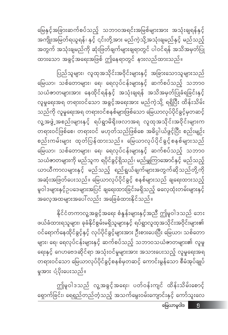မြေယာမူဝါဒ ຶ່ງ

ဤမူဝါဒသည် လူ့အခွင့်အရေး၊ ပတ်ဝန်းကျင် ထိန်းသိမ်းစောင့် ရှောက်ခြင်း၊ ရေရှည်တည်တံ့သည့် အသက်မွေးဝမ်းကျောင်းနှင့် ကော်သူးလေ

နိုင်ငံတကာလူ့အခွင့်အရေး စံနှန်းများနှင့်အညီ ဤမူဝါဒသည် ဘေး ဖယ်ခံထားရသူများ၊ ခုခံနိုင်စွမ်းမရှိသူများနှင့် ရပ်ရွာလူထုအသိုင်းအဝိုင်းများ၏ ဝင်ရောက်နေထိုင်ခွင့်နှင့် လုပ်ပိုင်ခွင့်များအား ဦးစားပေးပြီး မြေယာ၊ သစ်တော များ၊ ရေ၊ ရေလုပ်ငန်းများနှင့် ဆက်စပ်သည့် သဘာဝသယံဇာတများ၏ လူမှု ရေးနှင့် ဂေဟဗေဒဆိုင်ရာ အသုံးဝင်မှုများအား အသားပေးသည့် လူမှုရေးအရ တရားဝင်သော မြေယာလုပ်ပိုင်ခွင့်စနစ်မှတဆင့် ကောင်းမွန်သော စီမံအုပ်ချုပ် မှုအား ပံ့ပိုးပေးသည်။

ပြည်သူများ၊ လူထုအသိုင်းအဝိုင်းများနှင့် အခြားသောသူများသည် မြေယာ၊ သစ်တောများ၊ ရေ၊ ရေလုပ်ငန်းများနှင့် ဆက်စပ်သည့် သဘာဝ သယံဇာတများအား နေထိုင်ရန်နှင့် အသုံးချရန် အသိအမှတ်ပြုခံရခြင်းနှင့် လူမှုရေးအရ တရားဝင်သော အခွင့်အရေးအား မည်ကဲ့သို့ ရရှိပြီး ထိန်းသိမ်း သည်ကို လူမှုရေးအရ တရားဝင်စနစ်များဖြစ်သော မြေယာလုပ်ပိုင်ခွင့်မှတဆင့် လူ့အဖွဲ့ အစည်းများနှင့် - ရပ်ရွာမိရိုးဖလာအရ - လူထုအသိုင်းအဝိုင်းများက .<br>တရားဝင်ဖြစ်စေ၊ တရားဝင် မဟုတ်သည်ဖြစ်စေ အဓိပ္ပါယ်ဖွင့်ပြီး စည်းမျဉ်း စည်းကမ်းများ ထုတ်ပြန်ထားသည်။ မြေယာလုပ်ပိုင်ခွင့်စနစ်များသည် မြေယာ၊ သစ်တောများ၊ ရေ၊ ရေလုပ်ငန်းများနှင့် ဆက်စပ်သည့် သဘာဝ သယံဇာတများကို မည်သူက ရပိုင်ခွင့်ရှိသည်၊ မည်မျှကြာအောင်နှင့် မည်သည့် ယာယီကာလများနှင့် မည်သည့် ရည်ရွယ်ချက်များအတွက်ဆိုသည်တို့ကို အဆုံးအဖြတ်ပေးသည်။ မြေယာလုပ်ပိုင်ခွင့် စနစ်များသည် ချရေးထားသည့် မူဝါဒများနှင့်ဥပဒေများအပြင် ချရေးထားခြင်းမရှိသည့် ဓလေ့ထုံးတမ်းများနှင့် .<br>အလေ့အထများအပေါ် လည်း အခြေခံထားနိုင်သည်။

မြေနှင့်အခြားဆက်စပ်သည့် သဘာဝအရင်းအမြစ်များအား အသုံးချရန်နှင့် အကျိုးအမြတ်ရယူရန်၊ နှင့် ၎င်းတို့အား မည်ကဲ့သို့အသုံးချမည်နှင့် မည်သည့် အတွက် အသုံးချမည်ကို ဆုံးဖြတ်ချက်များချရာတွင် ပါဝင်ရန် အသိအမှတ်ပြု ထားသော အခွင့်အရေးအဖြစ် ဤနေရာတွင် နားလည်ထားသည်။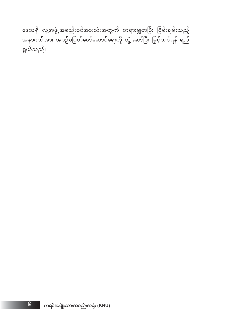ဒေသရှိ လူ့အဖွဲ့အစည်းဝင်အားလုံးအတွက် တရားမျှတပြီး ငြိမ်းချမ်းသည့် အနာဂတ်အား အစဉ်မပြတ်ဖော်ဆောင်ရေးကို လှုံ့ဆော်ပြီး မြှင့်တင်ရန် ရည် ရွယ်သည်။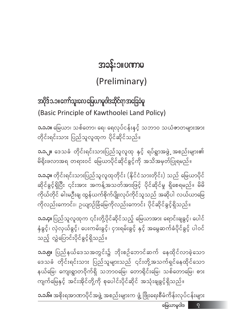$a$ မြယာမူဝါဒ $\begin{array}{|c|c|} \hline \quad q \end{array}$ 

**၁.၁.၆။** အစိုးရအာဏာပိုင်အဖွဲ့ အစည်းများက ဖွံ့ ဖြိုးရေးစီမံကိန်းလုပ်ငန်းများ

**၁.၁.၅။** ပြည်နယ်ဒေသအတွင်း၌ ဘိုးစဉ်ဘောင်ဆက် နေထိုင်လာခဲ့သော ဒေသခံ တိုင်းရင်းသား ပြည်သူများသည် ၎င်းတို့အသက်ရှင်နေထိုင်သော နယ်မြေ၊ ကျေးရွာတဝိုက်ရှိ သဘာဝမြေ၊ တောရိုင်းမြေ၊ သစ်တောမြေ၊ စား ကျက်မြေနှင့် အင်းအိုင်တို့ကို စုပေါင်းပိုင်ဆိုင် အသုံးချခွင့်ရှိသည်။

**၁.၁.၄။** ပြည်သူလူထုက ၎င်းတို့ပိုင်ဆိုင်သည့် မြေယာအား ရောင်းချခွင့်၊ ပေါင် .<br>နံခွင့်၊ လှဲလှယ်ခွင့်၊ ပေးကမ်းခွင့်၊ ငှားရမ်းခွင့် နှင့် အမွေဆက်ခံပိုင်ခွင့် ပါဝင် သည့် လွှဲပြောင်းပိုင်ခွင့်ရှိသည်။

**၁.၁.၃။** တိုင်းရင်းသားပြည်သူလူထုတိုင်း (နိုင်ငံသားတိုင်း) သည် မြေယာပိုင် ဆိုင်ခွင့်ရှိပြီး ၎င်းအား အကန့်အသတ်အားဖြင့် ပိုင်ဆိုင်မှု ရှိစေရမည်။ မိမိ ကိုယ်တိုင် ဓါးမဦးချ ထွန်ယက်စိုက်ပျိုးလုပ်ကိုင်သူသည် အဆိုပါ လယ်ယာမြေ ကိုလည်းကောင်း၊ ဥယျာဉ်ခြံမြေကိုလည်းကောင်း ပိုင်ဆိုင်ခွင့်ရှိသည်။

**၁.၁.၂။** ဒေသခံ တိုင်းရင်းသားပြည်သူလူထု နှင့် ရပ်ရွာအဖွဲ့ အစည်းများ၏ .<br>မိရိုးဖလာအရ တရားဝင် မြေယာပိုင်ဆိုင်ခွင့်ကို အသိအမှတ်ပြုရမည်။

**၁.၁.၁။** မြေယာ၊ သစ်တော၊ ရေ၊ ရေလုပ်ငန်းနင့် သဘာ၀ သယံဇာတများအား တိုင်းရင်းသား ပြည်သူလူထုက ပိုင်ဆိုင်သည်။

အပိုဒ် ၁.၁။ ကော်သူးလေ မြေယာမူဝါဒဆိုင်ရာ အခြေခံမူ d (Basic Principle of Kawthoolei Land Policy)

### (Preliminary)

အခန်း၁။ပဏာမ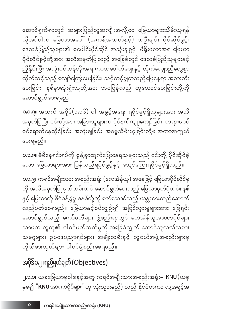**၂.၁.၁။** ယခုမြေယာမူဝါဒနှင့်အတူ ကရင်အမျိုးသားအစည်းအရုံး– KNU $($ ယခု မှစ၍ "KNU အာဏာပိုင်များ" ဟု သုံးသွားမည်) သည် နိုင်ငံတကာ လူ့အခွင့်အ

#### အပိုဒ်၁.၂။ရည်ရွယ်ချက် (Objectives)

**၁.၁.၉။** ကရင်အမျိုးသား အစည်းအရုံး (ကေအဲန်ယူ) အနေဖြင့် မြေယာပိုင်ဆိုင်မှု ကို အသိအမှတ်ပြု မှတ်တမ်းတင် ဆောင်ရွက်ပေးသည့် မြေယာမှတ်ပုံတင်စနစ် နှင့် မြေယာကို စီမံခန့်ခွဲမှု စနစ်တို့ကို ဖော်ဆောင်သည့် ယန္တယားတည်ဆောက် လည်ပတ်စေရမည်။ မြေယာနှင့်စပ်လျှဉ်း၍ အငြင်းပွားမှုများအား ဖြေရှင်<mark>း</mark> ဆောင်ရွက်သည့် ကော်မတီများ ဖွဲ့စည်းရာတွင် ကေအဲန်ယူအာဏာပိုင်များ သာမက လူထု၏ ပါဝင်ပတ်သက်မှုကို အခြေခံလျှက် တောင်သူလယ်သမား သမဂ္ဂများ၊ ဥပဒေပညာရှင်များ၊ အမျိုးသမီးနှင့် လူငယ်အဖွဲ့အစည်းများမှ ကိုယ်စားလှယ်များ ပါဝင်ဖွဲ့စည်းစေရမည်။

**ာ.၁.၈။** မိမိနေရင်းရပ်ကို စွန့်ခွာထွက်ပြေးနေရသူများသည် ၎င်းတို့ ပိုင်ဆိုင်ခဲ့ သော မြေယာများအား ပြန်လည်ရပိုင်ခွင့်နှင့် လျော်ကြေးရပိုင်ခွင့်ရှိသည်။

ပေးရမည်။

 $\circ$ 

**၁.၁.ဂု။** အထက် အပိုဒ် $($ ၁.၁၆) ပါ အခွင့်အရေး ရပိုင်ခွင့်ရှိသူများအား အသိ အမှတ်ပြုပြီး ၎င်းတို့အား အခြားသူများက ပိုင်နက်ကျူးကျော်ခြင်း၊ တရားမဝင် ဝင်ရောက်နေထိုင်ခြင်း၊ အသုံးချခြင်း၊ အဓမ္မသိမ်းယူခြင်းတို့မှ အကာအကွယ်

ဆောင်ရွက်ရာတွင် အများပြည်သူအကျိုးအလို့ငှာ မြေယာများသိမ်းယူရန် .<br>လိုအပ်ပါက မြေယာအပေါ် (အကန့်အသတ်နှင့်) တဦးချင်း ပိုင်ဆိုင်ခွင့်၊ ဒေသခံပြည်သူများ၏ စုပေါင်းပိုင်ဆိုင် အသုံးချခွင့်၊ မိရိုးဖလာအရ မြေယာ ပိုင်ဆိုင်ခွင့်တို့အား အသိအမှတ်ပြုသည့် အခြေခံတွင် ဒေသခံပြည်သူများနှင့် ု<br>ညှိနိုင်းပြီး အသုံးဝင်တန်ဘိုးအရ ကာလပေါက်ဈေးနှင့် လိုက်လျှောညီထွေစွာ ထိုက်သင့်သည့် လျော်ကြေးပေးခြင်း၊ သင့်တင့်မျှတသည့်မြေနေရာ အစားထိုး ပေးခြင်း၊ နစ်နာဆုံးရှုံးသူတို့အား ဘဝပြန်လည် ထူထောင်ပေးခြင်းတို့ကို ဆောင်ရွက်ပေးရမည်။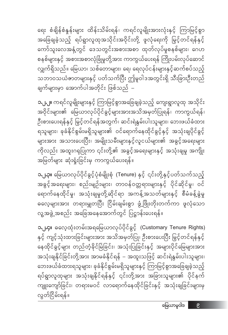**၁.၂.၄။** ဓလေ့ထုံးတမ်းအရမြေယာလုပ်ပိုင်ခွင့် (Customary Tenure Rights) နှင့် ကျင့်သုံးထားခြင်းများအား အသိအမှတ်ပြု၊ ဦးစားပေးပြီး မြှင့်တင်ရန်နှင့် နေထိုင်ခွင့်များ တည်တံ့ခိုင်မြဲခြင်း၊ အသုံးပြုခြင်းနှင့် အများပိုင်မြေများအား အသုံးချနိုင်ခြင်းတို့အား အာမခံနိုင်ရန် - အထူးသဖြင့် ဆင်းရဲနွမ်းပါးသူများ၊ ဘေးဖယ်ခံထားရသူများ၊ ခုခံနိုင်စွမ်းမရှိသူများနှင့် ကြာမြင့်စွာအခြေချခဲ့သည့် ရပ်ရွာလူထုများ အသုံးချနိုင်ရန်နှင့် ၎င်းတို့အား အခြားသူများ၏ ပိုင်နက် ကျူးကျော်ခြင်း၊ တရားမဝင် လာရောက်နေထိုင်ခြင်းနှင့် အသုံးချခြင်းများမှ လွတ်ငြိမ်းရန်။

**၁.၂.၃။** မြေယာလုပ်ပိုင်ခွင့်ပုံစံမျိုးစုံ (Tenure) နှင့် ၎င်းတို့နှင့်ပတ်သက်သည့် အခွင့်အရေးများ၊ စည်းမျဉ်းများ၊ တာဝန်ဝတ္တရားများနှင့် ပိုင်ဆိုင်မှု၊ ဝင် ရောက်နေထိုင်မှု၊ အသုံးချမှုတို့ဆိုင်ရာ အကန့်အသတ်များနှင့် စီမံခန့်ခွဲမှု ဓလေ့များအား တရားမျှတပြီး ငြိမ်းချမ်းစွာ ဖွံ့ဖြိုးတိုးတက်ကာ ဖူလုံသော လူ့အဖွဲ့ အစည်း အခြေအနေအောက်တွင် ပြဋ္ဌာန်းပေးရန်။

**၁.၂.၂။** ကရင်လူမျိုးများနှင့် ကြာမြင့်စွာအခြေချခဲ့သည့် ကျေးရွာလူထု အသိုင်း အဝိုင်းများ၏ မြေယာလုပ်ပိုင်ခွင့်များအားအသိအမှတ်ပြုရန်၊ ကာကွယ်ရန်၊ ဦးစားပေးရန်နှင့် မြှင့်တင်ရန်အတွက်၊ ဆင်းရဲနွမ်းပါးသူများ၊ ဘေးဖယ်ခံထား ရသူများ၊ ခုခံနိုင်စွမ်းမရှိသူများ၏ ဝင်ရောက်နေထိုင်ခွင့်နှင့် အသုံးချပိုင်ခွင့် များအား အသားပေးပြီး၊ အမျိုးသမီးများနှင့်လူငယ်များ၏ အခွင့်အရေးများ ကိုလည်း အထူးဂရုပြုကာ ၎င်းတို့၏ အခွင့်အရေးများနှင့် အသုံးချမှု အကျိုး အမြတ်များ ဆုံးရှုံးခြင်းမှ ကာကွယ်ပေးရန်။

ရေး စံချိန်စံနှန်းများ ထိန်းသိမ်းရန်၊ ကရင်လူမျိုးအားလုံးနှင့် ကြာမြင့်စွာ အခြေချခဲ့သည့် ရပ်ရွာလူထုအသိုင်းအဝိုင်းတို့ ဖူလုံရေးကို မြှင့်တင်ရန်နှင့် ကော်သူးလေအနှံ့တွင် ဒေသတွင်းအစားအစာ ထုတ်လုပ်မှုစနစ်များ၊ ဂေဟ စနစ်များနှင့် အစားအစာလုံခြုံမှုတို့အား ကာကွယ်ပေးရန် ကြိုးပမ်းလုပ်ဆောင် လျှက်ရှိသည်။ မြေယာ၊ သစ်တောများ၊ ရေ၊ ရေလုပ်ငန်းများနှင့်ဆက်စပ်သည့် သဘာ၀သယံဇာတများနှင့် ပတ်သက်ပြီး ဤမူဝါဒအတွင်းရှိ သီးခြားဦးတည် ချက်များမှာ အောက်ပါအတိုင်း ဖြစ်သည် –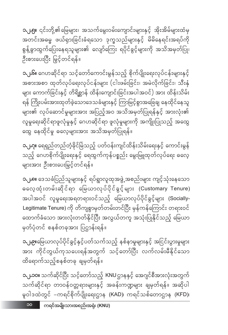**၁.၂.၁၀။** သက်ဆိုင်ပြီး သင့်တော်သည့် KNUဌာနနှင့် အေဂျင်စီအားလုံးအတွက် သက်ဆိုင်ရာ တာဝန်ဝတ္တရားများနှင့် အခန်းကဏ္ဍများ ချမှတ်ရန်။ အဆိုပါ မူဝါဒထဲတွင် –ကရင်စိုက်ပျိုးရေးဌာန (KAD)၊ ကရင်သစ်တောဌာန (KFD)၊

ထိရောက်သည့်စနစ်တခု ချမှတ်ရန်။

OC

**၁.၂.၉။**မြေယာလုပ်ပိုင်ခွင့်နှင့်ပတ်သက်သည့် နစ်နာမှုများနှင့် အငြင်းပွားမှုများ အား ကိုင်တွယ်ကုသပေးရန်အတွက် သင့်တော်ပြီး လက်လမ်းမီနိုင်သော

**၁.၂.၈။** ဒေသခံပြည်သူများနှင့် ရပ်ရွာလူထုအဖွဲ့ အစည်းများ ကျင့်သုံးနေသော ဓလေ့ထုံးတမ်းဆိုင်ရာ မြေယာလုပ်ပိုင်ခွင့်များ (Customary Tenure) အပါအဝင် လူမှုရေးအရတရားဝင်သည့် မြေယာလုပ်ပိုင်ခွင့်များ (Socially-Legitimate Tenure) ကို တိကျစွာမှတ်တမ်းတင်ပြီး မှန်ကန်ကြောင်း တရားဝင် ထောက်ခံသော အားလုံးတတ်နိုင်ပြီး အလွယ်တကူ အသုံးပြုနိုင်သည့် မြေယာ မှတ်ပုံတင် စနစ်တခုအား ပြဌာန်းရန်။

**၁.၂.ဂု။** ရေရှည်တည်တံ့ခိုင်မြဲသည့် ပတ်ဝန်းကျင်ထိန်းသိမ်းရေးနှင့် ကောင်းမွန် သည့် ဂေဟစိုက်ပျိုးရေးနှင့် ရေထွက်ကုန်ပစ္စည်း မွေးမြူထုတ်လုပ်ရေး ဓလေ့ များအား ဦးစားပေးမြှင့်တင်ရန်။

**၁.၂.၆။** ဂေဟဆိုင်ရာ သင့်တော်ကောင်းမွန်သည့် စိုက်ပျိုးရေးလုပ်ငန်းများနှင့် အစားအစာ ထုတ်လုပ်ရေးလုပ်ငန်းများ (ငါးဖမ်းခြင်း၊ အမဲလိုက်ခြင်း၊ သီးနှံ များ ကောက်ခြင်းနှင့် တိရိစ္ဆာန် ထိန်းကျောင်းခြင်းအပါအဝင်) အား ထိန်းသိမ်း ရန် ကြိုးပမ်းအားထုတ်ခဲ့သောဒေသခံများနှင့် ကြာမြင့်စွာအခြေချ နေထိုင်နေသူ များ၏ လုပ်ဆောင်မှုများအား အပြည့်အဝ အသိအမှတ်ပြုရန်နှင့် အားလုံး၏ လူမှုရေးဆိုင်ရာဖူလုံမှုနှင့် ဂေဟဆိုင်ရာ ဖူလုံမှုများကို အကျိုးပြုသည့် အထွေ ထွေ နေထိုင်မှု ဓလေ့များအား အသိအမှတ်ပြုရန်။

ဦးစားပေးပြီး မြှင့်တင်ရန်။

**ာ.၂.၅။** ၎င်းတို့၏မြေများ၊ အသက်မွေးဝမ်းကျောင်းများနှင့် အိုးအိမ်များထံမှ အတင်းအဓမ္မ ဖယ်ရှားခြင်းခံရသော ဒုက္ခသည်များနှင့် မိမိနေရင်းအရပ်ကို စွန့်ခွာထွက်ပြေးနေရသူများ၏ လျော်ကြေး ရပိုင်ခွင့်များကို အသိအမှတ်ပြု၊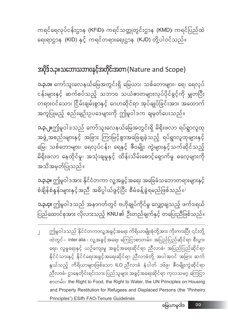ကရင်ရေလုပ်ငန်းဌာန (KFiD)၊ ကရင်သတ္တုတွင်းဌာန (KMD)၊ ကရင်ပြည်ထဲ ရေးရာဌာန (KID) နှင့် ကရင်တရားရေးဌာန (KJD) တို့ပါဝင်သည်။

#### အပိုဒ်၁.၃။သဘောသဘာ၀နှင့်အတိုင်းအတာ (Nature and Scope)

**၁.၃.၁။** ကော်သူးလေနယ်မြေအတွင်းရှိ မြေယာ၊ သစ်တောများ၊ ရေ၊ ရေလုပ် ငန်းများနှင့် ဆက်စပ်သည့် သဘာ၀ သယံဇာတများလုပ်ပိုင်ခွင့်ကို မျှတပြီး တရားဝင်သော၊ ငြိမ်းချမ်းစွာနှင့် ဂေဟဆိုင်ရာ အုပ်ချုပ်ခြင်းအား အထောက် အကူပြုမည့် စည်းမျဉ်းဥပဒေများကို ဤမူဝါဒက ချမှတ်ပေးသည်။

**၁.၃.၂။**ဤမူဝါဒသည် ကော်သူးလေနယ်မြေအတွင်းရှိ မိရိုးဖလာ ရပ်ရွာလူထု အဖွဲ့ အစည်းများနှင့် အခြား ကြာမြင့်စွာအခြေချခဲ့သည့် ရပ်ရွာလူထုများနှင့် မြေ၊ သစ်တောများ၊ ရေလုပ်ငန်း၊ ရေနှင့် ဧီဝမျိုး ကွဲများနှင့်သက်ဆိုင်သည့် မိရိုးဖလာ နေထိုင်မှု၊ အသုံးချမှုနှင့် ထိန်းသိမ်းစောင့်ရှောက်မှု ဓလေ့များကို အသိအမှတ်ပြုသည်။

**၁.၃.၃။** ဤမူဝါဒအား နိုင်ငံတကာ လူ့အခွင့်အရေး အခြေခံသဘောတရားများနှင့် စံချိန်စံနူန်းများနှင့်အညီ အဓိပ္ပါယ်ဖွင့်ပြီး စီမံခန့်ခွဲရမည်ဖြစ်သည်။<sup>၂</sup>

**၁.၃.၄။** ဤမူဝါဒသည် အနာဂတ်တွင် ဗဟိုချုပ်ကိုင်မှု လျှော့ချသည့် ဖက်ဒရယ် ပြည်ထောင်စုအား လိုလားသည့် KNU ၏ ဦးတည်ချက်နှင့် တပြေးညီဖြစ်သည်။

ဤမူဝါဒသည် နိုင်ငံတကာလူ့အခွင့်အရေး ကိရိယာမျိုးစုံတို့အား ကိုးကားပြီး ၎င်းတို့ ထဲတွင်– inter alia ၊ လူ့အခွင့်အရေး ကြေငြာစာတမ်း၊ အပြည်ပြည်ဆိုင်ရာ စီးပွား ရေး၊ လူမှုရေးနှင့် ယဉ်ကျေးမှု အခွင့်အရေးဆိုင်ရာ ညီလာခံ၊ အပြည်ပြည်ဆိုင်ရာ နိုင်ငံသားနှင့် နိုင်ငံရေးအခွင့်အရေးဆိုင်ရာ ညီလာခံတို့ အပါအဝင် အခြား ဆက် နွယ်သည့် ကိရိယာများဖြစ်သော ILO ညီလာခံ နံပါတ် ၁၆၉၊ ဧီဝမျိုးကွဲဆိုင်ရာ ညီလာခံ၊ ဌာနေတိုင်းရင်းသား ပြည်သူများ အခွင့်အရေးဆိုင်ရာ ကုလသမဂ္ဂ ကြေငြာ စာတမ်း၊ the Right to Food, the Right to Water, the UN Principles on Housing and Property Restitution for Refugees and Displaced Persons (the "Pinheiro Principles") ESifh FAO-Tenure Guidelines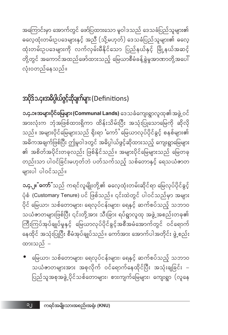အကြောင်းမှာ အောက်တွင် ဖော်ပြထားသော မူဝါဒသည် ဒေသခံပြည်သူများ၏ ထုံးတမ်းဥပဒေများကို လက်လှမ်းမီနိုင်သော ပြည်နယ်နှင့် မြို့နယ်အဆင့် တို့တွင် အကောင်အထည်ဖော်ထားသည့် မြေယာစီမံခန့်ခွဲမှုအာဏာတို့အပေါ် လုံးဝတည်နေသည်။

#### အပိုဒ်၁.၄။အဓိပ္ပါယ်ဖွင့်ဆိုချက်များ (Definitions)

**၁.၄.၁။အများပိုင်မြေများ (Communal Lands)** ဒေသခံကျေးရွာလူထု၏အဖွဲ့ ဝင် အားလုံးက ဘုံအဖြစ်ထားရှိကာ ထိန်းသိမ်းပြီး အသုံးပြုသောမြေကို ဆိုလို သည်။ အများပိုင်မြေများသည် ရိုးရာ**ံ**ကော်ႆ မြေယာလုပ်ပိုင်ခွင့် စနစ်များ၏ အဓိကအချက်ဖြစ်ပြီး ဤမူဝါဒတွင် အဓိပ္ပါယ်ဖွင့်ဆိုထားသည့် ကျေးရွာမြေများ ၏ အစိတ်အပိုင်းတခုလည်း ဖြစ်နိုင်သည်။ အများပိုင်မြေများသည် မြေတခု တည်းသာ ပါဝင်ခြင်းမဟုတ်ဘဲ ပတ်သက်သည့် သစ်တောနှင့် ရေသယံဇာတ များပါ ပါဝင်သည်။

**ာ.၄.၂။ ံကော်** ံသည် ကရင်လူမျိုးတို့၏ ဓလေ့ထုံးတမ်းဆိုင်ရာ မြေလုပ်ပိုင်ခွင့် ပုံစံ (Customary Tenure) ပင် ဖြစ်သည်။ ၎င်းထဲတွင် ပါဝင်သည်မှာ အများ .<br>ပိုင် မြေယာ၊ သစ်တောများ၊ ရေလုပ်ငန်းများ၊ ရေနှင့် ဆက်စပ်သည့် သဘာဝ သယံဇာတများဖြစ်ပြီး ၎င်းတို့အား သီးခြား ရပ်ရွာလူထု အဖွဲ့ အစည်းတခု၏ ကြီးကြပ်အုပ်ချုပ်မှုနှင့် မြေယာလုပ်ပိုင်ခွင့်အစီအမံအောက်တွင် ဝင်ရောက် နေထိုင် အသုံးပြုပြီး စီမံအုပ်ချုပ်သည်။ ကော်အား အောက်ပါအတိုင်း ဖွဲ့ စည်း ထားသည် –

• မြေယာ၊ သစ်တောများ၊ ရေလုပ်ငန်းများ၊ ရေနှင့် ဆက်စပ်သည့် သဘာဝ သယံဇာတများအား အစုလိုက် ဝင်ရောက်နေထိုင်ပြီး အသုံးချခြင်း – ပြည်သူအစုအဖွဲ့ ပိုင်သစ်တောများ၊ စားကျက်မြေများ၊ ကျေးရွာ (လူနေ

**C**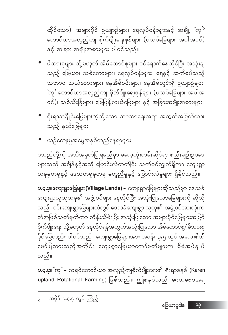**ာ.၄.၄။ ံကုႆ** – ကရင်တောင်ယာ အလှည့်ကျစိုက်ပျိုးရေး၏ ရိုးရာစနစ် (Karen upland Rotational Farming) ဖြစ်သည်။ ဤစနစ်သည် ဂေဟဗေဒအရ

**၁.၄.၃။ကျေးရွာမြေများ (Village Lands) –** ကျေးရွာမြေများဆိုသည်မှာ ဒေသခံ ကျေးရွာလူထုတခု၏ အဖွဲ့ဝင်များ နေထိုင်ပြီး အသုံးပြုသောမြေများကို ဆိုလို သည်။ ၎င်းကျေးရွာမြေများထဲတွင် ဒေသခံကျေးရွာ လူထု၏ အဖွဲ့ ဝင်အားလုံးက ဘုံအဖြစ်သတ်မှတ်ကာ ထိန်းသိမ်းပြီး အသုံးပြုသော အများပိုင်မြေများအပြင် စိုက်ပျိုးရေး သို့မဟုတ် နေထိုင်ရန်အတွက်အသုံးပြုသော အိမ်ထောင်စု/ မိသားစု ပိုင်မြေလည်း ပါဝင်သည်။ ကျေးရွာမြေများအား အခန်း ၃.၅ တွင် အသေးစိတ် ဖော်ပြထားသည့်အတိုင်း ကျေးရွာမြေယာကော်မတီများက စီမံအုပ်ချုပ် သည်။

စသည်တို့ကို အသိအမှတ်ပြုရမည်မှာ ဓလေ့ထုံးတမ်းဆိုင်ရာ စည်းမျဉ်းဉပဒေ များသည် အချိန်နှင့်အညီ ပြောင်းလဲတတ်ပြီး သက်ဝင်လျှက်ရှိကာ ကျေးရွာ တခုမှတခုနှင့် ဒေသတခုမှတခု မတူညီမှုနှင့် ပြောင်းလဲမှုများ ရှိနိုင်သည်။

- ယဉ်ကျေးမှုအမွေအနှစ်တည်နေရာများ
- ရိုးရာသင်္ချိုင်းမြေများကဲ့သို့သော ဘာသာရေးအရာ အထွတ်အမြတ်ထား သည့် နယ်မြေများ
- မိသားစုများ သို့မဟုတ် အိမ်ထောင်စုများ ဝင်ရောက်နေထိုင်ပြီး အသုံးချ သည့် မြေယာ၊ သစ်တောများ၊ ရေလုပ်ငန်းများ၊ ရေနှင့် ဆက်စပ်သည့် သဘာဝ သယံဇာတများ၊ နေအိမ်ဝင်းများ၊ နေအိမ်တွင်းရှိ ဥယျာဉ်များ၊ 'ကုႆ တောင်ယာအလှည့်ကျ စိုက်ပျိုးရေးဇုန်များ (ပလပ်မြေများ အပါအ ဝင်)၊ သစ်သီးခြံများ၊ မြေပြန့်လယ်မြေများ နှင့် အခြားအမျိုးအစားများ။

ထိုင်သော)၊ အများပိုင် ဥယျာဉ်များ၊ ရေလုပ်ငန်းများနှင့် အချို့ 'ကု<sup>'၃</sup> တောင်ယာအလှည့်ကျ စိုက်ပျိုးရေးဇုန်များ (ပလပ်မြေများ အပါအဝင်) နှင့် အခြား အမျိုးအစားများ ပါဝင်သည်။

၁၃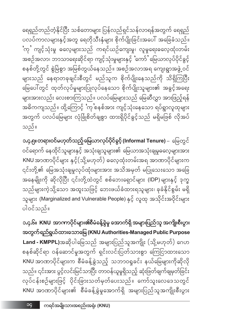ရေရှည်တည်တံ့နိုင်ပြီး သစ်တောများ ပြန်လည်ရှင်သန်လာရန်အတွက် ရေရှည် ပလပ်ကာလများနှင့်အတူ ရေတိုသီးနှံများ စိုက်ပျိုးခြင်းအပေါ် အခြေခံသည်။ ်ကုႆ ကျင့်သုံးမှု ဓလေ့များသည် ကရင်ယဉ်ကျေးမှု၊ လူမှုရေးဓလေ့ထုံးတမ်း အစဉ်အလာ၊ ဘာသာရေးဆိုင်ရာ ကျင့်သုံးမှုများနှင့် 'ကော်' မြေယာလုပ်ပိုင်ခွင့် စနစ်တို့တွင် စွဲမြဲစွာ အမြစ်တွယ်နေသည်။ အစဉ်အလာအရ ကျေးရွာအဖွဲ့ ဝင် များသည် နေရာတခုချင်းစီတွင် မည်သူက စိုက်ပျိုးနေသည်ကို သိရှိကြပြီး မြေပေါ်တွင် ထုတ်လုပ်မှုများပြုလုပ်နေသော စိုက်ပျိုးသူများ၏ အခွင့်အရေး များအားလည်း လေးစားကြသည်။ ပလပ်မြေများသည် မြေဆီလွှာ အားဖြည့်ရန် အဓိကကျသည်။ ထို့ကြောင့် `ကု စနစ်အား ကျင့်သုံးနေသော ရပ်ရွာလူထုများ အတွက် ပလပ်မြေများ လုံခြုံစိတ်ချစွာ ထားရှိပိုင်ခွင့်သည် မရှိမဖြစ် လိုအပ် သည်။

၁.၄.၅။ တရားဝင်မဟုတ်သည့် မြေယာလုပ်ပိုင်စွင့် (Informal Tenure) – မြေတွင် ဝင်ရောက် နေထိုင်သူများနှင့် အသုံးချသူများ၏ မြေယာအသုံးချမှုဓလေ့များအား KNU အာဏာပိုင်များ နှင့်(သို့မဟုတ်) ဓလေ့ထုံးတမ်းအရ အာဏာပိုင်များက ၎င်းတို့၏ မြေအသုံးချမှုလုပ်ထုံးများအား အသိအမှတ် မပြုသေးသော အခြေ အနေမျိုးကို ဆိုလိုပြီး ၎င်းတို့ထဲတွင် စစ်ဘေးရှောင်များ (IDP) များနှင့် ဒုက္ခ သည်များကဲ့သို့သော အထူးသဖြင့် ဘေးဖယ်ခံထားရသူများ၊ ခုခံနိုင်စွမ်း မရှိ သူများ (Marginalized and Vulnerable People) နှင့် လူထု အသိုင်းအဝိုင်းများ ပါဝင်သည်။

၁.၄.၆။ KNU အာကာပိုင်များ၏စီမံခန့်ခွဲမှု အောက်ရှိ အများပြည်သူ အကျိုးစီးပွား အတွက်ရည်ရွယ်ထားသောမြေ (KNU Authorities-Managed Public Purpose Land - KMPPL)အဆိုပါမြေသည် အများပြည်သူအကျိုး (သို့မဟုတ်) ဂေဟ စနစ်ဆိုင်ရာ ဝန်ဆောင်မှုအတွက် ရှင်းလင်းပြတ်သားစွာ ကြေငြာထားသော KNU အာဏာပိုင်များက စီမံခန့်ခွဲသည့် သဘာ၀ရှုခင်း နယ်မြေများကိုဆိုလို သည်။ ၎င်းအား ပွင့်လင်းမြင်သာပြီး တာဝန်ယူမှုရှိသည့် ဆုံးဖြတ်ချက်ချမှတ်ခြင်း လုပ်ငန်းစဉ်များဖြင့် ပိုင်းခြားသတ်မှတ်ပေးသည်။ ကော်သူးလေဒေသတွင် KNU အာဏာပိုင်များ၏ စီမံခန့်ခွဲမှုအောက်ရှိ အများပြည်သူအကျိုးစီးပွား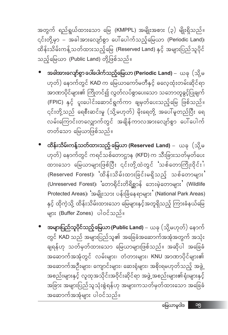အတွက် ရည်ရွယ်ထားသော မြေ (KMPPL) အမျိုးအစား (၃) မျိုးရှိသည်။  $\frac{1}{2}$ င်းတို့မှာ – အခါအားလျော်စွာ ပေါ်ပေါက်သည့်မြေယာ (Periodic Land)၊ ထိန်းသိမ်းကန့်သတ်ထားသည့်မြေ (Reserved Land) နှင့် အများပြည်သူပိုင် သည့်မြေယာ (Public Land) တို့ဖြစ်သည်။

- **အခါအားလျော်စွာ ပေါ်ပေါက်သည့်မြေယာ (Periodic Land)** ယခု (သို့ မ ဟုတ်) နောက်တွင် KAD က မြေယာကော်မတီနှင့် ဓလေ့ထုံးတမ်းဆိုင်ရာ အာဏာပိုင်များ၏ ကြိုတင်၍ လွတ်လပ်စွာပေးသော သဘောတူခွင့်ပြုချက် (FPIC) နှင့် ပူးပေါင်းဆောင်ရွက်ကာ ချမှတ်ပေးသည့်မြေ ဖြစ်သည်။ ၎င်းတို့သည် ရေစီးဆင်းမှု (သို့မဟုတ်) မိုးရေတို့ အပေါ်မူတည်ပြီး ရေ လမ်းကြောင်းတလျှောက်တွင် အချိန်ကာလအားလျော်စွာ ပေါ်ပေါက် တတ်သော မြေယာဖြစ်သည်။
- $\bullet$   $\,$  ထိန်းသိမ်းကန့်သတ်ထားသည့် မြေယာ (Reserved Land) ယခု  $\,$  (သို့မ ဟုတ်) နောက်တွင် ကရင်သစ်တောဌာန (KFD) က သီးခြားသတ်မှတ်ပေး ထားသော မြေယာများဖြစ်ပြီး ၎င်းတို့ထဲတွင် င်္သာစိတောကြိုးဝိုင်းပ  $({\sf Reserved\,\, Forest})$ ၊ ပိတိန်းသိမ်းထားခြင်းမရှိသည့် သစ်တောများ $"$  $(Unreserved\ Forest)$ ၊ ်တောရိုင်းတိရိစ္ဆာန် ဘေးမဲ့တောများ $`$  (Wildlife  $P$ rotected Areas)၊ 'အမျိုးသား ပန်းခြံနေရာများ' (National Park Areas) နှင့် ထိုကဲ့သို့ ထိန်းသိမ်းထားသော မြေများနှင့်အတူရှိသည့် ကြားခံနယ်မြေ များ (Buffer Zones) ပါဝင်သည်။
- $\frac{1}{2}$ အများပြည်သူပိုင်သည့်မြေယာ (Public Land) ယခု (သို့မဟုတ်) နောက် တွင် KAD သည် အများပြည်သူ၏ အခြေခံအဆောက်အအုံအတွက် အသုံး ချရန်ဟု သတ်မှတ်ထားသော မြေယာများဖြစ်သည်။ အဆိုပါ အခြေခံ းသြောက်အအုံတွင် လမ်းများ၊ တံတားများ၊ KNU အာဏာပိုင်များ၏ အဆောက်အဦးများ၊ ကျောင်းများ၊ ဆေးရုံများ၊ အစိုးရမဟုတ်သည့် အဖွဲ့ အစည်းများနှင့် လူထုအသိုင်းအဝိုင်းဆိုင်ရာ အဖွဲ့ အစည်းများ၏ရုံးများနှင့် အခြား အများပြည်သူသုံးစွဲရန်ဟု အများကသတ်မှတ်ထားသော အခြေခံ အဆောက်အအုံများ ပါဝင်သည်။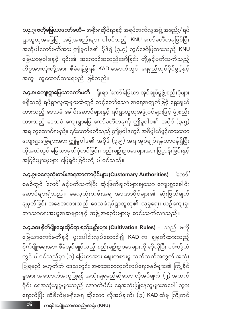၁၆ ကရင်အမျိုးသားအစည်းအရုံး (KNU)

**၁.၄.၁ဝ။ စိုက်ပျိုးရေးဆိုင်ရာ စည်းမျဉ်းများ (Cultivation Rules)** – ာသည် ဗဟို မြေယာကော်မတီနှင့် ပူးပေါင်းလုပ်ဆောင်၍ KAD က ချမှတ်ထားသည့် စိုက်ပျိုးရေးအား စီမံအုပ်ချုပ်သည့် စည်းမျဉ်းဥပဒေများကို ဆိုလိုပြီး ၎င်းတို့ထဲ တွင် ပါဝင်သည်မှာ (၁) မြေယာအား ဈေးကစားမှု သက်သက်အတွက် အသုံး ပြုရမည် မဟုတ်ဘဲ ဒေသတွင်း အစားအစာထုတ်လုပ်ရေးစနစ်များ၏ ကြံ့နိုင် မှုအား အထောက်အကူပြုရန် အသုံးချရမည်ဆိုသော လိုအပ်ချက်၊ (၂) အထက် ပိုင်း ရေအသုံးချမှုများသည် အောက်ပိုင်း ရေအသုံးပြုနေသူများအပေါ် သွား ရောက်ပြီး ထိခိုက်မှုမရှိစေရ ဆိုသော လိုအပ်ချက်၊ (၃) KAD ထံမှ ကြိုတင်

၁.၄.၉။ ဓလေ့ထုံးတမ်းအရအာကာပိုင်များ (Customary Authorities) – ်ကော် $\cdot$ စနစ်တွင် 'ကော်' နှင့်ပတ်သက်ပြီး ဆုံးဖြတ်ချက်များချသော ကျေးရွာခေါင်း ဆောင်များရှိသည်။ ဓလေ့ထုံးတမ်းအရ အာဏာပိုင်များ၏ ဆုံးဖြတ်ချက် ချမှတ်ခြင်း အနေအထားသည် ဒေသခံရပ်ရွာလူထု၏ လူမှုရေး၊ ယဉ်ကျေးမှု၊ ဘာသာရေးအယူအဆများနှင့် အဖွဲ့အစည်းများမှ ဆင်းသက်လာသည်။

**၁.၄.၈။ကျေးရွာမြေယာကော်မတီ** – ရိုးရာ 'ကော်'မြေယာ အုပ်ချုပ်မှုဖွဲ့ စည်းပုံများ မရှိသည့် ရပ်ရွာလူထုများထဲတွင် သင့်တော်သော အရေအတွက်ဖြင့် ရွေးချယ် ထားသည့် ဒေသခံ ခေါင်းဆောင်များနှင့် ရပ်ရွာလူထုအဖွဲ့ ဝင်များဖြင့် ဖွဲ့ စည်း ထားသည့် ဒေသခံ ကျေးရွာမြေ ကော်မတီတခုကို ဤမူဝါဒ၏ အပိုဒ် (၃.၅) အရ ထူထောင်ရမည်။ ၎င်းကော်မတီသည် ဤမူဝါဒတွင် အဓိပ္ပါယ်ဖွင့်ထားသော ကျေးရွာမြေများအား ဤမူဝါဒ၏ အပိုဒ် (၃.၅) အရ အုပ်ချုပ်ရန်တာဝန်ရှိပြီး ထိုအထဲတွင် မြေယာမှတ်ပုံတင်ခြင်း၊ စည်းမျဉ်းဉပဒေများအား ပြဌာန်းခြင်းနှင့် အငြင်းပွားမှုများ ဖြေရှင်းခြင်းတို့ ပါဝင်သည်။

**၁.၄.၇။ဗဟိုမြေယာကော်မတီ**– အစိုးရဆိုင်ရာနှင့် အရပ်ဘက်လူ့အဖွဲ့ အစည်း/ ရပ် ရွာလူထုအခြေပြု အဖွဲ့ အစည်းများ ပါဝင်သည့် KNU ကော်မတီတခုဖြစ်ပြီး အဆိုပါကော်မတီအား ဤမူဝါဒ၏ ပိုဒ်ခွဲ (၃.၄) တွင်ဖော်ပြထားသည့် KNU မြေယာမူဝါဒနှင့် ၎င်း၏ အကောင်အထည်ဖော်ခြင်း တို့နှင့်ပတ်သက်သည့် ကိစ္စအားလုံးတို့အား စီမံခန့်ခွဲရန် KAD အောက်တွင် ရေရှည်လုပ်ပိုင်ခွင့်နှင့် အတူ ထူထောင်ထားရမည် ဖြစ်သည်။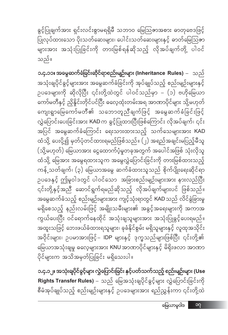၁.၄.၁၂။ အသုံးရျပိုင်ရွင့်များ လွှဲပြောင်းရြင်း နှင့်ပတ်သက်သည့် စည်းမျဉ်းများ (Use Rights Transfer Rules) – သည် မြေအသုံးချပိုင်ခွင့်များ လွှဲပြောင်းခြင်းကို စီမံအုပ်ချုပ်သည့် စည်းမျဉ်းများနှင့် ဥပဒေများအား ရည်ညွှန်းကာ ၎င်းတို့ထဲ

၁.၄.၁၁။ အမွေဆက်ံရံရြင်းဆိုင်ရာစည်းမျဉ်းများ (Inheritance Rules)  $-$  သည် အသုံးချပိုင်ခွင့်များအား အမွေဆက်ခံခြင်းကို အုပ်ချုပ်သည့် စည်းမျဉ်းများနှင့် ဉပဒေများကို ဆိုလိုပြီး ၎င်းတို့ထဲတွင် ပါဝင်သည်မှာ – (၁) ဗဟိုမြေယာ ကော်မတီနှင့် ညှိနှိုင်းတိုင်ပင်ပြီး ဓလေ့ထုံးတမ်းအရ အာဏာပိုင်များ သို့မဟုတ် ကျေးရွာမြေကော်မတီ၏ သဘောတူညီချက်ဖြင့် အမွေဆက်ခံခြင်းဖြင့် လွှဲပြောင်းပေးခြင်းအား KAD က ခွင့်ပြုထားပြီးဖြစ်ကြောင်း လိုအပ်ချက်၊ ၎င်း အပြင် အမွေဆက်ခံကြောင်း ရေးသားထားသည့် သက်သေများအား KAD ထံသို့ ပေးပို့၍ မှတ်ပုံတင်ထားရမည်ဖြစ်သည်။ (၂) အရည်အချင်းမပြည့်မီသူ (သို့မဟုတ်) မြေယာအား ငွေထောက်ပံ့မှုတခုအတွက် အပေါင်အဖြစ် သုံးလိုသူ ထံသို့ မြေအား အမွေရထားသူက အမွေလွှဲပြောင်းခြင်းကို တားမြစ်ထားသည့် ကန့် သတ်ချက်၊ (၃) မြေယာအမွေ ဆက်ခံထားသူသည် စိုက်ပျိုးရေးဆိုင်ရာ ဉပဒေနှင့် ဤမူဝါဒတွင် ပါဝင်သော အခြားစည်းမျဉ်းများအား နားလည်ပြီး -<br>၎င်းတို့နှင့်အညီ ဆောင်ရွက်ရမည်ဆိုသည့် လိုအပ်ချက်များပင် ဖြစ်သည်။ အမွေဆက်ခံသည့် စည်းမျဉ်းများအား ကျင့်သုံးရာတွင် KAD သည် လိင်ခွဲခြားမှု မရှိစေသည့် နည်းလမ်းဖြင့် အမျိုးသမီးများ၏ အခွင့်အရေးများကို အကာအ ကွယ်ပေးပြီး ဝင်ရောက်နေထိုင် အသုံးချသူများအား အသုံးပြုခွင့်ပေးရမည်။ အထူးသဖြင့် ဘေးဖယ်ခံထားရသူများ၊ ခုခံနိုင်စွမ်း မရှိသူများနှင့် လူထုအသိုင်း အဝိုင်းများ၊ ဉပမာအားဖြင့်– IDP များနှင့် ဒုက္ခသည်များဖြစ်ပြီး ၎င်းတို့၏ မြေယာအသုံးချမှု ဓလေ့များအား KNU အာဏာပိုင်များနှင့် မိရိုးဖလာ အာဏာ ပိုင်များက အသိအမှတ်ပြုခြင်း မရှိသေးပါ။

သည်။

ခွင့်ပြုချက်အား ရှင်းလင်းစွာမရရှိမီ သဘာဝ မြေသြဇာအစား ဓာတုဗေဒဖြင့် ပြုလုပ်ထားသော ပိုးသတ်ဆေးများ၊ ပေါင်းသတ်ဆေးများနှင့် ဓာတ်မြေဩဇာ များအား အသုံးပြုခြင်းကို တားမြစ်ရန်ဆိုသည့် လိုအပ်ချက်တို့ ပါဝင်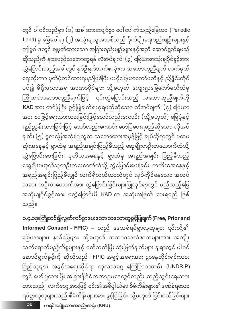အရည်အချင်းပြည့်မီလျှင် လက်ရှိလယ်ယာထဲတွင် လုပ်ကိုင်နေသော အလုပ် သမား တဦးတယောက်အား လွှဲပြောင်းခြင်းများပြုလုပ်ရာတွင် မည်သည့်မြေ အသုံးချပိုင်ခွင့်အား မလွှဲပြောင်းမီ KAD က အဆုံးအဖြတ် ပေးရမည် ဖြစ် သည်။ ၁.၄.၁၃။ကြိုတင်၍လွတ်လပ်စွာပေးသော သဘောတူနွင့်ပြုချက် (Free, Prior and Informed Consent - FPIC) – သည် ဒေသခံရပ်ရွာလူထုများ ၎င်းတို့၏ မြေယာများ၊ နယ်မြေများ သို့မဟုတ် သဘာဝသယံဇာတများအား အကျိုး သက်ရောက်မည့်ကိစ္စများနှင့် ပတ်သက်ပြီး ဆုံးဖြတ်ချက်များ ချရာတွင် ပါဝင် ဆောင်ရွက်ရွင့်ကို ဆိုလိုသည်။ FPIC အရွင့်အရေးအား ဌာနေတိုင်းရင်းသား

တွင် ပါဝင်သည်မှာ (၁) အခါအားလျော်စွာ ပေါ်ပေါက်သည့်မြေယာ (Periodic Land) မှ မြေမပါရ၊ (၂) အသုံးချသူအသစ်သည် စိုက်ပျိုးရေးစည်းမျဉ်းများနှင့် ဤမူဝါဒတွင် ချမှတ်ထားသော အခြားစည်းမျဉ်းများနှင့်အညီ ဆောင်ရွက်ရမည် ဆိုသည်ကို နားလည်သဘောတူရန် လိုအပ်ချက်၊ (၃) မြေယာအသုံးချပိုင်ခွင့်အား .<br>လွှဲပြောင်းသည့်အခါတွင် နှစ်ဦးနှစ်ဘက်စလုံးက သဘောတူညီချက် လက်မှတ် ရေးထိုးကာ မှတ်ပုံတင်ထားရမည်ဖြစ်ပြီး ဗဟိုမြေယာကော်မတီနှင့် ညှိနှိုင်းတိုင် ပင်၍ မိရိုးဖလာအရ အာဏာပိုင်များ သို့မဟုတ် ကျေးရွာမြေကော်မတီထံမှ ကြိုတင်သဘောတူညီချက်ဖြင့် ၎င်းလွှဲပြောင်းသည့် သဘောတူညီချက်ကို KAD အား တင်ပြပြီး ခွင့်ပြုချက်ရယူရမည်ဆိုသော လိုအပ်ချက်၊ (၄) မြေယာ အား စာဖြင့်ရေးသားထားခြင်းဖြင့်သော်လည်းကောင်း (သို့မဟုတ်) မြေပုံနှင့် ရည်ညွှန်းထားခြင်းဖြင့် သော်လည်းကောင်း ဖော်ပြပေးရမည်ဆိုသော လိုအပ် ချက်၊ (၅) မူလမြေအသုံးပြုသူက သဘောထားအမှန်ဖြင့် ချုပ်ဆိုရာတွင် ပထမ ဆုံးအနေနှင့် ရွာထဲမှ အရည်အချင်းပြည့်မီသည့် ဆွေမျိုးတဦးတယောက်ထံသို့ လွှဲပြောင်းပေးခြင်း၊ ဒုတိယအနေနှင့် ရွာထဲမှ အရည်အချင်း ပြည့်မီသည့် <br>ဆွေမျိုးမဟုတ်သူတဦးတယောက်ထံသို့ လွှဲပြောင်းပေးခြင်း၊ တတိယအနေနှင့်

ပြည်သူများ အခွင့်အရေးဆိုင်ရာ ကုလသမဂ္ဂ ကြေငြာစာတမ်း (UNDRIP) တွင် ဖော်ပြထားပြီး အခြားနိုင်ငံတကာဉပဒေတွင်လည်း ထည့်သွင်းရေးသား ထားသည်။ လက်တွေ့အားဖြင့် ၎င်း၏အဓိပ္ပါယ်မှာ စီမံကိန်းများ၏ဒဏ်ခံရသော ရပ်ရွာလူထုများသည် စီမံကိန်းများအား ခွင့်ပြုခြင်း သို့မဟုတ် ငြင်းပယ်ခြင်းများ ကရင်အမျိုးသားအစည်းအရုံး (KNU) ၁၈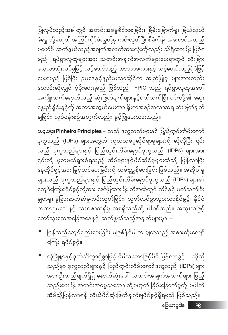• လုံခြုံစွာနှင့်ဂုဏ်သိက္ခာရှိစွာဖြင့် မိမိသဘောဖြင့်မိမိ ပြန်လာခွင့် – ဆိုလို သည်မှာ ဒုက္ခသည်များနှင့် ပြည်တွင်းတိမ်းရှောင်ဒုက္ခသည် (IDPs) များ \_\_\_\_<br>အား ဦးတည်ချက်ရှိရှိ နောက်ဆုံးပေါ် သတင်းအချက်အလက်များ ဖြည့် ဆည်းပေးပြီး အတင်းအဓမ္မသဘော သို့မဟုတ် ခြိမ်းခြောက်မှုတို့ မပါဘဲ အိမ်သို့ပြန်လာရန် ကိုယ်ပိုင်ဆုံးဖြတ်ချက်ချပိုင်ခွင့်ရှိရမည် ဖြစ်သည်။

- ပြန်လည်လျော်ကြေးပေးခြင်း မဖြစ်နိုင်ပါက မျှတသည့် အစားထိုးလျော် ကြေး ရပိုင်ခွင့်။
- များသည် ဒုက္ခသည်များနှင့် ပြည်တွင်းတိမ်းရှောင်ဒုက္ခသည် (IDPs) များ၏ လျော်ကြေးရပိုင်ခွင့်တို့အား ဖော်ပြထားပြီး ထိုအထဲတွင် လိင်နှင့် ပတ်သက်ပြီး မျှတမှု၊ ခွဲခြားဆက်ဆံမှုကင်းလွတ်ခြင်း၊ လွတ်လပ်စွာသွားလာနိုင်ခွင့်၊ နိုင်ငံ တကာဥပဒေ နှင့် သဟဇာတရှိမှု အစရှိသည်တို့ ပါဝင်သည်။ အထူးသဖြင့် ကော်သူးလေအခြေအနေနှင့် ဆက်နွယ်သည့်အချက်များမှာ –

**ာ.၄.၁၄၊ Pinheiro Principles** – သည် ဒုက္ခသည်များနှင့် ပြည်တွင်းတိမ်းရှောင် ဒုက္ခသည် (IDPs) များအတွက် ကုလသမဂ္ဂဆိုင်ရာမူများကို ဆိုလိုပြီး ၎င်း သည် ဒုက္ခသည်များနှင့် ပြည်တွင်းတိမ်းရှောင်ဒုက္ခသည် (lDPs) များအား ၎င်းတို့ မူလဖယ်ရှားခံရသည့် အိမ်များနှင့်ပိုင်ဆိုင်မှုများထံသို့ ပြန်လာပြီး နေထိုင်ခွင့်အား မြှင့်တင်ပေးခြင်းကို လမ်းညွှန်ပေးခြင်း ဖြစ်သည်။ အဆိုပါမူ

ပြုလုပ်သည့်အခါတွင် အတင်းအဓမ္မခိုင်းစေခြင်း၊ ခြိမ်းခြောက်မှု၊ ခြယ်လှယ် ခံရမှု သို့မဟုတ် အကြပ်ကိုင်ခံရမှုတို့မှ ကင်းလွတ်ပြီး စီမံကိန်း အကောင်အထည် မဖော်မီ ဆက်နွယ်သည့်အချက်အလက်အားလုံးကိုလည်း သိရှိထားပြီး ဖြစ်ရ မည်။ ရပ်ရွာလူထုများအား သတင်းအချက်အလက်များပေးရာတွင် သီးခြား လေ့လာသုံးသပ်မှုဖြင့် သင့်တော်သည့် ဘာသာစကားနှင့် သင့်တော်သည့်ပုံစံဖြင့် ပေးရမည် ဖြစ်ပြီး ဥပဒေနှင့်နည်းပညာဆိုင်ရာ အကြံပြုမှု များအားလည်း တောင်းဆိုလျှင် ပံ့ပိုးပေးရမည် ဖြစ်သည်။ FPIC သည် ရပ်ရွာလူထုအပေါ် အကျိုးသက်ရောက်သည့် ဆုံးဖြတ်ချက်များနှင့်ပတ်သက်ပြီး ၎င်းတို့၏ ဆွေး နွေးညှိနိူင်းခွင့်ကို အကာအကွယ်ပေးကာ ရိုးရာအစဉ်အလာအရ ဆုံးဖြတ်ချက် ချခြင်း လုပ်ငန်းစဉ်အတွက်လည်း ခွင့်ပြုပေးထားသည်။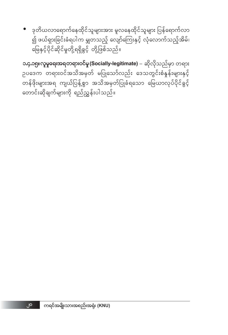ကရင်အမျိုးသားအစည်းအရုံး (KNU)

၂၀

• ဒုတိယလာရောက်နေထိုင်သူများအား မူလနေထိုင်သူများ ပြန်ရောက်လာ ၍ ဖယ်ရှားခြင်းခံရပါက မျှတသည့် လျော်ကြေးနှင့် လုံလောက်သည့်အိမ်၊ မြေနှင့်ပိုင်ဆိုင်မှုတို့ရရှိခွင့် တို့ဖြစ်သည်။

**၁.၄.၁၅။လူမှုရေးအရတရားဝင်မှု (Socially-legitimate)** – ဆိုလိုသည်မှာ တရား ဉပဒေက တရားဝင်အသိအမှတ် မပြုသော်လည်း ဒေသတွင်းစံနှန်းများနှင့် တန်ဖိုးများအရ ကျယ်ပြန့်စွာ အသိအမှတ်ပြုခံရသော မြေယာလုပ်ပိုင်ခွင့် တောင်းဆိုချက်များကို ရည်ညွှန်းပါသည်။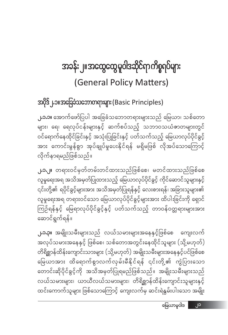## အခန်း ၂။ အထွေထွေ မူဝါဒဆိုင်ရာ ကိစ္စရပ်များ (General Policy Matters)

#### အပိုဒ် ၂.၁။အခြေခံသဘောတရားများ (Basic Principles)

**၂.၁.၁။** အောက်ဖော်ပြပါ အခြေခံသဘောတရားများသည် မြေယာ၊ သစ်တော များ၊ ရေ၊ ရေလုပ်ငန်းများနှင့် ဆက်စပ်သည့် သဘာဝသယံဇာတများတွင် ဝင်ရောက်နေထိုင်ခြင်းနှင့် အသုံးပြုခြင်းနှင့် ပတ်သက်သည့် မြေယာလုပ်ပိုင်ခွင့် <u>အား ကောင်းမွန်စွာ အုပ်ချုပ်မှုပေးနိုင်ရန် မရှိမဖြစ် လိုအပ်သောကြောင့်</u> လိုက်နာရမည်ဖြစ်သည်။

**၂.၁.၂။** တရားဝင်မှတ်တမ်းတင်ထားသည်ဖြစ်စေ၊ မတင်ထားသည်ဖြစ်စေ လူမှုရေးအရ အသိအမှတ်ပြုထားသည့် မြေယာလုပ်ပိုင်ခွင့် ကိုင်ဆောင်သူများနှင့် ၎င်းတို့၏ ရပိုင်ခွင့်များအား အသိအမှတ်ပြုရန်နှင့် လေးစားရန်၊ အခြားသူများ၏ လူမှုရေးအရ တရားဝင်သော မြေယာလုပ်ပိုင်ခွင့်များအား ထိပါးခြင်းကို ရှောင် ကြဉ်ရန်နှင့် မြေရာလုပ်ပိုင်ခွင့်နှင့် ပတ်သက်သည့် တာဝန်ဝတ္တရားများအား ဆောင်ရွက်ရန်။

**၂.၁.၃။** အမျိုးသမီးများသည် လယ်သမားများအနေနှင့်ဖြစ်စေ ကျေးလက် အလုပ်သမားအနေနှင့် ဖြစ်စေ၊ သစ်တောအတွင်းနေထိုင်သူများ (သို့မဟုတ်) တိရိစ္ဆာန်ထိန်းကျောင်းသားများ (သို့မဟုတ်) အမျိုးသမီးများအနေနှင့်ပင်ဖြစ်စေ မြေယာအား ထိရောက်စွာလက်လှမ်းမီနိုင်ရန် ၎င်းတို့၏ ကွဲပြားသော တောင်းဆိုပိုင်ခွင့်ကို အသိအမှတ်ပြုရမည်ဖြစ်သည်။ အမျိုးသမီးများသည် လယ်သမားများ၊ ယာယီလယ်သမားများ၊ တိရိစ္ဆာန်ထိန်းကျောင်းသူများနှင့် ထင်းကောက်သူများ ဖြစ်သောကြောင့် ကျေးလက်မှ ဆင်းရဲနွမ်းပါးသော အမျိုး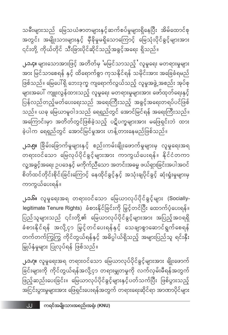**၂.၁.ဂု။** လူမှုရေးအရ တရားဝင်သော မြေယာလုပ်ပိုင်ခွင့်များအား ချိုးဖောက် ခြင်းများကို ကိုင်တွယ်ရန်အလို့ငှာ တရားမျှတမှုကို လက်လှမ်းမီရန်အတွက် ဖြည့်ဆည်းပေးခြင်း။ မြေယာလုပ်ပိုင်ခွင့်များနှင့်ပတ်သက်ပြီး ဖြစ်ပွားသည့် အငြင်းပွားမှုများအား ဖြေရှင်းပေးရန်အတွက် တရားရေးဆိုင်ရာ အာဏာပိုင်များ

**၂.၁.၆။** လူမှုရေးအရ တရားဝင်သော မြေယာလုပ်ပိုင်ခွင့်များ (Sociallylegitimate Tenure Rights) ခံစားနိုင်ခြင်းကို မြှင့်တင်ပြီး ထောက်ပံ့ပေးရန်။ ပြည်သူများသည် ၎င်းတို့၏ မြေယာလုပ်ပိုင်ခွင့်များအား အပြည့်အဝရရှိ ခံစားနိုင်ရန် အလို့ငှာ မြှင့်တင်ပေးရန်နှင့် သေချာစွာဆောင်ရွက်စေရန် တက်တက်ကြွကြွ ကိုင်တွယ်ရန်နှင့် အဓိပ္ပါယ်ရှိသည့် အများပြည်သူ ရင်းနှီး မြှုပ်နှံမှုများ ပြုလုပ်ရန် ဖြစ်သည်။

ကာကွယ်ပေးရန်။

**၂.၁.၅။** ခြိမ်းခြောက်မှုများနှင့် စည်းကမ်းချိုးဖောက်မှုများမှ လူမှုရေးအရ တရားဝင်သော မြေလုပ်ပိုင်ခွင့်များအား ကာကွယ်ပေးရန်။ နိုင်ငံတကာ လူ့အခွင့်အရေး ဉပဒေနှင့် မကိုက်ညီသော အတင်းအဓမ္မ ဖယ်ရှားခြင်းအပါအဝင် စိတ်ထင်တိုင်းစိုင်းခြင်းကြောင့် နေထိုင်ခွင့်နှင့် အသုံးချပိုင်ခွင့် ဆုံးရှုံးမှုများမှ

**၂.၁.၄။** များသောအားဖြင့် အတိတ်မှ 'မမြင်သာသည့် 'လူမှုရေး မတရားမှုများ အား မြင်သာစေရန် နှင့် ထိရောက်စွာ ကုသနိုင်ရန် သမိုင်းအား အခြေခံရမည် ဖြစ်သည်။ မြေပေါ်ရှိ ဘေးဒုက္ခ ကျရောက်လွယ်သည့် လူမှုအဖွဲ့ အစည်း အုပ်စု များအပေါ် ကျူးလွန်ထားသည့် လူမှုရေး မတရားမှုများအား ဖော်ထုတ်ရေးနှင့် ပြန်လည်တည့်မတ်ပေးရေးသည် အရေးကြီးသည့် အခွင့်အရေးတရပ်ပင်ဖြစ် သည်။ ယခု မြေယာမူဝါဒသည် ရေရှည်တွင် အောင်မြင်ရန် အရေးကြီးသည်။ အကြောင်းမှာ အတိတ်တွင်ဖြစ်ခဲ့သည့် ပဋိပက္ခများအား မဖြေရှင်းဘဲ ထား ခဲ့ပါက ရေရှည်တွင် အောင်မြင်မှုအား ဟန့်တားနေမည်ဖြစ်သည်။

သမီးများသည် မြေသယံဇာတများနှင့်ဆက်စပ်မှုများရှိနေပြီး အိမ်ထောင်စု အတွင်း အမျိုးသားများနှင့် မှီခိုမှုမရှိသောကြောင့် မြေသုံးပိုင်ခွင့်များအား ၎င်းတို့ ကိုယ်တိုင် သီးခြားပိုင်ဆိုင်သည့်အခွင့်အရေး ရှိသည်။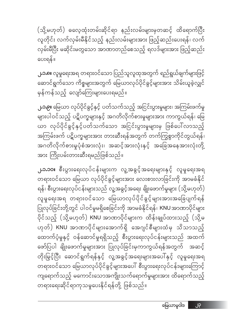**၂.၁.၁၀။** စီးပွားရေးလုပ်ငန်းများက လူ့အခွင့်အရေးများနှင့် လူမှုရေးအရ တရားဝင်သော မြေယာ လုပ်ပိုင်ခွင့်များအား လေးစားလာခြင်းကို အာမခံနိုင် ရန်၊ စီးပွားရေးလုပ်ငန်းများသည် လူ့အခွင့်အရေး ချိုးဖောက်မှုများ (သို့မဟုတ်) လူမှုရေးအရ တရားဝင်သော မြေယာလုပ်ပိုင်ခွင့်များအားအခြေပျက်ရန် ပြုလုပ်ခြင်းတို့တွင် ပါဝင်မှုမရှိစေခြင်းကို အာမခံနိုင်ရန်၊ KNU အာဏာပိုင်များ ပိုင်သည့် (သို့မဟုတ်) KNU အာဏာပိုင်များက ထိန်းချုပ်ထားသည့် (သို့မ .<br>ဟုတ်) KNU အာဏာပိုင်များအောက်ရှိ အေဂျင်စီများထံမှ သိသာသည့် ထောက်ပံ့မှုနှင့် ဝန်ဆောင်မှုရရှိသည့် စီးပွားရေးလုပ်ငန်းများသည် အထက် ဖော်ပြပါ ချိုးဖောက်မှုများအား ပြုလုပ်ခြင်းမှကာကွယ်ရန်အတွက် အဆင့် တိုးမြှင့်ပြီး ဆောင်ရွက်ရန်နှင့် လူ့အခွင့်အရေးများအပေါ်နှင့် လူမှုရေးအရ တရားဝင်သော မြေယာလုပ်ပိုင်ခွင့်များအပေါ် စီးပွားရေးလုပ်ငန်းများကြောင့် ကျရောက်သည့် မကောင်းသောအကျိုးသက်ရောက်မှုများအား ထိရောက်သည့် တရားရေးဆိုင်ရာကုသမှုပေးနိုင်ရန်တို့ ဖြစ်သည်။

**၂.၁.၉။** မြေယာ လုပ်ပိုင်ခွင့်နှင့် ပတ်သက်သည့် အငြင်းပွားမှုများ၊ အကြမ်းဖက်မှု များပါဝင်သည့် ပဋိပက္ခများနှင့် အဂတိလိုက်စားမှုများအား ကာကွယ်ရန်၊ မြေ ယာ လုပ်ပိုင်ခွင့်နှင့်ပတ်သက်သော အငြင်းပွားမှုများမှ ဖြစ်ပေါ်လာသည့် အကြမ်းဖက် ပဋိပက္ခများအား တားဆီးရန်အတွက် တက်ကြွစွာကိုင်တွယ်ရန်၊ အဂတိလိုက်စားမှုပုံစံအားလုံး၊ အဆင့်အားလုံးနှင့် အခြေအနေအားလုံးတို့ အား ကြိုးပမ်းတားဆီးရမည်ဖြစ်သည်။

**၂.၁.၈။** လူမှုရေးအရ တရားဝင်သော ပြည်သူလူထုအတွက် ရည်ရွယ်ချက်များဖြင့် ဆောင်ရွက်သော ကိစ္စများအတွက် မြေယာလုပ်ပိုင်ခွင့်များအား သိမ်းယူခဲ့လျှင် မှန်ကန်သည့် လျော်ကြေးများပေးရမည်။

ပေးရန်။

(သို့မဟုတ်) ဓလေ့ထုံးတမ်းဆိုင်ရာ နည်းလမ်းများမှတဆင့် ထိရောက်ပြီး လူတိုင်း လက်လှမ်းမီနိုင်သည့် နည်းလမ်းများအား ဖြည့်ဆည်းပေးရန်၊ လက် လှမ်းမီပြီး မဆိုင်းမတွသော အာဏာတည်စေသည့် ရလဒ်များအား ဖြည့်ဆည်း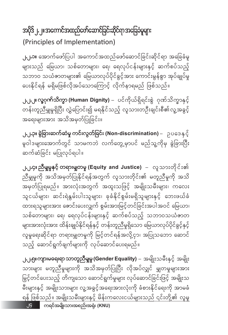#### အပိုဒ် ၂.၂။အကောင်အထည်ဖော်ဆောင်ခြင်းဆိုင်ရာအခြေခံမူများ (Principles of Implementation)

**၂.၂.၁။** အောက်ဖော်ပြပါ အကောင်အထည်ဖော်ဆောင်ခြင်းဆိုင်ရာ အခြေခံမူ များသည် မြေယာ၊ သစ်တောများ၊ ရေ၊ ရေလုပ်ငန်းများနှင့် ဆက်စပ်သည့် သဘာဝ သယံဇာတများ၏ မြေယာလုပ်ပိုင်ခွင့်အား ကောင်းမွန်စွာ အုပ်ချုပ်မှု ပေးနိုင်ရန် မရှိမဖြစ်လိုအပ်သောကြောင့် လိုက်နာရမည် ဖြစ်သည်။

၂.၂.၂။ လူ့**ဂုက်သိက္ခာ (Human Dignity)** – ပင်ကိုယ်ရှိရင်းစွဲ ဂုဏ်သိက္ခာနှင့် တန်းတူညီမျှမှုရှိပြီး လွှဲပြောင်း၍ မရနိုင်သည့် လူသားတဦးချင်းစီ၏လူ့အခွင့် အရေးများအား အသိအမှတ်ပြုခြင်း။

၂.၂<mark>.၃။ စွဲခြားဆက်ဆံမှု ကင်းလွတ်ခြင်း (Non-discrimination)</mark> – ာုပဒေနှင့် မူဝါဒများအောက်တွင် သာမကဘဲ လက်တွေ့မှာပင် မည်သူ့ကိုမှ ခွဲခြားပြီး ဆက်ဆံခြင်း မပြုလုပ်ရပါ။

၂.၂**.၄။ ညီမျမှုနှင့် တရားမျတမှု (Equity and Justice)** – လူသားတိုင်း၏ ညီမျှမူကို အသိအမှတ်ပြုနိုင်ရန်အတွက် လူသားတိုင်း၏ မတူညီမှုကို အသိ အမှတ်ပြုရမည်။ အားလုံးအတွက် အထူးသဖြင့် အမျိုးသမီးများ၊ ကလေး သူငယ်များ၊ ဆင်းရဲနွမ်းပါးသူများ၊ ခုခံနိုင်စွမ်းမရှိသူများနှင့် ဘေးဖယ်ခံ ထားရသူများအား ဇောင်းပေးလျှက် စွမ်းအားမြင့်တင်ခြင်းအပါအဝင် မြေယာ၊ သစ်တောများ၊ ရေ၊ ရေလုပ်ငန်းများနှင့် ဆက်စပ်သည့် သဘာဝသယံဇာတ များအားလုံးအား ထိန်းချုပ်နိုင်ရန်နှင့် တန်းတူညီမှုရှိသော မြေယာလုပ်ပိုင်ခွင့်နှင့် လူမှုရေးဆိုင်ရာ တရားမျှတမှုကို မြင့်တင်ရန်အလို့ငှာ၊ အပြုသဘော ဆောင် သည့် ဆောင်ရွက်ချက်များကို လုပ်ဆောင်ပေးရမည်။

၂.၂.၅။ကျားမရေးရာ သာတူညီမျှမှု (Gender Equality) – အမျိုးသမီးနှင့် အမျိုး သားများ မတူညီမှုများကို အသိအမှတ်ပြုပြီး လိုအပ်လျှင် မျှတမှုများအား .<br>မြှင့်တင်ပေးသည့် တိကျသော ဆောင်ရွက်မှုများ လုပ်ဆောင်ခြင်းဖြင့် အမျိုးသ မီးများနှင့် အမျိုးသားများ လူ့အခွင့်အရေးအားလုံးကို ခံစားနိုင်ရေးကို အာမခံ ရန် ဖြစ်သည်။ အမျိုးသမီးများနှင့် မိန်းကလေးငယ်များသည် ၎င်းတို့၏ လူမှု ၂၄ ကရင်အမျိုးသားအစည်းအရုံး (KNU)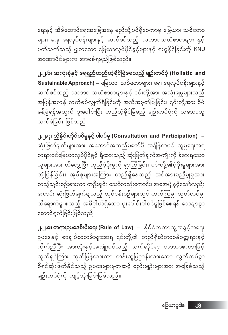ရေးနှင့် အိမ်ထောင်ရေးအခြေအနေ မည်သို့ပင်ရှိစေကာမူ မြေယာ၊ သစ်တော များ၊ ရေ၊ ရေလုပ်ငန်းများနှင့် ဆက်စပ်သည့် သဘာဝသယံဇာတများ နှင့် ပတ်သက်သည့် မျှတသော မြေယာလုပ်ပိုင်ခွင့်များနှင့် ရယူနိုင်ခြင်းကို KNU အာဏာပိုင်များက အာမခံရမည်ဖြစ်သည်။

၂.၂.၆။ အလုံးစုံနှင့် ရေရှည်တည်တံ့ခိုင်မြဲစေသည့် ရျဉ်းကပ်ပုံ (Holistic and **Sustainable Approach)** – မြေယာ၊ သစ်တောများ၊ ရေ၊ ရေလုပ်ငန်းများနှင့် ဆက်စပ်သည့် သဘာ၀ သယံဇာတများနှင့် ၎င်းတို့အား အသုံးချမှုများသည် အပြန်အလှန် ဆက်စပ်လျှက်ရှိခြင်းကို အသိအမှတ်ပြုခြင်း၊ ၎င်းတို့အာ<mark>း</mark> စီမံ ခန့်ခွဲရန်အတွက် ပူးပေါင်းပြီး တည်တံ့ခိုင်မြဲမည့် ချဉ်းကပ်ပုံကို သဘောတူ လက်ခံခြင်း ဖြစ်သည်။

၂.၂.၇။ ညှိနိူင်းတိုင်ပင်မှုနှင့် ပါဝင်မှု (Consultation and Participation) – ဆုံးဖြတ်ချက်များအား အကောင်အထည်မဖော်မီ အချိန်ကပင် လူမှုရေးအရ တရားဝင်မြေယာလုပ်ပိုင်ခွင့် ရှိထားသည့် ဆုံးဖြတ်ချက်အကျိုးကို ခံစားရသော သူများအား ထိတွေ့ပြီး ကူညီပံ့ပိုးမှုကို ရှာကြံခြင်း၊ ၎င်းတို့၏ပံ့ပိုးမှုများအား တုံ့ပြန်ခြင်း၊ အုပ်စုများအကြား တည်ရှိနေသည့် အင်အားမညီမျှမှုအား ထည့်သွင်းစဉ်းစားကာ တဦးချင်း သော်လည်းကောင်း၊ အစုအဖွဲ့ နှင့်သော်လည်း ကောင်း ဆုံးဖြတ်ချက်ချသည့် လုပ်ငန်းစဉ်များတွင် တက်ကြွမှု၊ လွတ်လပ်မှု၊ ထိရောက်မှု စသည့် အဓိပ္ပါယ်ရှိသော ပူးပေါင်းပါဝင်မှုဖြစ်စေရန် သေချာစွာ ဆောင်ရွက်ခြင်းဖြစ်သည်။

**၂.၂.၈။ တရားဥပဒေစိုးမိုးရေး (Rule\_of\_Law)** – ္ထိုင်ငံတကာလူ့အခွင့်အရေး ဉပဒေနှင့် စာချုပ်စာတမ်းများအရ ၎င်းတို့၏ တည်ရှိဆဲတာဝန်ဝတ္တရားနှင့် ကိုက်ညီပြီး အားလုံးနှင့်အကျုံးဝင်သည့် သက်ဆိုင်ရာ ဘာသာစကားဖြင့် လူသိရှင်ကြား ထုတ်ပြန်ထားကာ တန်းတူပြဌာန်းထားသော လွတ်လပ်စွာ စီရင်ဆုံးဖြတ်နိုင်သည့် ဥပဒေများမှတဆင့် စည်းမျဉ်းများအား အခြေခံသည့် ချဉ်းကပ်ပုံကို ကျင့်သုံးခြင်းဖြစ်သည်။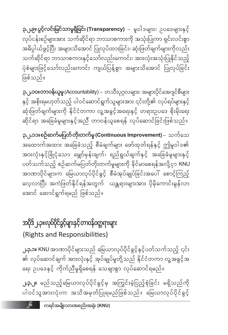**၂.၃.၂။** မည်သည့်မြေယာလုပ်ပိုင်ခွင့်မှ အကြွင်းမဲ့ပြည့်စုံခြင်း မရှိသည်ကို ပါဝင်သူအားလုံးက အသိအမှတ်ပြုရမည်ဖြစ်သည်။ မြေယာလုပ်ပိုင်ခွင့်

**၂.၃.၁။** KNU အာဏာပိုင်များသည် မြေယာလုပ်ပိုင်ခွင့်နှင့်ပတ်သက်သည့် ၎င်း ၏ လုပ်ဆောင်ချက် အားလုံးနှင့် အုပ်ချုပ်မှုတို့သည် နိုင်ငံတကာ လူ့အခွင့်အ ရေး ဥပဒေနှင့် ကိုက်ညီမှုရှိစေရန် သေချာစွာ လုပ်ဆောင်ရမည်။

#### အပိုဒ် ၂.၃။ လုပ်ပိုင်ခွင့်များနှင့် တာဝန်ဝတ္တရားများ (Rights and Responsibilities)

၃.၂.၁၁။စဉ်ဆက်မပြတ်တိုးတက်မှု (Continuous Improvement) – သက်သေ အထောက်အထား အခြေခံသည့် စီမံချက်များ ဖော်ထုတ်ရန်နှင့် ဤမူဝါဒ၏ အားလုံးနှင့်ခြုံငုံသော မျှော်မှန်းချက်၊ ရည်ရွယ်ချက်နှင့် အခြေခံမူများနှင့် ပတ်သက်သည့် စဉ်ဆက်မပြတ်တိုးတက်မှုများကို နိုင်မာစေရန်အလို့ငှာ KNU အာဏာပိုင်များက မြေယာလုပ်ပိုင်ခွင့် စီမံအုပ်ချုပ်ခြင်းအပေါ် စောင့်ကြည့် လေ့လာပြီး အကဲဖြတ်နိုင်ရန်အတွက် ယန္တရားများအား ပိုမိုကောင်းမွန်လာ အောင် ဆောင်ရွက်ရမည် ဖြစ်သည်။

**၃.၂.၁ဝ။တာဝန်ယူမှု** (Accountability) – တသီးပုဂ္ဂလများ၊ အများပိုင်အေဂျင်စီများ နှင့် အစိုးရမဟုတ်သည့် ပါဝင်ဆောင်ရွက်သူများအား ၎င်းတို့၏ လုပ်ရပ်များနှင့် ဆုံးဖြတ်ချက်များကို နိုင်ငံတကာ လူ့အခွင့်အရေးနှင့် တရားဉပဒေ စိုးမိုးရေး ဆိုင်ရာ အခြေခံမူများနှင့်အညီ တာဝန်ယူစေရန် လုပ်ဆောင်ခြင်းဖြစ်သည်။

**၃.၂၉။ ပွင့်လင်းမြင်သာမှုရှိခြင်း (Transparency)** – မူဝါဒများ၊ ဥပဒေများနှင့် လုပ်ငန်းစဉ်များအား သက်ဆိုင်ရာ ဘာသာစကားကို အသုံးပြုကာ ရှင်းလင်းစွာ အဓိပ္ပါယ်ဖွင့်ပြီး အများသိအောင် ပြုလုပ်ထားခြင်း၊ ဆုံးဖြတ်ချက်များကိုလည်း သက်ဆိုင်ရာ ဘာသာစကားနှင့်သော်လည်းကောင်း၊ အားလုံးအသုံးပြုနိုင်သည့် ပုံစံများဖြင့်သော်လည်းကောင်း ကျယ်ပြန့်စွာ အများသိအောင် ပြုလုပ်ခြင်း ဖြစ်သည်။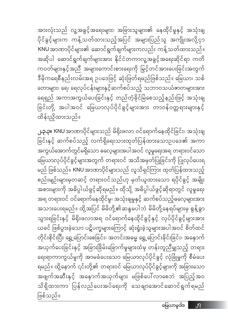**၂.၃.၃။** KNU အာဏာပိုင်များသည် မိရိုးဖလာ ဝင်ရောက်နေထိုင်ခြင်း၊ အသုံးချ ခြင်းနှင့် ဆက်စပ်သည့် လက်ရှိရေးသားထုတ်ပြန်ထားသောဉပဒေ၏ အကာ အကွယ်အောက်တွင်မရှိသော ဓလေ့များအပါအဝင် လူမှုရေးအရ တရားဝင်သော မြေယာလုပ်ပိုင်ခွင့်များအတွက် တရားဝင် အသိအမှတ်ပြုခြင်းကို ပြုလုပ်ပေးရ မည် ဖြစ်သည်။ KNU အာဏာပိုင်များသည် လူသိရှင်ကြား ထုတ်ပြန်ထားသည့် စည်းမျဉ်းများမှတဆင့် တရားဝင်သည်ဟု မှတ်ယူထားသော ရပိုင်ခွင့် အမျိုး အစားများကို အဓိပ္ပါယ်ဖွင့်ဆိုရမည်။ ထိုသို့ အဓိပ္ပါယ်ဖွင့်ဆိုရာတွင် လူမှုရေး အရ တရားဝင် ဝင်ရောက်နေထိုင်မှု၊ အသုံးချမှုနှင့် ဆက်စပ်သည့်ဓလေ့များအား အသားပေးရမည်။ ထို့အပြင် မိမိတို့၏ဆန္ဒမပါဘဲ မိမိတို့နေရပ်များမှ စွန့်ခွာ သွားရခြင်းနှင့် မိရိုးဖလာအရ ဝင်ရောက်နေထိုင်ခွင့်နှင့် လုပ်ပိုင်ခွင့်များအား ယခင် ဖြစ်ပွားခဲ့သော ပဋိပက္ခများကြောင့် ဆုံးရှုံးခဲ့သူများအပါအဝင် စိတ်ထင် တိုင်းစိုင်းပြီး ရွှေ့ပြောင်းစေခြင်း၊ အတင်းအဓမ္မ ရွှေ့ပြောင်းခိုင်းခြင်း၊ အနောက် အယှက်ပေးခြင်းနှင့် အခြားခြိမ်းခြောက်မှုများထံမှ တန်းတူညီမျှသည့် တရား ရေးရာကာကွယ်မှုကို အာမခံပေးသော မြေယာလုပ်ပိုင်ခွင့် လုံခြုံမှုကို စီမံပေး ရမည်။ ထို့နောက် ၎င်းတို့၏ တရားဝင် မြေယာလုပ်ပိုင်ခွင့်များကို အခြားသော အဖျက်အဆီးနှင့် အနှောက်အယှက်များ မဖြစ်ပေါ်လာစေဘဲ အပြည့်အဝ သိရှိထားကာ ပြန်လည်ပေးအပ်ရေးကို သေချာအောင်ဆောင်ရွက်ရမည် ဖြစ်သည်။

ထိန်းညှိထားသည်။

အားလုံးသည် လူ့အခွင့်အရေးများ၊ အခြားသူများ၏ နေထိုင်မှုနှင့် အသုံးချ ပိုင်ခွင့်များက ကန့်သတ်ထားသည့်အပြင် အများပြည်သူ အကျိုးအလို့ငှာ KNU အာဏာပိုင်များ၏ ဆောင်ရွက်ချက်များကလည်း ကန့်သတ်ထားသည်။ အဆိုပါ ဆောင်ရွက်ချက်များအား နိုင်ငံတကာလူ့အခွင့်အရေးဆိုင်ရာ ကတိ ကဝတ်များနှင့်အညီ အများကောင်းစားရေးကို မြှင့်တင်အားပေးခြင်းအတွက် ဒီမိုကရေစီနည်းလမ်းအရ ဥပဒေဖြင့် ဆုံးဖြတ်ရမည်ဖြစ်သည်။ မြေယာ၊ သစ် တောများ၊ ရေ၊ ရေလုပ်ငန်းများနှင့်ဆက်စပ်သည့် သဘာဝသယံဇာတများအား ရေရှည် အကာအကွယ်ပေးခြင်းနှင့် တည်တံ့ခိုင်မြဲစေသည့်နည်းဖြင့် အသုံးချ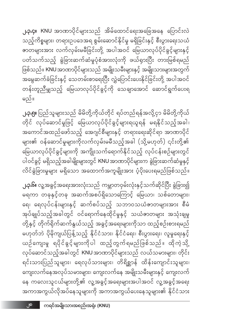**၂.၃.၆။** လူ့အခွင့်အရေးအားလုံးသည် ကမ္ဘာတဝှမ်းလုံးနှင့်သက်ဆိုင်ပြီး ခွဲခြား၍ မရကာ တခုနှင့်တခု အဆက်အစပ်ရှိသောကြောင့် မြေယာ၊ သစ်တောများ၊ ရေ၊ ရေလုပ်ငန်းများနှင့် ဆက်စပ်သည့် သဘာဝသယံဇာတများအား စီမံ အုပ်ချုပ်သည့်အခါတွင် ဝင်ရောက်နေထိုင်မှုနှင့် သယံဇာတများ အသုံးချမှု တို့နှင့် တိုက်ရိုက်ဆက်နွယ်သည့် အခွင့်အရေးများကိုသာ ထည့်စဉ်းစားရမည် မဟုတ်ဘဲ ပိုမိုကျယ်ပြန့်သည့် နိုင်ငံသား၊ နိုင်ငံရေး၊ စီးပွားရေး၊ လူမှုရေးနှင့် ယဉ်ကျေးမှု ရပိုင်ခွင့်များကိုပါ ထည့်တွက်ရမည်ဖြစ်သည်။ ထိုကဲ့သို့ လုပ်ဆောင်သည့်အခါတွင် KNU အာဏာပိုင်များသည် လယ်သမားများ၊ တိုင်း ရင်းသားပြည်သူများ၊ ရေလုပ်သားများ၊ တိရိစ္ဆာန် ထိန်းကျောင်းသူများ၊ ကျေးလက်နေအလုပ်သမားများ၊ ကျေးလက်နေ အမျိုးသမီးများနှင့် ကျေးလက် နေ ကလေးသူငယ်များတို့၏ လူ့အခွင့်အရေးများအပါအဝင် လူ့အခွင့်အရေး အကာအကွယ်လိုအပ်နေသူများကို အကာအကွယ်ပေးနေသူများ၏ နိုင်ငံသား

**၂.၃.၅။** ပြည်သူများသည် မိမိတို့ကိုယ်တိုင် ရပ်တည်ရန်အလို့ငှာ မိမိတို့ကိုယ် တိုင် လုပ်ဆောင်မှုဖြင့် မြေယာလုပ်ပိုင်ခွင့်များရယူရန် မရနိုင်သည့်အခါ၊ အကောင်အထည်ဖော်သည့် အေဂျင်စီများနှင့် တရားရေးဆိုင်ရာ အာဏာပိုင် များ၏ ဝန်ဆောင်မှုများကိုလက်လှမ်းမမီသည့်အခါ (သို့မဟုတ်) ၎င်းတို့၏ မြေယာလုပ်ပိုင်ခွင့်များကို အကျိုးသက်ရောက်နိုင်သည့် လုပ်ငန်းစဉ်များတွင် ပါဝင်ခွင့် မရှိသည့်အခါမျိုးများတွင် KNU အာဏာပိုင်များက ခွဲခြားဆက်ဆံမှုနှင့် လိင်ခွဲခြားမှုများ မရှိသော အထောက်အကူမျိုးအား ပံ့ပိုးပေးရမည်ဖြစ်သည်။

မည်။

**၂.၃.၄။ KNU** အာဏာပိုင်များသည် အိမ်ထောင်ရေးအခြေအနေ ပြောင်းလဲ သည့်ကိစ္စများ၊ တရားဥပဒေအရ စွမ်းဆောင်နိုင်မှု မရှိခြင်းနှင့် စီးပွားရေးသယံ ဇာတများအား လက်လှမ်းမမီခြင်းတို့ အပါအဝင် မြေယာလုပ်ပိုင်ခွင့်များနှင့် ပတ်သက်သည့် ခွဲခြားဆက်ဆံမှုပုံစံအားလုံးကို ဖယ်ရှားပြီး တားမြစ်ရမည် ဖြစ်သည်။ KNU အာဏာပိုင်များသည် အမျိုးသမီးများနှင့် အမျိုးသားများအတွက် အမွေဆက်ခံခြင်းနှင့် သေတမ်းစာရေးပြီး လွှဲပြောင်းပေးနိုင်ခြင်းတို့ အပါအဝင်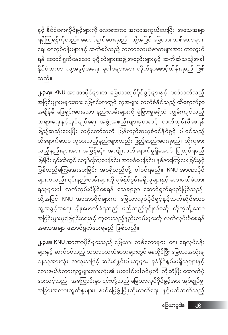မြေယာမူဝါဒ ၂၉

**၂.၃.၈။** KNU အာဏာပိုင်များသည် မြေယာ၊ သစ်တောများ၊ ရေ၊ ရေလုပ်ငန်း များနှင့် ဆက်စပ်သည့် သဘာဝသယံဇာတများတွင် နေထိုင်ပြီး မြေယာအသုံးချ နေသူအားလုံး၊ အထူးသဖြင့် ဆင်းရဲနွမ်းပါးသူများ၊ ခုခံနိုင်စွမ်းမရှိသူများနှင့် ဘေးဖယ်ခံထားရသူများအားလုံး၏ ပူးပေါင်းပါဝင်မှုကို ကြိုဆိုပြီး ထောက်ပံ့ ပေးသင့်သည်။ အကြောင်းမှာ ၎င်းတို့သည် မြေယာလုပ်ပိုင်ခွင့်အား အုပ်ချုပ်မှု၊ အခြားအလားတူကိစ္စများ၊ နယ်မြေဖွံ့ဖြိုးတိုးတက်ရေး နှင့်ပတ်သက်သည့်

အသေအချာ ဆောင်ရွက်ပေးရမည် ဖြစ်သည်။

**၂.၃.ဂု။ KNU** အာဏာပိုင်များက မြေယာလုပ်ပိုင်ခွင့်များနှင့် ပတ်သက်သည့် အငြင်းပွားမှုများအား ဖြေရှင်းရာတွင် လူအများ လက်ခံနိုင်သည့် ထိရောက်စွာ အချိန်မီ ဖြေရှင်းပေးသော နည်းလမ်းများကို ခွဲခြားမှုမရှိဘဲ ကျွမ်းကျင်သည့် တရားရေးနှင့်အုပ်ချုပ်ရေး အဖွဲ့အစည်းများမှတဆင့် လက်လှမ်းမီစေရန် ဖြည့်ဆည်းပေးပြီး သင့်တော်သလို ပြန်လည်အယူခံဝင်နိုင်ခွင့် ပါဝင်သည့် ထိရောက်သော ကုစားသည့်နည်းများလည်း ဖြည့်ဆည်းပေးရမည်။ ထိုကုစား သည့်နည်းများအား အမြန်ဆုံး အကျိုးသက်ရောက်မှုရှိအောင် ပြုလုပ်ရမည် ဖြစ်ပြီး ၎င်းထဲတွင် လျော်ကြေးပေးခြင်း၊ အာမခံပေးခြင်း၊ နစ်နာကြေးပေးခြင်းနှင့် -<br>ပြန်လည်ကြေအေးပေးခြင်း အစရှိသည်တို့ ပါဝင်ရမည်။ KNU အာဏာပိုင် များကလည်း ၎င်းနည်းလမ်းများကို ခုခံနိုင်စွမ်းမရှိသူများနှင့် ဘေးဖယ်ခံထား ရသူများပါ လက်လှမ်းမီနိုင်စေရန် သေချာစွာ ဆောင်ရွက်ရမည်ဖြစ်သည်။ ထို့အပြင် KNU အာဏာပိုင်များက မြေယာလုပ်ပိုင်ခွင့်နှင့်သက်ဆိုင်သော လူ့အခွင့်အရေး ချိုးဖောက်ခံရသည့် မည်သည့်ပုဂ္ဂိုလ်မဆို ထိုကဲ့သို့သော အငြင်းပွားမှုဖြေရှင်းရေးနှင့် ကုစားသည့်နည်းလမ်းများကို လက်လှမ်းမီစေရန်

သည်။

နှင့် နိုင်ငံရေးရပိုင်ခွင့်များကို လေးစားကာ အကာအကွယ်ပေးပြီး အသေအချာ ရရှိကြရန်ကိုလည်း ဆောင်ရွက်ပေးရမည်။ ထို့အပြင် မြေယာ၊ သစ်တောများ၊ ရေ၊ ရေလုပ်ငန်းများနှင့် ဆက်စပ်သည့် သဘာဝသယံဇာတများအား ကာကွယ် ရန် ဆောင်ရွက်နေသော ပုဂ္ဂိုလ်များ၊အဖွဲ့ အစည်းများနှင့် ဆက်ဆံသည့်အခါ နိုင်ငံတကာ လူ့အခွင့်အရေး မူဝါဒများအား လိုက်နာစောင့်ထိန်းရမည် ဖြစ်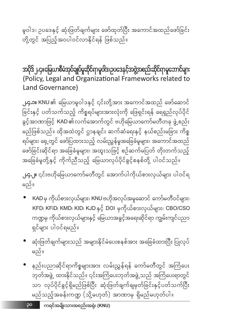မူဝါဒ၊ ဥပဒေနှင့် ဆုံးဖြတ်ချက်များ ဖော်ထုတ်ပြီး အကောင်အထည်ဖော်ခြင်း .<br>တို့တွင် အပြည့်အဝပါဝင်လာနိုင်ရန် ဖြစ်သည်။

အပိုဒ်၂.၄။မြေယာစီမံအုပ်ချုပ်မှုဆိုင်ရာမူဝါဒ၊ဥပဒေနှင့်အဖွဲ့အစည်းဆိုင်ရာမူဘောင်များ (Policy, Legal and Organizational Frameworks related to Land Governance)

**၂.၄.၁။** KNU ၏ မြေယာမူဝါဒနှင့် ၎င်းတို့အား အကောင်အထည် ဖော်ဆောင် ခြင်းနှင့် ပတ်သက်သည့် ကိစ္စရပ်များအားလုံးကို ဖြေရှင်းရန် ရေရှည်လုပ်ပိုင် ခွင့်အာဏာဖြင့် KAD ၏ လက်အောက်တွင် ဗဟိုမြေယာကော်မတီတခု ဖွဲ့ စည်း မည်ဖြစ်သည်။ ထိုအထဲတွင် ဌာနချင်း ဆက်ဆံရေးနှင့် နယ်စည်းမခြား ကိစ္စ ရပ်များ၊ ရှေ့တွင် ဖော်ပြထားသည့် လမ်းညွှန်မှုအခြေခံမူများ၊ အကောင်အထည် ဖော်ခြင်းဆိုင်ရာ အခြေခံမူများ၊ အထူးသဖြင့် စဉ်ဆက်မပြတ် တိုးတက်သည့် အခြေခံမူတို့နှင့် ကိုက်ညီသည့် မြေယာလုပ်ပိုင်ခွင့်စနစ်တို့ ပါဝင်သည်။

**၂.၄.၂။** ၎င်းဗဟိုမြေယာကော်မတီတွင် အောက်ပါကိုယ်စားလှယ်များ ပါဝင်ရ မည်။

- KAD မှ ကိုယ်စားလှယ်များ၊ KNU ဗဟိုအလုပ်အမှုဆောင် ကော်မတီဝင်များ၊ KFD၊ KFiD၊ KMD၊ KID၊ KJD နှင့် DOI မှကိုယ်စားလှယ်များ၊ CBO/CSO ကဏ္ဍမှ ကိုယ်စားလှယ်များနှင့် မြေယာအခွင့်အရေးဆိုင်ရာ ကျွမ်းကျင်ပညာ ရှင်များ ပါဝင်ရမည်။
- ဆုံးဖြတ်ချက်များသည် အများနိုင်မဲပေးစနစ်အား အခြေခံထားပြီး ပြုလုပ် မည်။
- နည်းပညာဆိုင်ရာကိစ္စများအား လမ်းညွှန်ရန် ကော်မတီတွင် အကြံပေး ်— —<br>ဘုတ်အဖွဲ့ ထားနိုင်သည်။ ၎င်းအကြံပေးဘုတ်အဖွဲ့သည် အကြံပေးရာတွင် သာ လုပ်ပိုင်ခွင့်ရှိမည်ဖြစ်ပြီး ဆုံးဖြတ်ချက်ချမှတ်ခြင်းနှင့်ပတ်သက်ပြီး မည်သည့်အခန်းကဏ္ဍ (သို့မဟုတ်) အာဏာမှ ရှိမည်မဟုတ်ပါ။

ော ကရင်အမျိုးသားအစည်းအရုံး (KNU)

oq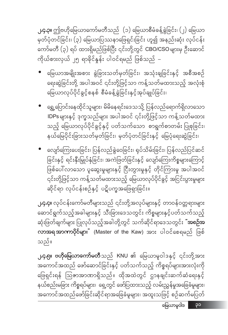**၂.၄.၃။** ဤဗဟိုမြေယာကော်မတီသည် (၁) မြေယာစီမံခန့်ခွဲခြင်း၊ (၂) မြေယာ မှတ်ပုံတင်ခြင်း၊ (၃) မြေယာပြဿနာဖြေရှင်းခြင်း ဟူ၍ အနည်းဆုံး လုပ်ငန်း ကော်မတီ (၃) ရပ် ထားရှိမည်ဖြစ်ပြီး ၎င်းတို့တွင် CBO/CSO များမှ ဦးဆောင် ကိုယ်စားလှယ် ၂၅ ရာခိုင်နှုန်း ပါဝင်ရမည် ဖြစ်သည် –

- မြေယာအမျိုးအစား ခွဲခြားသတ်မှတ်ခြင်း၊ အသုံးချခြင်းနှင့် အစီအစဉ် ရေးဆွဲခြင်းတို့ အပါအဝင် ၎င်းတို့ဖြင့်သာ ကန့်သတ်မထားသည့် အလုံးစုံ မြေယာလုပ်ပိုင်ခွင့်စနစ် စီမံခန့်ခွဲခြင်းနှင့်အုပ်ချုပ်ခြင်း၊
- ရွှေ့ပြောင်းနေထိုင်သူများ၊ မိမိနေရင်းဒေသသို့ ပြန်လည်ရောက်ရှိလာသော IDPs များနှင့် ဒုက္ခသည်များ အပါအဝင် ၎င်းတို့ဖြင့်သာ ကန့်သတ်မထား သည့် မြေယာလုပ်ပိုင်ခွင့်နှင့် ပတ်သက်သော စာရွက်စာတမ်း ပြုစုခြင်း၊ နယ်မြေပိုင်းခြားသတ်မှတ်ခြင်း၊ မှတ်ပုံတင်ခြင်းနှင့် မြေပုံရေးဆွဲခြင်း၊
- လျော်ကြေးပေးခြင်း၊ ပြန်လည်ခွဲဝေခြင်း၊ ရုပ်သိမ်းခြင်း၊ ပြန်လည်ပြင်ဆင် ခြင်းနှင့် ရင်းနှီးမြှုပ်နှံခြင်း၊ အကဲဖြတ်ခြင်းနှင့် လျော်ကြေးကိစ္စများကြောင့် ၎င်းတို့ဖြင့်သာ ကန့်သတ်မထားသည့် မြေယာလုပ်ပိုင်ခွင့် အငြင်းပွားမှုများ <u>ဆိုင်ရာ လုပ်ငန်းစဉ်နှင့် ပဋိပက္ခအဖြေရှာခြင်း။</u>

**၂.၄.၄။** လုပ်ငန်းကော်မတီများသည် ၎င်းတို့အလုပ်များနှင့် တာဝန်ဝတ္တရားများ ဆောင်ရွက်သည့်အခါများနှင့် သီးခြားဒေသတွင်း ကိစ္စများနှင့်ပတ်သက်သည့် ဆုံးဖြတ်ချက်များ ပြုလုပ်သည့်အခါတို့တွင် သက်ဆိုင်ရာဒေသတွင်း <mark>ံအစဉ်အ</mark> လာအရအာဏာပိုင်များ" (Master of the Kaw) အား ပါဝင်စေရမည် ဖြစ် သည်။

**၂.၄.၅။ ဗဟိုမြေယာကော်မတီ**သည် KNU ၏ မြေယာမူဝါဒနှင့် ၎င်းတို့အား အကောင်အထည် ဖော်ဆောင်ခြင်းနှင့် ပတ်သက်သည့် ကိစ္စရပ်များအားလုံးကို ဖြေရှင်းရန် ဩဇာအာဏာရှိသည်။ ထိုအထဲတွင် ဌာနချင်းဆက်ဆံရေးနှင့် နယ်စည်းမခြား ကိစ္စရပ်များ၊ ရှေ့တွင် ဖော်ပြထားသည့် လမ်းညွှန်မှုအခြေခံမူများ၊ အကောင်အထည်ဖော်ခြင်းဆိုင်ရာအခြေခံမူများ၊ အထူးသဖြင့် စဉ်ဆက်မပြတ်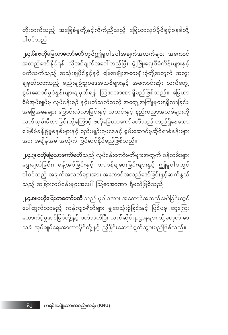တိုးတက်သည့် အခြေခံမူတို့နှင့်ကိုက်ညီသည့် မြေယာလုပ်ပိုင်ခွင့်စနစ်တို့ ပါဝင်သည်။

**၂.၄.၆။ ဗဟိုမြေယာကော်မတီ** တွင်ဤမူဝါဒပါအချက်အလက်များ အကောင် အထည်ဖော်နိုင်ရန် လိုအပ်ချက်အပေါ်တည်ပြီး ဖွံ့ဖြိုးရေးစီမံကိန်းများနှင့် ပတ်သက်သည့် အသုံးချပိုင်ခွင့်နှင့် မြေအမျိုးအစားမျိုးစုံတို့အတွက် အထူး ချမှတ်ထားသည့် စည်းမျဉ်းဥပဒေအသစ်များနှင့် အကောင်းဆုံး လက်တွေ့ စွမ်းဆောင်မှုစံနှန်းများချမှတ်ရန် ဩဇာအာဏာရှိမည်ဖြစ်သည်။ မြေယာ စီမံအုပ်ချုပ်မှု လုပ်ငန်းစဉ် နှင့်ပတ်သက်သည့် အတွေ့အကြုံများရရှိလာခြင်း၊ .<br>အခြေအနေများ ပြောင်းလဲလာခြင်းနှင့် သတင်းနှင့် နည်းပညာအသစ်များကို လက်လှမ်းမီလာခြင်းတို့ကြောင့် ဗဟိုမြေယာကော်မတီသည် တည်ရှိနေသော မြေစီမံခန့်ခွဲမှုစနစ်များနှင့် စည်းမျဉ်းဥပဒေနှင့် စွမ်းဆောင်မှုဆိုင်ရာစံနှန်းများ အား အရှိန်အခါအလိုက် ပြင်ဆင်နိုင်မည်ဖြစ်သည်။

**၂.၄.ဂု။ဗဟိုမြေယာကော်မတီ**သည် လုပ်ငန်းကော်မတီများအတွက် ဝန်ထမ်းများ ရွေးချယ်ခြင်း၊ ခန့်အပ်ခြင်းနှင့် တာဝန်ချပေးခြင်းများနှင့် ဤမူဝါဒတွင် ပါဝင်သည့် အချက်အလက်များအား အကောင်အထည်ဖော်ခြင်းနှင့်ဆက်နွယ် သည့် အခြားလုပ်ငန်းများအပေါ် ဩဇာအာဏာ ရှိမည်ဖြစ်သည်။

**၂.၄.၈။ဗဟိုမြေယာကော်မတီ** သည် မူဝါဒအား အကောင်အထည်ဖော်ခြင်းတွင် ပေါ်ထွက်လာမည့် ကုန်ကျစရိတ်များ မျှဝေသုံးစွဲခြင်းနှင့် ပြင်ပမှ ငွေကြေး ထောက်ပံ့မှုဇာစ်မြစ်တို့နှင့် ပတ်သက်ပြီး သက်ဆိုင်ရာဌာနများ သို့မဟုတ် ဒေ သခံ အုပ်ချုပ်ရေးအာဏာပိုင်တို့နှင့် ညှိနှိုင်းဆောင်ရွက်သွားမည်ဖြစ်သည်။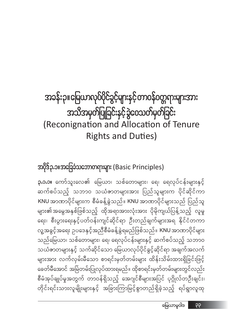### အသိအမှတ်ပြုခြင်းနှင့်ခွဲဝေသတ်မှတ်ခြင်း (Reconignation and Allocation of Tenure **Rights and Duties)**

အခန်းဉ။မြေယာလုပ်ပိုင်ခွင့်များနှင့်တာဝန်ဝတ္တရားများအား

အပိုဒ်၃.၁။အခြေခံသဘောတရားများ (Basic Principles)

**၃.၁.၁။** ကော်သူးလေ၏ မြေယာ၊ သစ်တောများ၊ ရေ၊ ရေလုပ်ငန်းများနှင့် ဆက်စပ်သည့် သဘာ၀ သယံဇာတများအား ပြည်သူများက ပိုင်ဆိုင်ကာ KNU အာဏာပိုင်များက စီမံခန့်ခွဲသည်။ KNU အာဏာပိုင်များသည် ပြည်သူ များ၏အမွေအနှစ်ဖြစ်သည့် ထိုအရာအားလုံးအား ပိုမိုကျယ်ပြန့်သည့် လူမှု ရေး၊ စီးပွားရေးနှင့်ပတ်ဝန်းကျင်ဆိုင်ရာ ဦးတည်ချက်များအရ နိုင်ငံတကာ လူ့အခွင့်အရေး ဥပဒေနှင့်အညီစီမံခန့်ခွဲရမည်ဖြစ်သည်။ KNU အာဏာပိုင်များ သည်မြေယာ၊ သစ်တောများ၊ ရေ၊ ရေလုပ်ငန်းများနှင့် ဆက်စပ်သည့် သဘာဝ သယံဇာတများနှင့် သက်ဆိုင်သော မြေယာလုပ်ပိုင်ခွင့်ဆိုင်ရာ အချက်အလက် များအား လက်လှမ်းမီသော စာရင်းမှတ်တမ်းများ ထိန်းသိမ်းထားရှိခြင်းဖြင့် ခေတ်မီအောင် အမြဲတမ်းပြုလုပ်ထားရမည်။ ထိုစာရင်းမှတ်တမ်းများတွင်လည်း စီမံအုပ်ချုပ်မှုအတွက် တာဝန်ရှိသည့် အေဂျင်စီများအပြင် ပုဂ္ဂိုလ်တဦးချင်း၊ တိုင်းရင်းသားလူမျိုးများနှင့် အခြားကြာမြင့်စွာတည်ရှိခဲ့သည့် ရပ်ရွာလူထု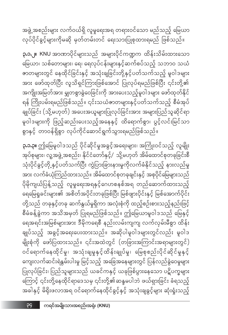**၃.၁.၃။** ဤမြေမူဝါဒသည် ပိုင်ဆိုင်မှုအခွင့်အရေးများ၊ အကြုံးဝင်သည့် လူမျိုး အုပ်စုများ၊ လူ့အဖွဲ့ အစည်း၊ နိုင်ငံတော်နှင့်/ာသို့မဟုတ် အိမ်ထောင်စုတခုခြင်းစီ သုံးပိုင်ခွင့်တို့နှင့်ပတ်သက်ပြီး ကွဲပြားခြားနားမှုကိုလက်ခံနိုင်သည့် နားလည်မှု အား လက်ခံယုံကြည်ထားသည်။ အိမ်ထောင်စုတခုချင်းနှင့် အစုပိုင်မြေများသည် ပိုမိုကျယ်ပြန့်သည့် လူမှုရေးအရနှင့်ဂေဟစနစ်အရ တည်ဆောက်ထားသည့် ရေမြေရှုခင်းများ၏ အစိတ်အပိုင်းတခုဖြစ်ပြီး မြစ်ဖျားပိုင်းနှင့် မြစ်အောက်ပိုင်း တို့သည် တခုနှင့်တခု ဆက်နွယ်မှုရှိကာ အလုံးစုံကို ထည့်စဉ်းစားသည့်နည်းဖြင့် စီမံခန့်ခွဲကာ အသိအမှတ် ပြုရမည်ဖြစ်သည်။ ဤမြေယာမူဝါဒသည် မြေနှင့် ရေအရင်းအမြစ်များအား ဒီမိုကရေစီ နည်းလမ်းကျကျ လက်လှမ်းမီစွာ ထိန်း ချုပ်သည့် အခွင့်အရေးပေးထားသည်။ အဆိုပါမူဝါဒများတွင်လည်း မူဝါဒ မျိုးစုံကို ဖော်ပြထားသည်။ ၎င်းအထဲတွင် (တခြားအကြာင်းအရာများတွင်) ဝင်ရောက်နေထိုင်မှု၊ အသုံးချမှုနှင့်ထိန်းချုပ်မှု၊ မြေစုစည်းပိုင်ဆိုင်မှုနှင့် ကျေးလက်ဆင်းရဲနွမ်းပါးမှု မြင့်သည့် အခြေအနေများတွင် ပြန်လည်ခွဲဝေမှုများ ပြုလုပ်ခြင်း၊ ပြည်သူများသည် ယခင်ကနှင့် ယခုဖြစ်ပွားနေသော ပဋိပက္ခများ ကြောင့် ၎င်းတို့နေထိုင်ရာဒေသမှ ၎င်းတို့၏ဆန္ဒမပါဘဲ ဖယ်ရှားခြင်း ခံရသည့် အခါနှင့် မိရိုးဖလာအရ ဝင်ရောက်နေထိုင်ခွင့်နှင့် အသုံးချခွင့်များ ဆုံးရှုံးသည့်

**၃.၁.၂။ KNU** အာဏာပိုင်များသည် အများပိုင်ကဏ္ဍက ထိန်းသိမ်းထားသော မြေယာ၊ သစ်တောများ၊ ရေ၊ ရေလုပ်ငန်းများနှင့်ဆက်စပ်သည့် သဘာဝ သယံ <mark>ဓာတများတွင် နေထိုင်ခြင်းနှင့် အသုံး</mark>ချခြင်းတို့နှင့်ပတ်သက်သည့် မူဝါဒများ အား ဖော်ထုတ်ပြီး လူသိရှင်ကြားဖြစ်အောင် ပြုလုပ်ရမည်ဖြစ်ပြီး ၎င်းတို့၏ အကျိုးအမြတ်အား မျှတစွာခွဲဝေခြင်းကို အားပေးသည့်မူဝါဒများ ဖော်ထုတ်နိုင် ရန် ကြိုးပမ်းရမည်ဖြစ်သည်။ ၎င်းသယံဇာတများနှင့်ပတ်သက်သည့် စီမံအုပ် ချုပ်ခြင်း (သို့မဟုတ်) အပေးအယူများပြုလုပ်ခြင်းအား အများပြည်သူဆိုင်ရာ မူဝါဒများကို ဖြည့်ဆည်းပေးသည့်အနေနှင့် ထိရောက်စွာ၊ ပွင့်လင်းမြင်သာ စွာနှင့် တာဝန်ရှိစွာ လုပ်ကိုင်ဆောင်ရွက်သွားရမည်ဖြစ်သည်။

အဖွဲ့အစည်းများ လက်ဝယ်ရှိ လူမှုရေးအရ တရားဝင်သော မည်သည့် မြေယာ လုပ်ပိုင်ခွင့်များကိုမဆို မှတ်တမ်းတင် ရေးသားပြုစုထားရမည် ဖြစ်သည်။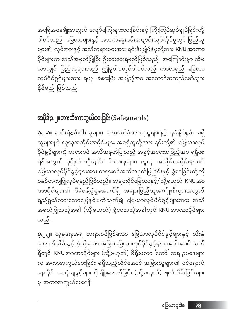ပိုင်များက အသိအမှတ်ပြုပြီး ဦးစားပေးရမည်ဖြစ်သည်။ အကြောင်းမှာ ထိုမှ သာလျှင် ပြည်သူများသည် ဤမူဝါဒတွင်ပါဝင်သည့် ကာလရှည် မြေယာ လုပ်ပိုင်ခွင့်များအား ရယူ၊ ခံစားပြီး အပြည့်အဝ အကောင်အထည်ဖော်သွား နိုင်မည် ဖြစ်သည်။

### အပိုဒ်၃.၂။တားဆီးကာကွယ်ပေးခြင်း (Safeguards)

**၃.၂.၁။** ဆင်းရဲနွမ်းပါးသူများ၊ ဘေးဖယ်ခံထားရသူများနှင့် ခုခံနိုင်စွမ်း မရှိ သူများနှင့် လူထုအသိုင်းအဝိုင်းများ အစရှိသူတို့အား ၎င်းတို့၏ မြေယာလုပ် ပိုင်ခွင့်များကို တရားဝင် အသိအမှတ်ပြုသည့် အခွင့်အရေးအပြည့်အဝ ရရှိစေ ရန်အတွက် ပုဂ္ဂိုလ်တဦးချင်း၊ မိသားစုများ၊ လူထု အသိုင်းအဝိုင်းများ၏ မြေယာလုပ်ပိုင်ခွင့်များအား တရားဝင်အသိအမှတ်ပြုခြင်းနှင့် ခွဲဝေခြင်းတို့ကို စနစ်တကျပြုလုပ်ရမည်ဖြစ်သည်။ အများပိုင်မြေယာနှင့်/ သို့မဟုတ် KNU အာ ဏာပိုင်များ၏ စီမံခန့်ခွဲမှုအောက်ရှိ အများပြည်သူအကျိုးစီးပွားအတွက် ရည်ရွယ်ထားသောမြေနှင့်ပတ်သက်၍ မြေယာလုပ်ပိုင်ခွင့်များအား အသိ အမှတ်ပြုသည့်အခါ (သို့မဟုတ်) ခွဲဝေသည့်အခါတွင် KNU အာဏာပိုင်များ သည်-

အခြေအနေမျိုးအတွက် လျော်ကြေးများပေးခြင်းနှင့် ကြီးကြပ်အုပ်ချုပ်ခြင်းတို့ ပါဝင်သည်။ မြေယာများနှင့် အသက်မွေးဝမ်းကျောင်းလုပ်ကိုင်မှုတွင် ပြည်သူ များ၏ လုပ်အားနှင့် အသိတရားများအား ရင်းနှီးမြှုပ်နှံမှုတို့အား KNU အာဏာ

**၃.၂.၂။** လူမှုရေးအရ တရားဝင်ဖြစ်သော မြေယာလုပ်ပိုင်ခွင့်များနှင့် သီးနှံ ကောက်သိမ်းခွင့်ကဲ့သို့သော အခြားမြေယာလုပ်ပိုင်ခွင့်များ အပါအဝင် လက် ရှိတွင် KNU အာဏာပိုင်များ (သို့မဟုတ်) မိရိုးဖလာ င်ကာ်ႆ အရ ဥပဒေများ က အကာအကွယ်ပေးခြင်း မရှိသည့်တိုင်အောင် အခြားသူများ၏ ဝင်ရောက် နေထိုင်၊ အသုံးချခွင့်များကို ချိုးဖောက်ခြင်း (သို့မဟုတ်) ဖျက်သိမ်းခြင်းများ မှ အကာအကွယ်ပေးရန်။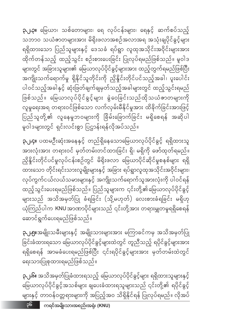**၃.၂.၆။** အသိအမှတ်ပြုခံထားရသည့် မြေယာလုပ်ပိုင်ခွင့်များ ရရှိထားသူများနှင့် မြေယာလုပ်ပိုင်ခွင့်အသစ်များ ချပေးခံထားရသူများသည် ၎င်းတို့၏ ရပိုင်ခွင့် များနှင့် တာဝန်ဝတ္တရားများကို အပြည့်အဝ သိရှိနိုင်ရန် ပြုလုပ်ရမည်။ လိုအပ်

#### ရေးသားပြုစုထားရမည်ဖြစ်သည်။

**၃.၂.၅။**အမျိုးသမီးများနှင့် အမျိုးသားများအား မကြာခင်ကမှ အသိအမှတ်ပြု ခြင်းခံထားရသော မြေယာလုပ်ပိုင်ခွင့်များထဲတွင် တူညီသည့် ရပိုင်ခွင့်များအား ရရှိစေရန် အာမခံပေးရမည်ဖြစ်ပြီး ၎င်းရပိုင်ခွင့်များအား မှတ်တမ်းထဲတွင်

### ဆောင်ရွက်ပေးရမည်ဖြစ်သည်။

**၃.၂.၄။** ပထမဦးဆုံးအနေနှင့် တည်ရှိနေသောမြေယာလုပ်ပိုင်ခွင့် ရရှိထားသူ အားလုံးအား တရားဝင် မှတ်တမ်းတင်ထားခြင်း ရှိ၊ မရှိကို ဖော်ထုတ်ရမည်။ ထားသော တိုင်းရင်းသားလူမျိုးများနှင့် အခြား ရပ်ရွာလူထုအသိုင်းအဝိုင်းများ၊ လုပ်ကွက်ငယ်လယ်သမားများနှင့် အကျိုးသက်ရောက်သူအားလုံးကို ပါဝင်ရန် ထည့်သွင်းပေးရမည်ဖြစ်သည်။ ပြည်သူများက ၎င်းတို့၏မြေယာလုပ်ပိုင်ခွင့် များသည် အသိအမှတ်ပြု ခံရခြင်း (သို့မဟုတ်) လေးစားခံရခြင်း မရှိဟု ယုံကြည်ပါက KNUအာဏာပိုင်များသည် ၎င်းတို့အား တရားမျှတမှုရရှိစေရန်

**၃.၂.၃။** မြေယာ၊ သစ်တောများ၊ ရေ လုပ်ငန်းများ၊ ရေနှင့် ဆက်စပ်သည့် သဘာဝ သယံဇာတများအား မိရိုးဖလာအစဉ်အလာအရ အသုံးချပိုင်ခွင့်များ ရရှိထားသော ပြည်သူများနှင့် ဒေသခံ ရပ်ရွာ လူထုအသိုင်းအဝိုင်းများအား ထိုက်တန်သည့် ထည့်သွင်း စဉ်းစားပေးခြင်း ပြုလုပ်ရမည်ဖြစ်သည်။ မူဝါဒ များတွင် အခြားသူများ၏ မြေယာလုပ်ပိုင်ခွင့်များအား ထည့်တွက်ရမည်ဖြစ်ပြီး အကျိုးသက်ရောက်မှု ရှိနိုင်သူတိုင်းကို ညှိနိူင်းတိုင်ပင်သည့်အခါ၊ ပူးပေါင်း ပါဝင်သည့်အခါနှင့် ဆုံးဖြတ်ချက်ချမှတ်သည့်အခါများတွင် ထည့်သွင်းရမည် ဖြစ်သည်။ မြေယာလုပ်ပိုင်ခွင့်များ ခွဲဝေခြင်းသည်ထိုသယံဇာတများကို လူမှုရေးအရ တရားဝင်ဖြစ်သော လက်လှမ်းမီနိုင်မှုအား ထိခိုက်ခြင်းအားဖြင့် ပြည်သူတို့၏ လူနေမှုဘဝများကို ခြိမ်းခြောက်ခြင်း မရှိစေရန် အဆိုပါ မူဝါဒများတွင် ရှင်းလင်းစွာ ပြဋ္ဌာန်းရန်လိုအပ်သည်။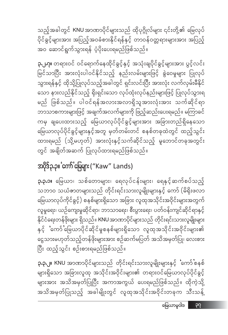**၃.၃.၂။ KNU** အာဏာပိုင်များသည် တိုင်းရင်းသားလူမျိုးများနှင့် င်ကာ်'စနစ် များရှိသော အခြားလူထု အသိုင်းအဝိုင်းများ၏ တရားဝင်မြေယာလုပ်ပိုင်ခွင့် .<br>များအား အသိအမှတ်ပြုပြီး အကာအကွယ် ပေးရမည်ဖြစ်သည်။ ထိုကဲ့သို့ အသိအမှတ်ပြုသည့် အခါမျိုးတွင် လူထုအသိုင်းအဝိုင်းတခုက သီးသန့်

**၃.၃.၁။** မြေယာ၊ သစ်တောများ၊ ရေလုပ်ငန်းများ၊ ရေနှင့်ဆက်စပ်သည့် သဘာ၀ သယံဇာတများသည် တိုင်းရင်းသားလူမျိုးများနှင့် ကော် (မိရိုးဖလာ မြေယာလုပ်ကိုင်ခွင့်) စနစ်များရှိသော အခြား လူထုအသိုင်းအဝိုင်းများအတွက် လူမှုရေး၊ ယဉ်ကျေးမှုဆိုင်ရာ၊ ဘာသာရေး၊ စီးပွားရေး၊ ပတ်ဝန်းကျင်ဆိုင်ရာနှင့် နိုင်ငံရေးတန်ဖိုးများ ရှိသည်။ KNU အာဏာပိုင်များသည် တိုင်းရင်းသားလူမျိုးများ နှင့် 'ကော်'မြေယာပိုင်ဆိုင်မှုစနစ်များရှိသော လူထုအသိုင်းအဝိုင်းများ၏ ငွေသားမဟုတ်သည့်တန်ဖိုးများအား စဉ်ဆက်မပြတ် အသိအမှတ်ပြု၊ လေးစား ပြီး ထည့်သွင်း စဉ်းစားရမည်ဖြစ်သည်။

### 

**၃.၂.၇။** တရားဝင် ဝင်ရောက်နေထိုင်ခွင့်နှင့် အသုံးချပိုင်ခွင့်များအား ပွင့်လင်း မြင်သာပြီး အားလုံးပါဝင်နိုင်သည့် နည်းလမ်းများဖြင့် ခွဲဝေမှုများ ပြုလုပ် သော နားလည်နိုင်သည့် ရိုးရှင်းသော လုပ်ထုံးလုပ်နည်းများဖြင့် ပြုလုပ်သွားရ မည် ဖြစ်သည်။ ပါဝင်ရန်အလားအလာရှိသူအားလုံးအား သက်ဆိုင်ရာ ဘာသာစကားများဖြင့် အချက်အလက်များကို ဖြည့်ဆည်းပေးရမည်။ မကြာခင် ကမှ ချပေးထားသည့် မြေယာလုပ်ပိုင်ခွင့်များအား အခြားတည်ရှိနေသော မြေယာလုပ်ပိုင်ခွင့်များနှင့်အတူ မှတ်တမ်းတင် စနစ်တခုထဲတွင် ထည့်သွင်း ထားရမည် (သို့မဟုတ်) အားလုံးနှင့်သက်ဆိုင်သည့် မူဘောင်တခုအတွင်း တွင် အချိတ်အဆက် ပြုလုပ်ထားရမည်ဖြစ်သည်။

သည့်အခါတွင် KNU အာဏာပိုင်များသည် ထိုပုဂ္ဂိုလ်များ ၎င်းတို့၏ မြေလုပ် .<br>ပိုင်ခွင့်များအား အပြည့်အဝခံစားနိုင်ရန်နှင့် တာဝန်ဝတ္တရားများအား အပြည့် အဝ ဆောင်ရွက်သွားရန် ပံ့ပိုးပေးရမည်ဖြစ်သည်။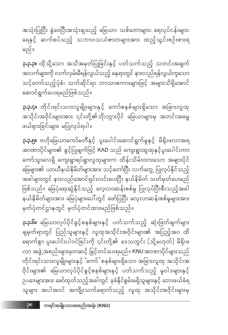**၃.၃.၆။** မြေယာလုပ်ပိုင်ခွင့်စနစ်များနှင့် ပတ်သက်သည့် ဆုံးဖြတ်ချက်များ ချမှတ်ရာတွင် ပြည်သူများနှင့် လူထုအသိုင်းအဝိုင်းများ၏ အပြည့်အဝ ထိ ရောက်စွာ ပူးပေါင်းပါဝင်ခြင်းကို ၎င်းတို့၏ ဒေသတွင်း (သို့မဟုတ်) မိရိုးဖ လာ အဖွဲ့ အစည်းများမှတဆင့် မြှင့်တင်ပေးရမည်။ KNU အာဏာပိုင်များသည် တိုင်းရင်းသားလူမျိုးများနှင့် `ကော်ႛ စနစ်များရှိသော အခြားလူထု အသိုင်းအ ဝိုင်းများ၏ မြေယာလုပ်ပိုင်ခွင့်စနစ်များနှင့် ပတ်သက်သည့် မူဝါဒများနှင့် ဉပဒေများအား ဖော်ထုတ်သည့်အခါတွင် ခုခံနိုင်စွမ်းမရှိသူများနှင့် ဘေးဖယ်ခံရ သူများ အပါအဝင် အကျိုးသက်ရောက်သည့် လူထု အသိုင်းအဝိုင်းများမှ

**ု.၃.၅။** ဗဟိုမြေယာကော်မတီနှင့် ပူးပေါင်းဆောင်ရွက်မှုနှင့် မိရိုးဖလာအရ အာဏာပိုင်များ၏ ခွင့်ပြုချက်ဖြင့် KAD သည် ကျေးရွာထူထုနှင့်ပူးပေါင်းကာ ကော်သူးလေရှိ ကျေးရွာရပ်ရွာလူထုများက ထိန်းသိမ်းထားသော အများပိုင် မြေများ၏ ယာယီနယ်နိမိတ်များအား သင့်တော်ပြီး လက်တွေ့ ပြုလုပ်နိုင်သည့် အခါများတွင် နားလည်အောင်ရှင်းလင်းပေးပြီး နယ်နိမိတ် သတ်မှတ်ပေးမည် ဖြစ်သည်။ မြေပုံရေးဆွဲနိုင်သည့် လေ့လာဆန်းစစ်မှု ပြုလုပ်ပြီးစီးသည့်အခါ နယ်နိမိတ်များအား မြေပုံများပေါ်တွင် ဖော်ပြပြီး လေ့လာဆန်းစစ်မှုများအား မှတ်ပုံတင်ဌာနတွင် မှတ်ပုံတင်ထားမည်ဖြစ်သည်။

**၃.၃.၄။** တိုင်းရင်းသားလူမျိုးများနှင့် ကော်စနစ်များရှိသော အခြားလူထု အသိုင်းအဝိုင်းများအား ၎င်းတို့၏ဘိုးဘွားပိုင် မြေယာများမှ အတင်းအဓမ္မ ဖယ်ရှားခြင်းများ မပြုလုပ်ရပါ။

**ု.၃.၃။** ထိုသို့သော အသိအမှတ်ပြုခြင်းနှင့် ပတ်သက်သည့် သတင်းအချက် အလက်များကို လက်လှမ်းမီရန်လွယ်သည့် နေရာတွင် နားလည်ရန်လွယ်ကူသော သင့်တော်သည့်ပုံစံ၊ သက်ဆိုင်ရာ ဘာသာစကားများဖြင့် အများသိရှိအောင် ဆောင်ရွက်ပေးရမည်ဖြစ်သည်။

အသုံးပြုပြီး ခွဲဝေပြီးအသုံးချသည့် မြေယာ၊ သစ်တောများ၊ ရေလုပ်ငန်းများ၊ ရေနှင့် ဆက်စပ်သည့် သဘာဝသယံဇာတများအား ထည့်သွင်းစဉ်းစားရ မည်။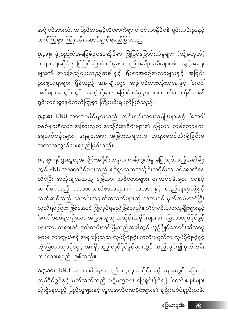**၃.၃.၁၀။ KNU** အာဏာပိုင်များသည် လူထုအသိုင်းအဝိုင်းများတွင် မြေယာ လုပ်ပိုင်ခွင့်နှင့် ပတ်သက်သည့် ပဋိပက္ခများ ဖြေရှင်းနိုင်ရန် ်ကော်'စနစ်များ သုံးစွဲနေသည့် ပြည်သူများနှင့် လူထုအသိုင်းအဝိုင်းများ၏ ချဉ်းကပ်ပုံနည်းလမ်း

တင်ထားရမည် ဖြစ်သည်။

**၃.၃.၉။** ရပ်ရွာလူထုအသိုင်းအဝိုင်းတခုက ကန့်ကွက်မှု မပြုလုပ်သည့်အခါမျိုး တွင် KNU အာဏာပိုင်များသည် ရပ်ရွာလူထုအသိုင်းအဝိုင်းက ဝင်ရောက်နေ .<br>ထိုင်ပြီး အသုံးချနေသည့် မြေယာ၊ သစ်တောများ၊ ရေလုပ်ငန်းများ၊ ရေနှင့် ဆက်စပ်သည့် သဘာဝသယံဇာတများ၏ သဘာဝနှင့် တည်နေရာတို့နှင့် သက်ဆိုင်သည့် သတင်းအချက်အလက်များကို တရားဝင် မှတ်တမ်းတင်ပြီး လူသိရှင်ကြား ဖြစ်အောင် ပြုလုပ်ရမည်ဖြစ်သည်။ တိုင်းရင်းသားလူမျိုးများနှင့် .<br>'ကော်'စနစ်များရှိသော အခြားလူထု အသိုင်းအဝိုင်းများ၏ မြေယာလုပ်ပိုင်ခွင့် များအား တရားဝင် မှတ်တမ်းတင်ပြီးသည့်အခါတွင် ယှဉ်ပြိုင်တောင်းဆိုလာမှု များမှ ကာကွယ်ရန် အများပြည်သူ လုပ်ပိုင်ခွင့်၊ တသီးပုဂ္ဂလိက လုပ်ပိုင်ခွင့်နှင့် ဘုံမြေယာလုပ်ပိုင်ခွင့် အစရှိသည့် လုပ်ပိုင်ခွင့်များတွင် ထည့်သွင်း၍ မှတ်တမ်း

**ု.၃.၈။** KNU အာဏာပိုင်များသည် တိုင်းရင်းသားလူမျိုးများနှင့် 'ကော်**'** စနစ်များရှိသော အခြားလူထု အသိုင်းအဝိုင်းများ၏ မြေယာ၊ သစ်တောများ၊ ရေလုပ်ငန်းများ၊ ရေများအား အခြားသူများက တရားမဝင်သုံးစွဲခြင်းမှ အကာအကွယ်ပေးရမည်ဖြစ်သည်။

**၃.၃.ဂု။** ဖွဲ့စည်းပုံအခြေခံဥပဒေဆိုင်ရာ ပြုပြင်ပြောင်းလဲမှုများ (သို့မဟုတ်) တရားရေးဆိုင်ရာ ပြုပြင်ပြောင်းလဲမှုများသည် အမျိုးသမီးများ၏ အခွင့်အရေး များကို အားဖြည့်ပေးသည့်အခါနှင့် ရိုးရာအစဉ်အလာများနှင့် အငြင်း ပွားဖွယ်ရာများ ရှိခဲ့သည့် အခါမျိုးတွင် အဖွဲ့ဝင်အားလုံးအနေဖြင့် 'ကော်**'** စနစ်များအတွင်းတွင် ၎င်းကဲ့သို့သော ပြောင်းလဲမှုများအား လက်ခံလာနိုင်စေရန် ရှင်းလင်းစွာနှင့်တက်ကြွစွာ ကြိုးပမ်းရမည်ဖြစ်သည်။

အဖွဲ့့ဝင်အားလုံး အပြည့်အဝနှင့်ထိရောက်စွာ ပါဝင်လာနိုင်ရန် ရှင်းလင်းစွာနှင့် တက်ကြွစွာ ကြိုးပမ်းဆောင်ရွက်ရမည်ဖြစ်သည်။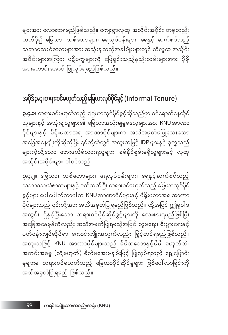ço

**၃.၄.၂။** မြေယာ၊ သစ်တောများ၊ ရေလုပ်ငန်းများ၊ ရေနှင့်ဆက်စပ်သည့် သဘာဝသယံဇာတများနှင့် ပတ်သက်ပြီး တရားဝင်မဟုတ်သည့် မြေယာလုပ်ပိုင် ခွင့်များ ပေါ်ပေါက်လာပါက KNU အာဏာပိုင်များနှင့် မိရိုးဖလာအရ အာဏာ ပိုင်များသည် ၎င်းတို့အား အသိအမှတ်ပြုရမည်ဖြစ်သည်။ ထို့အပြင် ဤမူဝါဒ ာ<br>အတွင်း ရှိနှင့်ပြီးသော တရားဝင်ပိုင်ဆိုင်ခွင့်များကို လေးစားရမည်ဖြစ်ပြီး အခြေအနေမှန်ကိုလည်း အသိအမှတ်ပြုရမည့်အပြင် လူမှုရေး၊ စီးပွားရေးနှင့် ပတ်ဝန်းကျင်ဆိုင်ရာ ကောင်းကျိုးအတွက်လည်း မြှင့်တင်ရမည်ဖြစ်သည်။ အထူးသဖြင့် KNU အာဏာပိုင်များသည် မိမိသဘောနှင့်မိမိ မဟုတ်ဘဲ၊ အတင်းအဓမ္မ (သို့မဟုတ်) စိတ်မအေးမချမ်းဖြင့် ပြုလုပ်ရသည့် ရွှေ့ပြောင်း မှုများမှ တရားဝင်မဟုတ်သည့် မြေယာပိုင်ဆိုင်မှုများ ဖြစ်ပေါ်လာခြင်းကို အသိအမှတ်ပြုရမည် ဖြစ်သည်။

**၃.၄.၁။** တရားဝင်မဟုတ်သည့် မြေယာလုပ်ပိုင်ခွင့်ဆိုသည်မှာ ဝင်ရောက်နေထိုင် သူများနှင့် အသုံးချသူများ၏ မြေယာအသုံးချမှုဓလေ့များအား KNU အာဏာ ပိုင်များနှင့် မိရိုးဖလာအရ အာဏာပိုင်များက အသိအမှတ်မပြုသေးသော အခြေအနေမျိုးကိုဆိုလိုပြီး ၎င်တို့ထဲတွင် အထူးသဖြင့် IDP များနှင့် ဒုက္ခသည် များကဲ့သို့သော ဘေးဖယ်ခံထားရသူများ၊ ခုခံနိုင်စွမ်းမရှိသူများနှင့် လူထု အသိုင်းအဝိုင်းများ ပါဝင်သည်။

#### အပိုဒ်၃.၄။တရား၀င်မဟုတ်သည့်မြေယာလုပ်ပိုင်ခွင့် (Informal Tenure)

များအား လေးစားရမည်ဖြစ်သည်။ ကျေးရွာလူထု အသိုင်းအဝိုင်း တခုတည်း ထက်ပို၍ မြေယာ၊ သစ်တောများ၊ ရေလုပ်ငန်းများ၊ ရေနှင့် ဆက်စပ်သည့် သဘာဝသယံဇာတများအား အသုံးချသည့်အခါမျိုးများတွင် ထိုလူထု အသိုင်း အဝိုင်းများအကြား ပဋိပက္ခများကို ဖြေရှင်းသည့်နည်းလမ်းများအား ပိုမို အားကောင်းအောင် ပြုလုပ်ရမည်ဖြစ်သည်။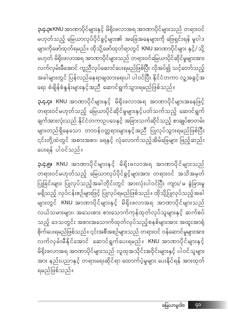**၃.၄.၅။ KNU** အာဏာပိုင်များနှင့် မိရိုးဖလာအရ အာဏာပိုင်များသည် .<br>တရားဝင်မဟုတ်သည့် မြေယာလုပ်ပိုင်ခွင့်များအား တရားဝင် အသိအမှတ် ပြုခြင်းများ ပြုလုပ်သည့်အခါတိုင်းတွင် အားလုံးပါဝင်ပြီး ကျား/မ ခွဲခြားမှု မရှိသည့် လုပ်ငန်းစဉ်များဖြင့် ပြုလုပ်ရမည်ဖြစ်သည်။ ထိုသို့ပြုလုပ်သည့်အခါ များတွင် KNU အာဏာပိုင်များနှင့် မိရိုးဖလာအရ အာဏာပိုင်များသည် လယ်သမားများ၊ အသေးစား စားသောက်ကုန်ထုတ်လုပ်သူများနှင့် ဆက်စပ် သည့် ဒေသတွင်း အစားအသောက်ထုတ်လုပ်သည့်စနစ်များအား အထူးအာရုံ စိုက်ပေးရမည်ဖြစ်သည်။ ၎င်းအစီအစဉ်များသည် တရားဝင် ဝန်ဆောင်မှုများအား ာ<br>လက်လှမ်းမီနိုင်အောင် ဆောင်ရွက်ပေးရမည်။ KNU အာဏာပိုင်များနှင့် မိရိုးဖလာအရ အာဏာပိုင်များသည် လူထုအသိုင်းအဝိုင်းများနှင့် ပါဝင်သူများ အား နည်းပညာနှင့် တရားရေးဆိုင်ရာ ထောက်ပံ့မှုများ ပေးနိုင်ရန် အားထုတ် ရမည်ဖြစ်သည်။

**၃.၄.၄။ KNU** အာဏာပိုင်များနှင့် မိရိုးဖလာအရ အာဏာပိုင်များအနေဖြင့် တရားဝင်မဟုတ်သည့် မြေယာပိုင်ဆိုင်မှုများနှင့်ပတ်သက်သည့် ဆောင်ရွက် ချက်အားလုံးသည် နိုင်ငံတကာဉပဒေနှင့် အခြားသက်ဆိုင်သည့် စာချုပ်စာတမ်း များတည်ရှိနေသော တာဝန်ဝတ္တရားများနှင့်အညီ ပြုလုပ်သွားရမည်ဖြစ်ပြီး ၎င်းတို့ထဲတွင် အစားအစာ၊ ရေနှင့် လုံလောက်သည့်အိမ်ခြေများ ဖြည့်ဆည်း ပေးရန် ပါဝင်သည်။

**၃.၄.၃။** KNU အာဏာပိုင်များနှင့် မိရိုးဖလာအရ အာဏာပိုင်များသည် တရားဝင် မဟုတ်သည့် မြေယာလုပ်ပိုင်ခွင့်များ၏ အခြေအနေများကို ဖြေရှင်းရန် မူဝါဒ .<br>များကိုဖော်ထုတ်ရမည်။ ထိုသို့ဖော်ထုတ်ရာတွင် KNU အာဏာပိုင်များ နှင့်/ သို့ မဟုတ် မိရိုးဖလာအရ အာဏာပိုင်များသည် တရားဝင်မြေယာပိုင်ဆိုင်မှုများအား လက်လှမ်းမီအောင် ကူညီလုပ်ဆောင်ပေးရမည်ဖြစ်ပြီး လိုအပ်၍ သင့်တော်သည့် အခါများတွင် ပြန်လည်နေရာချထားရေးပါ ပါဝင်ပြီး နိုင်ငံတကာ လူ့အခွင့်အ ရေး စံချိန်စံနှန်းများနှင့်အညီ ဆောင်ရွက်သွားရမည်ဖြစ်သည်။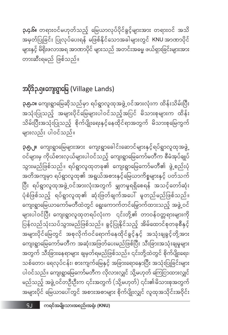**၃.၅.၂။** ကျေးရွာမြေများအား ကျေးရွာခေါင်းဆောင်များနှင့်ရပ်ရွာလူထုအဖွဲ့ ဝင်များမှ ကိုယ်စားလှယ်များပါဝင်သည့် ကျေးရွာမြေကော်မတီက စီမံအုပ်ချုပ် သွားမည်ဖြစ်သည်။ ရပ်ရွာလူထုတခု၏ ကျေးရွာမြေကော်မတီ၏ ဖွဲ့စည်းပုံ အတိအကျမှာ ရပ်ရွာလူထု၏ အရွယ်အစားနှင့်မြေယာကိစ္စများနှင့် ပတ်သက် ပြီး ရပ်ရွာလူထုအဖွဲ့့ဝင်အားလုံးအတွက် မျှတမှုရရှိစေရန် အသင့်တော်ဆုံး ပုံစံဖြစ်သည့် ရပ်ရွာလူထု၏ ဆုံးဖြတ်ချက်အပေါ် မူတည်မည်ဖြစ်သည်။ ကျေးရွာမြေယာကော်မတီထဲတွင် ရွေးကောက်တင်မြွောက်ထားသည့် အဖွဲ့့ဝင် ပြန်လည်သုံးသပ်သွားမည်ဖြစ်သည်။ ခွင့်ပြုနိုင်သည့် အိမ်ထောင်စုတခုစီနှင့် .<br>အများပိုင်မြေတွင် အစုလိုက်ဝင်ရောက်နေထိုင်ခွင့်နှင့် အသုံးချခွင့်တို့အား ကျေးရွာမြေကော်မတီက အဆုံးအဖြတ်ပေးမည်ဖြစ်ပြီး သီးခြားအသုံးချမှုများ အတွက် သီးခြားနေရာများ ချမှတ်ရမည်ဖြစ်သည်။ ၎င်းတို့ထဲတွင် စိုက်ပျိုးရေး၊ သစ်တော၊ ရေလုပ်ငန်း၊ စားကျက်မြေနှင့် အခြားရောနှောပြီး အသုံးပြုခြင်းများ ပါဝင်သည်။ ကျေးရွာမြေကော်မတီက လိုလားလျှင် သို့မဟုတ် ကြေငြာထားလျှင် မည်သည့် အဖွဲ့ ဝင်တဦးဦးက ၎င်းအတွက် (သို့မဟုတ်) ၎င်း၏မိသားစုအတွက် အများပိုင် မြေယာပေါ်တွင် အစားအစာများ စိုက်ပျိုးလျှင် လူထုအသိုင်းအဝိုင်း

**၃.၅.၁။** ကျေးရွာမြေဆိုသည်မှာ ရပ်ရွာလူထုအဖွဲ့ ဝင်အားလုံးက ထိန်းသိမ်းပြီး အသုံးပြုသည့် အများပိုင်မြေများပါဝင်သည့်အပြင် မိသားစုများက ထိန်း သိမ်းပြီးအသုံးပြုသည့် စိုက်ပျိုးရေးနှင့်နေထိုင်ရာအတွက် မိသားစုမြေကွက် များလည်း ပါဝင်သည်။

#### အပိုဒ်၃.၅။ကျေးရွာမြေ (Village Lands)

**၃.၄.၆။** တရားဝင်မဟုတ်သည့် မြေယာလုပ်ပိုင်ခွင့်များအား တရားဝင် အသိ အမှတ်ပြုခြင်း ပြုလုပ်ပေးရန် မဖြစ်နိုင်သောအခါများတွင် KNU အာဏာပိုင် များနှင့် မိရိုးဖလာအရ အာဏာပိုင် များသည် အတင်းအဓမ္မ ဖယ်ရှားခြင်းများအား တားဆီးရမည် ဖြစ်သည်။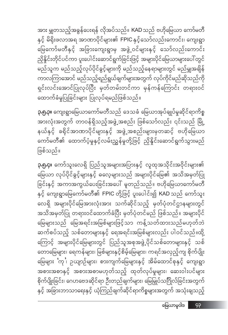**၃.၅.၄။** ကော်သူးလေရှိ ပြည်သူအများအပြားနှင့် လူထုအသိုင်းအဝိုင်းများ၏ မြေယာ လုပ်ပိုင်ခွင့်များနှင့် ဓလေ့များသည် အများပိုင်မြေ၏ အသိအမှတ်ပြု ခြင်းနှင့် အကာအကွယ်ပေးခြင်းအပေါ် မူတည်သည်။ ဗဟိုမြေယာကော်မတီ နှင့် ကျေးရွာမြေကော်မတီ၏ FPIC တို့ဖြင့် ပူးပေါင်း၍ KAD သည် ကော်သူး လေရှိ အများပိုင်မြေအားလုံးအား သက်ဆိုင်သည့် မှတ်ပုံတင်ဌာနများတွင် အသိအမှတ်ပြု တရားဝင်ထောက်ခံပြီး မှတ်ပုံတင်မည် ဖြစ်သည်။ အများပိုင် မြေများသည် မြေအရင်းအမြစ်များဖြင့်သာ ကန့်သတ်ထားသည်မဟုတ်ဘဲ ဆက်စပ်သည့် သစ်တောများနှင့် ရေအရင်းအမြစ်များလည်း ပါဝင်သည်။ထို့ ကြောင့် အများပိုင်မြေများတွင် ပြည်သူအစုအဖွဲ့ပိုင်သစ်တောများနှင့် သစ် တောမြေများ၊ ရေကန်များ၊ မြစ်များနှင့်စိမ့်မြေများ၊ ကရင်အလှည့်ကျ စိုက်ပျိုး မြေများ 'ကု ၊ ဉယျာဉ်များ၊ စားကျက်မြေများနှင့် အိမ်ထောင်စုနှင့် ကျေးရွာ အစားအစာနှင့် အစားအစာမဟုတ်သည့် ထုတ်လုပ်မှုများ၊ ဆေးဝါးပင်များ စိုက်ပျိုးခြင်း၊ ဂေဟဗေဒဆိုင်ရာ ဦးတည်ချက်များ၊ မြေမြှုပ်သင်္ဂြိုလ်ခြင်းအတွက် နှင့် အခြားဘာသာရေးနှင့် ယုံကြည်ချက်ဆိုင်ရာကိစ္စများအတွက် အသုံးချသည့်

ဖြစ်သည်။

**၃.၅.၃။** ကျေးရွာမြေယာကော်မတီသည် ဒေသခံ မြေယာအုပ်ချုပ်မှုဆိုင်ရာကိစ္စ အားလုံးအတွက် တာဝန်ရှိသည့်အဖွဲ့အစည်း ဖြစ်သော်လည်း ၎င်းသည် မြို့ နယ်နှင့် ခရိုင်အာဏာပိုင်များနှင့် အဖွဲ့အစည်းများမှတဆင့် ဗဟိုမြေယာ ကော်မတီ၏ ထောက်ပံ့မှုနှင့်လမ်းညွှန်မှုတို့ဖြင့် ညှိနှိုင်းဆောင်ရွက်သွားမည်

အား မျှတသည့်အခွန်ပေးရန် လိုအပ်သည်။ KAD သည် ဗဟိုမြေယာ ကော်မတီ နှင့် မိရိုးဖလာအရ အာဏာပိုင်များ၏ FPIC နှင့်သော်လည်းကောင်း၊ ကျေးရွာ မြေကော်မတီနှင့် အခြားကျေးရွာမှ အဖွဲ့ဝင်များနှင့် သော်လည်းကောင်း ညှိနှိုင်းတိုင်ပင်ကာ ပူးပေါင်းဆောင်ရွက်ခြင်းဖြင့် အများပိုင်မြေယာများပေါ်တွင် မည်သူက မည်သည့်လုပ်ပိုင်ခွင့်များကို မည်သည့်နေရာများတွင် မည်မျှအချိန် ကာလကြာအောင် မည်သည့်ရည်ရွယ်ချက်များအတွက် လုပ်ကိုင်မည်ဆိုသည်ကို ရှင်းလင်းအောင်ပြုလုပ်ပြီး မှတ်တမ်းတင်ကာ မှန်ကန်ကြောင်း တရားဝင် ထောက်ခံမှုပြုခြင်းများ ပြုလုပ်ရမည်ဖြစ်သည်။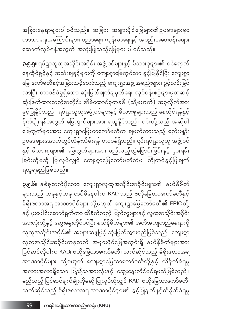**၃.၅.၆။** နှစ်ခုထက်ပိုသော ကျေးရွာလူထုအသိုင်းအဝိုင်းများ၏ နယ်နိမိတ် များသည် တခုနှင့်တခု ထပ်မိနေပါက KAD သည် ဗဟိုမြေယာကော်မတီနှင့် မိရိုးဖလာအရ အာဏာပိုင်များ သို့မဟုတ် ကျေးရွာမြေကော်မတီ၏ FPIC တို့ နှင့် ပူးပေါင်းဆောင်ရွက်ကာ ထိခိုက်သည့် ပြည်သူများနှင့် လူထုအသိုင်းအဝိုင်း အားလုံးတို့နှင့် ဆွေးနွေးတိုင်ပင်ပြီး နယ်နိမိတ်များ၏ အတိအကျတည်နေရာကို လူထုအသိုင်းအဝိုင်း၏ အများဆန္ဒဖြင့် ဆုံးဖြတ်သွားမည်ဖြစ်သည်။ ကျေးရွာ လူထုအသိုင်းအဝိုင်းတခုသည် အများပိုင်မြေအတွင်းရှိ နယ်နိမိတ်များအား ပြင်ဆင်လိုပါက KAD၊ ဗဟိုမြေယာကော်မတီ၊ သက်ဆိုင်သည့် မိရိုးဖလာအရ အာဏာပိုင်များ သို့မဟုတ် ကျေးရွာမြေယာကော်မတီတို့နှင့် ထိခိုက်ခံရမှု အလားအလာရှိသော ပြည်သူအားလုံးနှင့် ဆွေးနွေးတိုင်ပင်ရမည်ဖြစ်သည်။ မည်သည့် ပြင်ဆင်ချက်မျိုးကိုမဆို ပြုလုပ်လိုလျှင် KAD၊ ဗဟိုမြေယာကော်မတီ၊ သက်ဆိုင်သည့် မိရိုးဖလာအရ အာဏာပိုင်များ၏ ခွင့်ပြုချက်နှင့်ထိခိုက်ခံရမှု

ရယူရမည်ဖြစ်သည်။

**၃.၅.၅။** ရပ်ရွာလူထုအသိုင်းအဝိုင်း အဖွဲ့ ဝင်များနှင့် မိသားစုများ၏ ဝင်ရောက် နေထိုင်ခွင့်နှင့် အသုံးချခွင့်များကို ကျေးရွာမြေတွင်သာ ခွင့်ပြုနိုင်ပြီး ကျေးရွာ မြေ ကော်မတီနှင့်အခြားသင့်တော်သည့် ကျေးရွာအဖွဲ့အစည်းများ၊ ပွင့်လင်းမြင် သာပြီး တာဝန်ခံမှုရှိသော ဆုံးဖြတ်ချက်ချမှတ်ရေး လုပ်ငန်းစဉ်များမှတဆင့် ဆုံးဖြတ်ထားသည့်အတိုင်း အိမ်ထောင်စုတခုစီ (သို့မဟုတ်) အစုလိုက်အား ခွင့်ပြုနိုင်သည်။ ရပ်ရွာလူထုအဖွဲ့ ဝင်များနှင့် မိသားစုများသည် နေထိုင်ရန်နှင့် စိုက်ပျိုးရန်အတွက် မြေကွက်များအား ရယူနိုင်သည်။ ၎င်းတို့သည် အဆိုပါ မြေကွက်များအား ကျေးရွာမြေယာကော်မတီက ချမှတ်ထားသည့် စည်းမျဉ်း ဉပဒေများအောက်တွင်ထိန်းသိမ်းရန် တာဝန်ရှိသည်။ ၎င်းရပ်ရွာလူထု အဖွဲ့ ဝင် နှင့် မိသားစုများ၏ မြေကွက်များအား မည်သည့်လွှဲပြောင်းခြင်းနှင့် ငှားရမ်း ခြင်းကိုမဆို ပြုလုပ်လျှင် ကျေးရွာမြေကော်မတီထံမှ ကြိုတင်ခွင့်ပြုချက်

အခြားနေ ရာများပါဝင်သည် ။ အခြား အများပိုင် မြေများ၏ ဥပမာများမှာ ဘာသာရေးအကြောင်းများ၊ ပညာရေး၊ ကျန်းမာရေးနှင့် အစည်းအဝေးခန်းမများ ဆောက်လုပ်ရန်အတွက် အသုံးပြုသည့်မြေများ ပါဝင်သည်။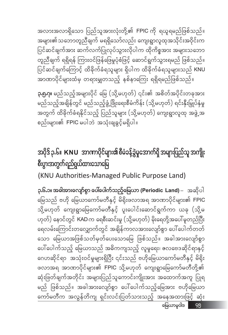အလားအလာရှိသော ပြည်သူအားလုံးတို့၏ FPIC ကို ရယူရမည်ဖြစ်သည်။ အများ<mark>၏သဘောတူညီချက် မရရှိသော်လည်း ကျေးရွာလူထုအ</mark>သိုင်းအဝိုင်းက ပြင်ဆင်ချက်အား ဆက်လက်ပြုလုပ်သွားလိုပါက ထိုကိစ္စအား အများသဘော တူညီချက် ရရှိရန် ကြားဝင်ဖြန်ဖြေမှုပုံစံဖြင့် ဆောင်ရွက်သွားရမည် ဖြစ်သည်။ ပြင်ဆင်ချက်ကြောင့် ထိခိုက်ခံရသူများ ရှိပါက ထိခိုက်ခံရသူများသည် KNU အာဏာပိုင်များထံမှ တရားမျှတသည့် နစ်နာကြေး ရရှိရမည်ဖြစ်သည်။

**၃.၅.၇။** မည်သည့်အများပိုင် မြေ (သို့မဟုတ်) ၎င်း၏ အစိတ်အပိုင်းတခုအား မည်သည့်အချိန်တွင် မည်သည့်ဖွံ့ဖြိုးရေးစီမံကိန်း (သို့မဟုတ်) ရင်းနှီးမြှုပ်နှံမှု အတွက် ထိခိုက်ခံရနိုင်သည့် ပြည်သူများ (သို့မဟုတ်) ကျေးရွာလူထု အဖွဲ့အ စည်းများ၏ FPIC မပါဘဲ အသုံးချခွင့်မရှိပါ။

### အပိုဒ် ၃.၆။ KNU အာဏာပိုင်များ၏ စီမံခန့်ခွဲမှုအောက်ရှိ အများပြည်သူ အကျိုး စီးပွားအတွက်ရည်ရွယ်ထားသောမြေ

(KNU Authorities-Managed Public Purpose Land)

**၃.၆.၁။ အခါအားလျော်စွာ ပေါ်ပေါက်သည့်မြေယာ (Periodic Land)** – အဆိုပါ မြေသည် ဗဟို မြေယာကော်မတီနှင့် မိရိုးဖလာအရ အာဏာပိုင်များ၏ FPIC .<br>သို့မဟုတ် ကျေးရွာမြေကော်မတီနှင့် ပူးပေါင်းဆောင်ရွက်ကာ ယခု (သို့မ ဟုတ်) နောင်တွင် KAD က ရေစီးဆင်းမှု (သို့မဟုတ်) မိုးရေတို့အပေါ်မူတည်ပြီး ရေလမ်းကြောင်းတလျှောက်တွင် အချိန်ကာလအားလျော်စွာ ပေါ်ပေါက်တတ် သော မြေယာအဖြစ်သတ်မှတ်ပေးသောမြေ ဖြစ်သည်။ အခါအားလျော်စွာ ပေါ်ပေါက်သည့် မြေယာသည် အဓိကကျသည့် လူမှုရေး၊ ဇောဗေဒဆိုင်ရာနှင့် ဂေဟဆိုင်ရာ အသုံးဝင်မှုများရှိပြီး ၎င်းသည် ဗဟိုမြေယာကော်မတီနှင့် မိရိုး ဆုံးဖြတ်ချက်အတိုင်း အများပြည်သူကောင်းကျိုးအား အထောက်အကူ ပြုရ မည် ဖြစ်သည်။ အခါအားလျော်စွာ ပေါ်ပေါက်သည့်မြေအား ဗဟိုမြေယာ ကော်မတီက အလွန်တိကျ ရှင်းလင်းပြတ်သားသည့် အနေအထားဖြင့် ဆုံး မြေယာမူဝါဒ \_\_ ၄၅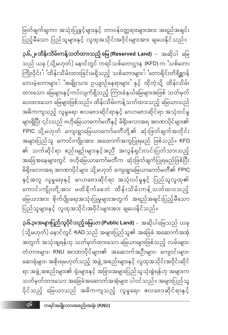$56$ 

၃.၆.၃။အများပြည်သူပိုင်သည့်မြေယာ (Public Land) – အဆိုပါမြေသည် ယခု (သို့မဟုတ်) နောင်တွင် KAD သည် အများပြည်သူ၏ အခြေခံ အဆောက်အအုံ အတွက် အသုံးချရန်ဟု သတ်မှတ်ထားသော မြေယာများဖြစ်သည့် လမ်းများ၊ တံတားများ၊ KNU အာဏာပိုင်များ၏ အဆောက်အဦးများ၊ ကျောင်းများ၊ ဆေးရုံများ၊ အစိုးရမဟုတ်သည့် အဖွဲ့အစည်းများနှင့် လူထုအသိုင်းအဝိုင်းဆိုင် ရာ အဖွဲ့ အစည်းများ၏ ရုံးများနှင့် အခြားအများပြည်သူသုံးစွဲရန်ဟု အများက သတ်မှတ်ထားသော အခြေခံအဆောက်အအုံများ ပါဝင်သည်။ အများပြည်သူ ပိုင်သည့် မြေယာသည် အဓိကကျသည့် လူမှုရေး၊ ဇေလဗေဒဆိုင်ရာနှင့်

၃.၆.၂။ ထိ<mark>န်းသိမ်းကန့်သတ်ထားသည့် မြေ (Reserved Land)</mark> – အဆိုပါ မြေ သည် ယခု (သို့မဟုတ်) နောင်တွင် ကရင်သစ်တောဌာန (KFD) က 'သစ်တော .<br>ကြိုးဝိုင်း ၊ ထိန်းသိမ်းထားခြင်းမရှိသည့် သစ်တောများ ၊ တောရိုင်းတိရိစ္ဆာန် ဘေးမဲ့တောများ ၊ အမျိုးသား ဥယျာဉ်နေရာများ နှင့် ထိုကဲ့သို့ ထိန်းသိမ်း ထားသော မြေများနှင့်ကပ်လျက်ရှိသည့် ကြားခံနယ်မြေများအဖြစ် သတ်မှတ် ပေးထားသော မြေများဖြစ်သည်။ ထိန်းသိမ်းကန့်သတ်ထားသည့် မြေယာသည် အဓိကကျသည့် လူမှုရေး၊ ဇောဗေဒဆိုင်ရာနှင့် ဂေဟဗေဒဆိုင်ရာ အသုံးဝင်မှု များရှိပြီး ၎င်းသည် ဗဟိုမြေယာကော်မတီနှင့် မိရိုးဖလာအရ အာဏာပိုင်များ၏ FPIC သို့မဟုတ် ကျေးရွာမြေယာကော်မတီတို့၏ ဆုံးဖြတ်ချက်အတိုင်း အများပြည်သူ ကောင်းကျိုးအား အထောက်အကူပြုရမည် ဖြစ်သည်။ KFD ၏ သက်ဆိုင်ရာ စည်းမျဉ်းများနှင့်အညီ အလွန်ရှင်းလင်းပြတ်သားသည့် အခြေအနေများတွင် ဗဟိုမြေယာကော်မတီက ဆုံးဖြတ်ချက်ပြုရမည်ဖြစ်ပြီး မိရိုးဖလာအရ အာဏာပိုင်များ သို့မဟုတ် ကျေးရွာမြေယာကော်မတီ၏ FPIC နှင့်အတူ လူမှုရေးနှင့် ဂေဟဗေဒဆိုင်ရာ အသုံးဝင်မှုနှင့် ပြည်သူလူထု၏ ကောင်းကျိုးတို့အား မထိခိုက်စေဘဲ ထိန်းသိမ်းကန့်သတ်ထားသည့် မြေယာအား စိုက်ပျိုးရေးအသုံးပြုမှုများအတွက် အရည်အချင်းပြည့်မီသော ပြည်သူများနှင့် လူထုအသိုင်းအဝိုင်းများအား ချပေးနိုင်သည်။

ဖြတ်ချက်ချကာ အသုံးပြုခွင့်များနှင့် တာဝန်ဝတ္တရားများအား အရည်အချင်း ပြည့်မီသော ပြည်သူများနှင့် လူထုအသိုင်းအဝိုင်းများအား ချပေးနိုင်သည်။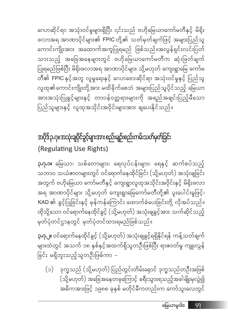ဒုက္ခသည် (သို့မဟုတ်) ပြည်တွင်းတိမ်းရှောင် ဒုက္ခသည်တဦးအဖြစ်  $(c)$ (သို့မဟုတ်) အခြေအနေတခုကြောင့် ခရီးသွားရသည့်အခါမျိုးမှလွဲ၍ အဓိကအားဖြင့် ၁၉၈၈ ခုနှစ် မတိုင်မီကတည်းက ကော်သူးလေတွင်

**၃.၇.၂။** ဝင်ရောက်နေထိုင်ခွင့် (သို့မဟုတ်) အသုံးချခွင့်ရရှိနိုင်ရန် ကန့်သတ်ချက် များထဲတွင် အသက် ၁၈ နှစ်နှင့်အထက်ရှိသူတဦးဖြစ်ပြီး ရာဇဝတ်မှု ကျူးလွန် ခြင်း မရှိဘူးသည့်သူတဦးဖြစ်ကာ –

**၃.ဂု.၁။** မြေယာ၊ သစ်တောများ၊ ရေလုပ်ငန်းများ၊ ရေနှင့် ဆက်စပ်သည့် သဘာဝ သယံဇာတများတွင် ဝင်ရောက်နေထိုင်ခြင်း (သို့မဟုတ်) အသုံးချခြင်း အတွက် ဗဟိုမြေယာ ကော်မတီနှင့် ကျေးရွာလူထုအသိုင်းအဝိုင်းနှင့် မိရိုးဖလာ အရ အာဏာပိုင်များ သို့မဟုတ် ကျေးရွာမြေကော်မတီတို့၏ ပူးပေါင်းမှုဖြင့်၊ KAD ၏ ခွင့်ပြုခြင်းနှင့် မှန်ကန်ကြောင်း ထောက်ခံပေးခြင်းတို့ လိုအပ်သည်။ ထိုသို့သော ဝင်ရောက်နေထိုင်ခွင့် (သို့မဟုတ်) အသုံးချခွင့်အား သက်ဆိုင်သည့် မှတ်ပုံတင်ဌာနတွင် မှတ်ပုံတင်ထားရမည်ဖြစ်သည်။

### အပိုဒ်ဉ.ဂု။အသုံးချပိုင်ခွင့်များအားစည်းမျဉ်းစည်းကမ်းသတ်မှတ်ခြင်း (Regulating Use Rights)

ဂေဟဆိုင်ရာ အသုံးဝင်မှုများရှိပြီး ၎င်းသည် ဗဟိုမြေယာကော်မတီနှင့် မိရိုး ဖလာအရ အာဏာပိုင်များ၏ FPIC တို့၏ သတ်မှတ်ချက်ဖြင့် အများပြည်သူ ကောင်းကျိုးအား အထောက်အကူပြုရမည် ဖြစ်သည်။အလွန်ရှင်းလင်းပြတ် သားသည့် အခြေအနေများတွင် ဗဟိုမြေယာကော်မတီက ဆုံးဖြတ်ချက် ပြုရမည်ဖြစ်ပြီး မိရိုးဖလာအရ အာဏာပိုင်များ သို့မဟုတ် ကျေးရွာမြေ ကော်မ တီ၏ FPIC နှင့်အတူ လူမှုရေးနှင့် ဂေဟဗေဒဆိုင်ရာ အသုံးဝင်မှုနှင့် ပြည်သူ လူထု၏ကောင်းကျိုးတို့အား မထိခိုက်စေဘဲ အများပြည်သူပိုင်သည့် မြေယာ အားအသုံးပြုခွင့်များနှင့် တာဝန်ဝတ္တရားများကို အရည်အချင်းပြည့်မီသေ<mark>ာ</mark> ပြည်သူများနှင့် လူထုအသိုင်းအဝိုင်းများအား ချပေးနိုင်သည်။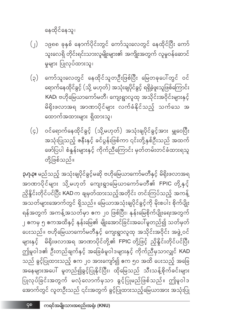ကရင်အမျိုးသားအစည်းအရုံး (KNU)

၄၈

ညှိနိုင်းတိုင်ပင်ပြီး KAD က ချမှတ်ထားသည့်အတိုင်း တင်းကြပ်သည့် အကန့် အသတ်များအောက်တွင် ရှိသည်။ မြေယာအသုံးချပိုင်ခွင့်ကို မိုးစပါး စိုက်ပျိုး ရန်အတွက် အကန့်အသတ်မှာ ဧက ၂၀ ဖြစ်ပြီး၊ နုန်းမြေစိုက်ပျိုးရေးအတွက် ၂ ဧကမှ ၅ ဧကအထိနှင့် နုန်းမြေ၏ မျိုးအောင်ခြင်းအပေါ်မူတည်၍ သတ်မှတ် ပေးသည်။ ဗဟိုမြေယာကော်မတီနှင့် ကျေးရွာလူထု အသိုင်းအဝိုင်း အဖွဲ့ဝင် များနှင့် မိရိုးဖလာအရ အာဏာပိုင်တို့၏ FPIC တို့ဖြင့် ညှိနှိုင်းတိုင်ပင်ပြီး ဤမူဝါဒ၏ ဦးတည်ချက်နှင့် အခြေခံမူဝါဒများနှင့် ကိုက်ညီမှသာလျှင် KAD သည် ခွင့်ပြုထားသည့် ဧက ၂၀ အားကျော်၍ ဧက ၅၀ အထိ ပေးသည့် အခြေ အနေများအပေါ် မူတည်၍ခွင့်ပြုနိုင်ပြီး၊ ထိုမြေသည် သီးသန့်စိုက်ခင်းများ ပြုလုပ်ခြင်းအတွက် မလုံလောက်မှသာ ခွင့်ပြုမည်ဖြစ်သည်။ ဤမူဝါဒ အောက်တွင် လူတဦးသည် ၎င်းအတွက် ခွင့်ပြုထားသည့်မြေယာအား အသုံးပြု

ဝင်ရောက်နေထိုင်ခွင့် (သို့မဟုတ်) အသုံးချပိုင်ခွင့်အား မျှဝေပြီး  $(\varsigma)$ အသုံးပြုသည့် ဇနီးနှင့် ခင်ပွန်းဖြစ်ကာ ၎င်းတို့နှစ်ဦးသည် အထက် ဖော်ပြပါ စံနှန်းများနှင့် ကိုက်ညီကြောင်း မှတ်တမ်းတင်ခံထားရသူ တို့ဖြစ်သည်။

**ု.ဂု.၃။** မည်သည့် အသုံးချပိုင်ခွင့်မဆို ဗဟိုမြေယာကော်မတီနှင့် မိရိုးဖလာအရ အာဏာပိုင်များ သို့မဟုတ် ကျေးရွာမြေယာကော်မတီ၏ FPIC တို့နှင့်

ရောက်နေထိုင်ခွင့် (သို့ မဟုတ်) အသုံးချပိုင်ခွင့် ရရှိခဲ့ဖူးသူဖြစ်ကြောင်း KAD၊ ဗဟိုမြေယာကော်မတီ၊ ကျေးရွာလူထု အသိုင်းအဝိုင်းများနှင့် မိရိုးဖလာအရ အာဏာပိုင်များ လက်ခံနိုင်သည့် သက်သေ အ ထောက်အထားများ ရှိထားသူ၊

ကော်သူးလေတွင် နေထိုင်သူတဦးဖြစ်ပြီး မြေတခုပေါ်တွင် ဝင်

၁၉၈၈ ခုနှစ် နောက်ပိုင်းတွင် ကော်သူးလေတွင် နေထိုင်ပြီး ကော်  $\left(\begin{array}{c} \end{array}\right)$ သူးလေရှိ တိုင်းရင်းသားလူမျိုးများ၏ အကျိုးအတွက် လူမှုဝန်ဆောင် မှုများ ပြုလုပ်ထားသူ၊

 $(\varsigma)$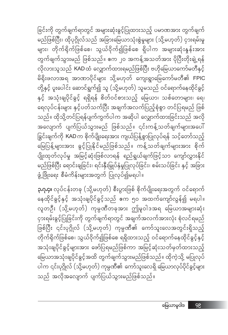**၃.၇.၄။** လုပ်ငန်းတခု (သို့မဟုတ်) စီးပွားဖြစ် စိုက်ပျိုးရေးအတွက် ဝင်ရောက် နေထိုင်ခွင့်နှင့် အသုံးချပိုင်ခွင့်သည် ဧက ၅၀ အထက်ကျော်လွန်၍ မရပါ။ လူတဦး (သို့မဟုတ်) ကုမ္ပဏီတခုအား ဤမူဝါဒအရ မြေယာအများဆုံး ငှားရမ်းခွင့်ပြုခြင်းကို တွက်ချက်ရာတွင် အချက်အလက်အားလုံး စုံလင်ရမည် .<br>ဖြစ်ပြီး ၎င်းပုဂ္ဂိုလ် (သို့မဟုတ်) ကုမ္ပဏီ၏ ကော်သူးလေအတွင်းရှိသည့် တိုက်ရိုက်ဖြစ်စေ၊ သွယ်ဝိုက်၍ဖြစ်စေ ရရှိထားသည့် ဝင်ရောက်နေထိုင်ခွင့်နှင့် အသုံးချပိုင်ခွင့်များအား ဖော်ပြရမည်ဖြစ်ကာ အမြင့်ဆုံးသတ်မှတ်ထားသည့် မြေယာအသုံးချပိုင်ခွင့်အထိ တွက်ချက်သွားမည်ဖြစ်သည်။ ထိုကဲ့သို့ မပြုလုပ် ပါက ၎င်းပုဂ္ဂိုလ် (သို့မဟုတ်) ကုမ္ပဏီ၏ ကော်သူးလေရှိ မြေယာလုပ်ပိုင်ခွင့်များ သည် အလိုအလျောက် ပျက်ပြယ်သွားမည်ဖြစ်သည်။

ခြင်းကို တွက်ချက်ရာတွင် အများဆုံးခွင့်ပြုထားသည့် ပမာဏအား တွက်ချက် မည်ဖြစ်ပြီး၊ ထိုပုဂ္ဂိုလ်သည် အခြားမြေယာသုံးစွဲမှုများ (သို့မဟုတ်) ငှားရမ်းမှု များ၊ တိုက်ရိုက်ဖြစ်စေ၊ သွယ်ဝိုက်၍ဖြစ်စေ ရှိပါက အများဆုံးနှုန်းအား တွက်ချက်သွားမည် ဖြစ်သည်။ ဧက ၂၀ အကန့်အသတ်အား ပိုပြီးတိုးချဲ့ရန် မိရိုးဖလာအရ အာဏာပိုင်များ သို့မဟုတ် ကျေးရွာမြေကော်မတီ၏ FPIC တို့နှင့် ပူးပေါင်း ဆောင်ရွက်၍ သူ (သို့မဟုတ်) သူမသည် ဝင်ရောက်နေထိုင်ခွင့် နှင့် အသုံးချပိုင်ခွင့် ရရှိရန် စိတ်ဝင်စားသည့် မြေယာ၊ သစ်တောများ၊ ရေ၊ ရေလုပ်ငန်းများ နှင့်ပတ်သက်ပြီး အချက်အလက်ပြည့်စုံစွာ တင်ပြရမည် ဖြစ် သည်။ ထိုသို့တင်ပြရန်ပျက်ကွက်ပါက အဆိုပါ လျှောက်ထားခြင်းသည် အလို အလျောက် ပျက်ပြယ်သွားမည် ဖြစ်သည်။ ၎င်းကန့်သတ်ချက်များအပေါ် ခြွင်းချက်ကို KAD က စိုက်ပျိုးရေးအား ကျယ်ပြန့်စွာပြုလုပ်ရန် သင့်တော်သည့် မြေပြန့်များအား ခွင့်ပြုနိုင်မည်ဖြစ်သည်။ ကန့်သတ်ချက်များအား စိုက် ပျိုးထုတ်လုပ်မှု အမြင့်ဆုံးဖြစ်လာရန် ရည်ရွယ်ချက်ဖြင့်သာ ကျော်လွှားနိုင် မည်ဖြစ်ပြီး ရောင်းချခြင်း၊ ရင်းနှီးမြှုပ်နှံမှုပြုလုပ်ခြင်း၊ စမ်းသပ်ခြင်း နှင့် အခြား ဖွံ့ဖြိုးရေး စီမံကိန်းများအတွက် ပြုလုပ်၍မရပါ။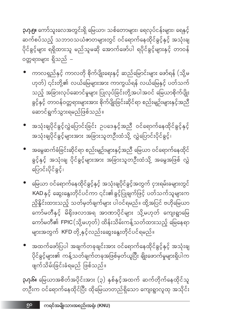**၃.ဂု.၅။** ကော်သူးလေအတွင်းရှိ မြေယာ၊ သစ်တောများ၊ ရေလုပ်ငန်းများ၊ ရေနှင့် ဆက်စပ်သည့် သဘာဝသယံဇာတများတွင် ဝင်ရောက်နေထိုင်ခွင့်နှင့် အသုံးချ .<br>ပိုင်ခွင့်များ ရရှိထားသူ မည်သူမဆို အောက်ဖော်ပါ ရပိုင်ခွင့်များနှင့် တာဝန် ၀တ္တရားများ ရှိသည် –

- ကာလရှည်နှင့် ကာလတို စိုက်ပျိုးရေးနှင့် ဆည်မြောင်းများ ဖော်ရန် (သို့မ ဟုတ်) ၎င်းတို့၏ လယ်မြေများအား ကာကွယ်ရန် လယ်မြေနှင့် ပတ်သက် သည့် အခြားလုပ်ဆောင်မှုများ ပြုလုပ်ခြင်းတို့အပါအဝင် မြေယာစိုက်ပျိုး ခွင့်နှင့် တာဝန်ဝတ္တရားများအား စိုက်ပျိုးခြင်းဆိုင်ရာ စည်းမျဉ်းများနှင့်အညီ ဆောင်ရွက်သွားရမည်ဖြစ်သည်။
- အသုံးချပိုင်ခွင့်လွှဲပြောင်းခြင်း ဉပဒေနှင့်အညီ ဝင်ရောက်နေထိုင်ခွင့်နှင့် အသုံးချပိုင်ခွင့်များအား အခြားသူတဦးထံသို့ လွှဲပြောင်းပိုင်ခွင့်၊
- အမွေဆက်ခံခြင်းဆိုင်ရာ စည်းမျဉ်းများနှင့်အညီ မြေယာ ဝင်ရောက်နေထိုင် ခွင့်နှင့် အသုံးချ ပိုင်ခွင့်များအား အခြားသူတဦးထံသို့ အမွေအဖြစ် လွှဲ ပြောင်းပိုင်ခွင့်၊
- မြေယာ ဝင်ရောက်နေထိုင်ခွင့်နှင့် အသုံးချပိုင်ခွင့်အတွက် ငှားရမ်းခများတွင် KAD နှင့် ဆွေးနွေးတိုင်ပင်ကာ ၎င်း၏ခွင့်ပြုချက်ဖြင့် ပတ်သက်သူများက ညှိနိူင်းထားသည့် သတ်မှတ်ချက်များ ပါဝင်ရမည်။ ထို့အပြင် ဗဟိုမြေယာ ကော်မတီနှင့် မိရိုးဖလာအရ အာဏာပိုင်များ သို့မဟုတ် ကျေးရွာမြေ ကော်မတီ၏ FPIC (သို့မဟုတ်) ထိန်းသိမ်းကန့်သတ်ထားသည့် မြေနေရာ များအတွက် KFD တို့နှင့်လည်းဆွေးနွေးတိုင်ပင်ရမည်။
- အထက်ဖော်ပြပါ အချက်တခုချင်းအား ဝင်ရောက်နေထိုင်ခွင့်နှင့် အသုံးချ ပိုင်ခွင့်များ၏ ကန့်သတ်ချက်တခုအဖြစ်မှတ်ယူပြီး ချိုးဖောက်မှုများရှိပါက ဖျက်သိမ်းခြင်းခံရမည် ဖြစ်သည်။

**၃.၇.၆။** မြေယာအစိတ်အပိုင်းအား (၃) နှစ်နှင့်အထက် ဆက်တိုက်နေထိုင်သူ တဦးက ဝင်ရောက်နေထိုင်ပြီး ထိုမြေယာတည်ရှိသော ကျေးရွာလူထု အသိုင်း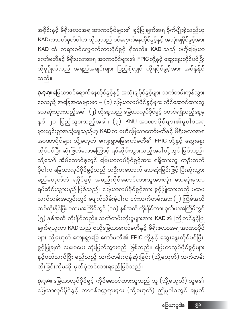**၃.ဂု.၈။** မြေယာလုပ်ပိုင်ခွင့် ကိုင်ဆောင်ထားသူသည် သူ (သို့မဟုတ်) သူမ၏ မြေယာလုပ်ပိုင်ခွင့် တာဝန်ဝတ္တရားများ (သို့မဟုတ်) ဤမူဝါဒတွင် ချမှတ်

**၃.၇.၇။** မြေယာဝင်ရောက်နေထိုင်ခွင့်နှင့် အသုံးချပိုင်ခွင့်များ သက်တမ်းကုန်သွား စေသည့် အခြေအနေများမှာ – (၁) မြေယာလုပ်ပိုင်ခွင့်များ ကိုင်ဆောင်ထားသူ သေဆုံးသွားသည့်အခါ၊ (၂) ထိုနေ့သည် မြေယာလုပ်ပိုင်ခွင့် စတင်ရရှိသည့်နေ့မှ နှစ် ၂၀ ပြည့်သွားသည့်အခါ၊ (၃) KNU အာဏာပိုင်များ၏မူဝါဒအရ မှားယွင်းစွာအသုံးချသည်ဟု KAD က ဗဟိုမြေယာကော်မတီနှင့် မိရိုးဖလာအရ အာဏာပိုင်များ သို့မဟုတ် ကျေးရွာမြေကော်မတီ၏ FPIC တို့နှင့် ဆွေးနွေး တိုင်ပင်ပြီး ဆုံးဖြတ်သောကြောင့် ရပ်ဆိုင်းသွားသည့်အခါတို့တွင် ဖြစ်သည်။ သို့သော် အိမ်ထောင်စုတွင် မြေယာလုပ်ပိုင်ခွင့်အား ရရှိထားသူ တဦးထက် ပိုပါက မြေယာလုပ်ပိုင်ခွင့်သည် တဦးတယောက် သေဆုံးခြင်းဖြင့် ပြီးဆုံးသွား .<br>မည်မဟုတ်ဘဲ ရပိုင်ခွင့် အမည်ကိုင်ဆောင်ထားသူအားလုံး သေဆုံးမှသာ ရပ်ဆိုင်းသွားမည် ဖြစ်သည်။ မြေယာလုပ်ပိုင်ခွင့်အား ခွင့်ပြုထားသည့် ပထမ .<br>သက်တမ်းအတွင်းတွင် မဖျက်သိမ်းခဲ့ပါက ၎င်းသက်တမ်းအား (၂) ကြိမ်အထိ ထပ်တိုးနိုင်ပြီး ပထမအကြိမ်တွင် (၁၀) နှစ်အထိ တိုးနိုင်ကာ၊ ဒုတိယအကြိမ်တွင် (၅) နှစ်အထိ တိုးနိုင်သည်။ သက်တမ်းတိုးမှုများအား KAD ၏ ကြိုတင်ခွင့်ပြု ချက်ရယူကာ KAD သည် ဗဟိုမြေယာကော်မတီနှင့် မိရိုးဖလာအရ အာဏာပိုင် များ သို့မဟုတ် ကျေးရွာမြေ ကော်မတီ၏ FPIC တို့နှင့် ဆွေးနွေးတိုင်ပင်ပြီး၊ ခွင့်ပြုချက် ပေး၊မပေး ဆုံးဖြတ်သွားမည် ဖြစ်သည်။ မြေယာလုပ်ပိုင်ခွင့်များ နှင့်ပတ်သက်ပြီး မည်သည့် သက်တမ်းကုန်ဆုံးခြင်း (သို့မဟုတ်) သက်တမ်း တိုးခြင်းကိုမဆို မှတ်ပုံတင်ထားရမည်ဖြစ်သည်။

သည်။

အဝိုင်းနှင့် မိရိုးဖလာအရ အာဏာပိုင်များ၏ ခွင့်ပြုချက်အရ စိုက်ပျိုးခဲ့သည်ဟု KAD ကသတ်မှတ်ပါက ထိုသူသည် ဝင်ရောက်နေထိုင်ခွင့်နှင့် အသုံးချပိုင်ခွင့်အား KAD ထံ တရားဝင်လျှောက်ထားပိုင်ခွင့် ရှိသည်။ KAD သည် ဗဟိုမြေယာ ကော်မတီနှင့် မိရိုးဖလာအရ အာဏာပိုင်များ၏ FPIC တို့နှင့် ဆွေးနွေးတိုင်ပင်ပြီး ထိုပုဂ္ဂိုလ်သည် အရည်အချင်းများ ပြည့်စုံလျှင် ထိုရပိုင်ခွင့်အား အပ်နှံနိုင်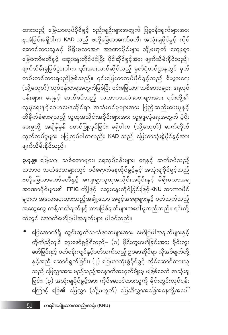• မြေအောက်ရှိ တွင်းထွက်သယံဇာတများအား ဖော်ပြပါအချက်များနှင့် ကိုက်ညီလျင် တူးဖော်ခွင့်ရှိသည်– (၁) မိုင်းတူးဖော်ခြင်းအား မိုင်းတူး ဖော်ခြင်းနှင့် ပတ်ဝန်းကျင်နှင့်ပတ်သက်သည့် ဉပဒေဆိုင်ရာ လိုအပ်ချက်တို့ နှင့်အညီ ဆောင်ရွက်ခြင်း၊ (၂) မြေယာသုံးစွဲပိုင်ခွင့် ကိုင်ဆောင်ထားသူ သည် မြေလွှာအား မည်သည့်အနောက်အယှက်မျိုးမှ မဖြစ်စေဘဲ အသုံးချ ခြင်း၊ (၃) အသုံးချပိုင်ခွင့်အား ကိုင်ဆောင်ထားသူကို မိုင်းတွင်းလုပ်ငန်း ကြောင့် မြေ၏ မြေလွှာ (သို့မဟုတ်) မြေဆီလွှာအခြေအနေတို့အပေါ်

**၃.၇.၉။** မြေယာ၊ သစ်တောများ၊ ရေလုပ်ငန်းများ၊ ရေနှင့် ဆက်စပ်သည့် သဘာ၀ သယံဇာတများတွင် ဝင်ရောက်နေထိုင်ခွင့်နှင့် အသုံးချပိုင်ခွင့်သည် ဗဟိုမြေယာကော်မတီနှင့် ကျေးရွာလူထုအသိုင်းအဝိုင်းနှင့် မိရိုးဖလာအရ အာဏာပိုင်များ၏ FPIC တို့ဖြင့် ဆွေးနွေးတိုင်ခြင်းဖြင့် KNU အာဏာပိုင် များက အလေးပေးထားသည့်အချို့သော အခွင့်အရေးများနှင့် ပတ်သက်သည့် အထွေထွေ ကန့်သတ်ချက်နှင့် တားမြစ်ချက်များအပေါ် မူတည်သည်။ ၎င်းတို့ ထဲတွင် အောက်ဖော်ပြပါအချက်များ ပါဝင်သည်။

ဖျက်သိမ်းနိုင်သည်။

ထားသည့် မြေယာလုပ်ပိုင်ခွင့် စည်းမျဉ်းများအတွက် ပြဋ္ဌာန်းချက်များအား နာခံခြင်းမရှိပါက KAD သည် ဗဟိုမြေယာကော်မတီ၊ အသုံးချပိုင်ခွင့် ကိုင် ဆောင်ထားသူနှင့် မိရိုးဖလာအရ အာဏာပိုင်များ သို့မဟုတ် ကျေးရွာ မြေကော်မတီနှင့် ဆွေးနွေးတိုင်ပင်ပြီး ပိုင်ဆိုင်ခွင့်အား ဖျက်သိမ်းနိုင်သည်။ ဖျက်သိမ်းမှုဖြစ်ပွားပါက ၎င်းအားသက်ဆိုင်သည့် မှတ်ပုံတင်ဌာနတွင် မှတ် တမ်းတင်ထားရမည်ဖြစ်သည်။ ၎င်းမြေယာလုပ်ပိုင်ခွင့်သည် စီးပွားရေး (သို့မဟုတ်) လုပ်ငန်းတခုအတွက်ဖြစ်ပြီး ၎င်းမြေယာ၊ သစ်တောများ၊ ရေလုပ် ငန်းများ၊ ရေနှင့် ဆက်စပ်သည့် သဘာဝသယံဇာတများအား ၎င်းတို့၏ လူမှုရေးနှင့် ဂေဟဗေဒဆိုင်ရာ အသုံးဝင်မှုများအား ဖြည့် ဆည်းပေးမှုနှင့် .<br>ထိခိုက်ခံစားရသည့် လူထုအသိုင်းအဝိုင်းများအား လူမှုဖူလုံရေးအတွက် ပံ့ပိုး ပေးမှုတို့ အချိန်မှန် စတင်ပြုလုပ်ခြင်း မရှိပါက (သို့မဟုတ်) ဆက်တိုက် ထုတ်လုပ်မှုများ မပြုလုပ်ပါကလည်း KAD သည် မြေယာသုံးစွဲပိုင်ခွင့်အား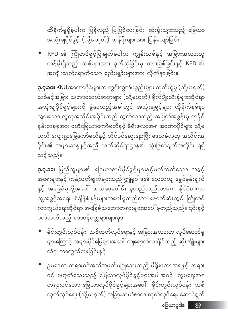မြေယာမူဝါဒ ၅၃

ဉပဒေက တရားဝင်အသိအမှတ်မပြုသေးသည့် မိရိုးဖလာအရနှင့် တရား ဝင် မဟုတ်သေးသည့် မြေယာလုပ်ပိုင်ခွင့်များအပါအဝင်၊ လူမှုရေးအရ တရားဝင်သော မြေယာလုပ်ပိုင်ခွင့်များအပေါ် မိုင်းတွင်းလုပ်ငန်း၊ သစ် ထုတ်လုပ်ရေး (သို့မဟုတ်) အခြားသယံဇာတ ထုတ်လုပ်ရေး ဆောင်ရွက်

● မိုင်းတွင်းလုပ်ငန်း၊ သစ်ထုတ်လုပ်ရေးနှင့် အခြားအလားတူ လုပ်ဆောင်မှု များကြောင့် အများပိုင်မြေများအပေါ် ကျရောက်လာနိုင်သည့် ဆိုးကျိုးများ ထံမှ ကာကွယ်ပေးခြင်းနှင့်၊

**၃.ဂု.၁၁။** ပြည်သူများ၏ မြေယာလုပ်ပိုင်ခွင့်များနှင့်ပတ်သက်သော အခွင့် အရေးများနှင့် ကန့်သတ်ချက်များသည် ဤမူဝါဒ၏ ယေဘုယျ မျှော်မှန်းချက် နှင့် အခြေခံမူတို့အပေါ် တသဝေမတိမ်း မူတည်သည်သာမက နိုင်ငံတကာ -<br>လူ့အခွင့်အရေး စံချိန်စံနှန်းများအပေါ်မူတည်ကာ နောက်ဆုံးတွင် ကြိုတင် ကာကွယ်ရေးဆိုင်ရာ အခြေခံသဘောတရားများအပေါ် မူတည်သည်။ ၎င်းနှင့် ပတ်သက်သည့် တာဝန်ဝတ္တရားများမှာ –

သင့်သည်။

**၃.ဂု.၁၀။** KNU အာဏာပိုင်များက တွင်းထွက်ပစ္စည်းများ ထုတ်ယူမှု (သို့မဟုတ်) သစ်နှင့်အခြား သဘာဝသယံဇာတများ (သို့မဟုတ်) စိုက်ပျိုးသီးနှံများဆိုင်ရာ အသုံးချပိုင်ခွင့်များကို ခွဲဝေသည့်အခါတွင် အသုံးချခွင့်များ ထိုခိုက်နစ်နာ သွားသော လူထုအသိုင်းအဝိုင်းသည် ထွက်လာသည့် အမြတ်အစွန်းမှ ရာခိုင် နှုန်းတခုခုအား ဗဟိုမြေယာကော်မတီနှင့် မိရိုးဖလာအရ အာဏာပိုင်များ သို့မ ဟုတ် ကျေးရွာမြေကော်မတီနှင့် တိုင်ပင်ဆွေးနွေးပြီး ဒေသခံလူထု အသိုင်းအ ဝိုင်း၏ အများဆန္ဒနှင့်အညီ သက်ဆိုင်ရာဌာန၏ ဆုံးဖြတ်ချက်အတိုင်း ရရှိ

KFD ၏ ကြိုတင်ခွင့်ပြုချက်မပါဘဲ ကျွန်းသစ်နှင့် အခြားအလားတူ တန်ဖိုးရှိသည့် သစ်များအား ခုတ်လှဲခြင်းမှ တားမြစ်ခြင်းနှင့် KFD ၏ အကျိုးသက်ရောက်သော စည်းမျဉ်းများအား လိုက်နာခြင်း။

ထိခိုက်မှုရှိခဲ့ပါက ပြန်လည် ပြုပြင်ပေးခြင်း၊ ဆုံးရုံးသွားသည့် မြေယာ ာ - - - - - - - -<br>အသုံးချပိုင်ခွင့် (သို့မဟုတ်) တန်ဖိုးများအား ပြန်လျော်ခြင်း။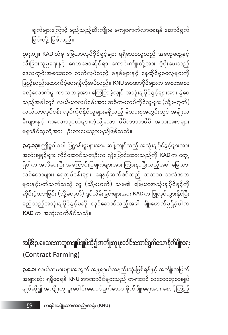ချက်များကြောင့် မည်သည့်ဆိုးကျိုးမှ မကျရောက်လာစေရန် ဆောင်ရွက် ခြင်းတို့ ဖြစ်သည်။

**၃.၇.၁၂။ KAD** ထံမှ မြေယာလုပ်ပိုင်ခွင့်များ ရရှိသောသူသည် အထွေထွေနှင့် သီးခြားလူမှုရေးနှင့် ဂေဟဗေဒဆိုင်ရာ ကောင်းကျိုးတို့အား ပံ့ပိုးပေးသည့် ဒေသတွင်းအစားအစာ ထုတ်လုပ်သည့် စနစ်များနှင့် နေထိုင်မှုဓလေ့များကို ဖြည့်ဆည်းထောက်ပံ့ပေးရန်လိုအပ်သည်။ KNU အာဏာပိုင်များက အစားအစာ မလုံလောက်မှု ကာလတခုအား ကြေငြာခဲ့လျှင် အသုံးချပိုင်ခွင့်များအား ခွဲဝေ သည့်အခါတွင် လယ်ယာလုပ်ငန်းအား အဓိကမလုပ်ကိုင်သူများ (သို့မဟုတ်) .<br>လယ်ယာလုပ်ငန်း လုပ်ကိုင်နိုင်သူများမရှိသည့် မိသားစုအတွင်းတွင် အမျိုးသ မရှာနိုင်သူတို့အား ဦးစားပေးသွားမည်ဖြစ်သည်။

**၃.ဂု.၁၃။** ဤမူဝါဒပါ ပြဋ္ဌာန်းမှုများအား ဆန့်ကျင်သည့် အသုံးချပိုင်ခွင့်များအား အသုံးချခွင့်များ ကိုင်ဆောင်သူတဦးက လွှဲပြောင်းထားသည်ကို KAD က တွေ့ ရှိပါက အသိပေးပြီး အကြောင်းပြချက်များအား ကြားနာပြီးသည့်အခါ မြေယာ၊ သစ်တောများ၊ ရေလုပ်ငန်းများ၊ ရေနှင့်ဆက်စပ်သည့် သဘာဝ သယံဓာတ များနှင့်ပတ်သက်သည့် သူ (သို့မဟုတ်) သူမ၏ မြေယာအသုံးချပိုင်ခွင့်ကို ဆိုင်းငံ့ထားခြင်း (သို့မဟုတ်) ရုပ်သိမ်းခြင်းများအား KAD က ပြုလုပ်သွားနိုင်ပြီး မည်သည့်အသုံးချပိုင်ခွင့်မဆို လုပ်ဆောင်သည့်အခါ ချိုးဖောက်မှုရှိခဲ့ပါက KAD က အဆုံးသတ်နိုင်သည်။

အပိုဒ် ၃.၈။ သဘောတူစာချုပ်ချုပ်ဆို၍ အကျိုးတူ ပူးပေါင်းဆောင်ရွက်သော စိုက်ပျိုးရေး (Contract Farming)

**၃.၈.၁။** လယ်သမားများအတွက် အန္တရာယ်အနည်းဆုံးဖြစ်ရန်နှင့် အကျိုးအမြတ် အများဆုံး ရရှိစေရန် KNU အာဏာပိုင်များသည် တရားဝင် သဘောတူစာချုပ် ချုပ်ဆို၍ အကျိုးတူ ပူးပေါင်းဆောင်ရွက်သော စိုက်ပျိုးရေးအား စောင့်ကြည့်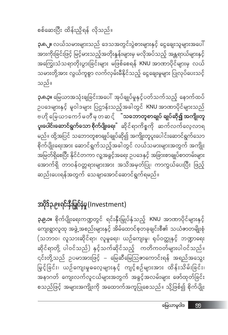အပိုဒ်၃.၉။ရင်းနီးမြှုပ်နှံမှု (Investment) **၃.၉.၁။** စိုက်ပျိုးရေးကဏ္ဍတွင် ရင်းနှီးမြှုပ်နှံသည့် KNU အာဏာပိုင်များနှင့် ကျေးရွာလူထု အဖွဲ့ အစည်းများနှင့် အိမ်ထောင်စုတခုချင်းစီ၏ သယံဇာတမျိုးစုံ (သဘာဝ၊ လူသားဆိုင်ရာ၊ လူမှုရေး၊ ယဉ်ကျေးမှု၊ ရုပ်ဝတ္ထုနှင့် ဘဏ္ဍာရေး ဆိုင်ရာတို့ ပါဝင်သည်) နှင့်သက်ဆိုင်သည့် ကတိကဝတ်များပါဝင်သည်။ ၎င်းတို့သည် ဥပမာအားဖြင့် – မြေဆီမြေသြဇာကောင်းရန် အရည်အသွေး မြှင့်ခြင်း၊ ယဉ်ကျေးမှုဓလေ့များနှင့် ကျင့်စဉ်များအား ထိန်းသိမ်းခြင်း၊ အနာဂတ် ကျေးလက်လူငယ်များအတွက် အခွင့်အလမ်းများ ဖော်ထုတ်ခြင်း စသည်ဖြင့် အများအကျိုးကို အထောက်အကူပြုစေသည်။ သို့ဖြစ်၍ စိုက်ပျိုး

**၃.၈.၃။** မြေယာအသုံးချခြင်းအပေါ် အုပ်ချုပ်မှုနှင့်ပတ်သက်သည့် နောက်ထပ် ဉပဒေများနှင့် မူဝါဒများ ပြဌာန်းသည့်အခါတွင် KNU အာဏာပိုင်များသည် ဗဟို မြေယာကော်မတီမှတဆင့် <mark>ံသဘောတူစာချုပ် ချုပ်ဆို၍ အကျိုးတူ</mark> **ပူးပေါင်းဆောင်ရွက်သော စိုက်ပျိုးရေး**ႆ ဆိုင်ရာကိစ္စကို ဆက်လက်လေ့လာရ မည်။ ထို့အပြင် သဘောတူစာချုပ်ချုပ်ဆို၍ အကျိုးတူပူးပေါင်းဆောင်ရွက်သော စိုက်ပျိုးရေးအား ဆောင်ရွက်သည့်အခါတွင် လယ်သမားများအတွက် အကျိုး အမြတ်ရှိစေပြီး နိုင်ငံတကာ လူ့အခွင့်အရေး ဥပဒေနှင့် အခြားစာချုပ်စာတမ်းများ အောက်ရှိ တာဝန်ဝတ္တရားများအား အသိအမှတ်ပြု၊ ကာကွယ်ပေးပြီး ဖြည့် ဆည်းပေးရန်အတွက် သေချာအောင်ဆောင်ရွက်ရမည်။

သည်။

**၃.၈.၂။** လယ်သမားများသည် ဒေသအတွင်းပွဲစားများနှင့် ငွေချေးသူများအပေါ် အားကိုးခြင်းဖြင့် မြင့်မားသည့်အတိုးနှန်းများမှ မလိုအပ်သည့် အန္တရာယ်များနှင့် အကြွေးသံသရာတိုးပွားခြင်းများ မဖြစ်စေရန် KNU အာဏာပိုင်များမှ လယ် သမားတို့အား လွယ်ကူစွာ လက်လှမ်းမီနိုင်သည့် ငွေချေးမှုများ ပြုလုပ်ပေးသင့်

စစ်ဆေးပြီး ထိန်းညှိရန် လိုသည်။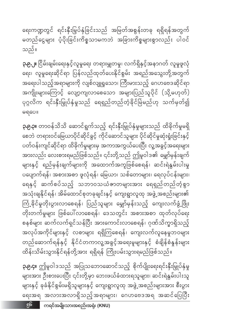**၃.၉.၄။** ဤမူဝါဒသည် အပြုသဘောဆောင်သည့် စိုက်ပျိုးရေးရင်းနှီးမြှုပ်နှံမှု များအား ဦးစားပေးပြီး ၎င်းတို့မှာ ဘေးဖယ်ခံထားရသူများ၊ ဆင်းရဲနွမ်းပါးသူ များနှင့် ခုခံနိုင်စွမ်းမရှိသူများနှင့် ကျေးရွာလူထု အဖွဲ့အစည်းများအား စီးပွား ရေးအရ အလားအလာရှိသည့်အရာများ၊ ဂေဟဗေဒအရ အဆင်ပြေပြီး

**၃.၉.၃။** တာဝန်သိသိ ဆောင်ရွက်သည့် ရင်းနှီးမြှုပ်နှံမှုများသည် ထိခိုက်မှုမရှိ စေဘဲ တရားဝင်မြေယာပိုင်ဆိုင်ခွင့် ကိုင်ဆောင်သူများ ပိုင်ဆိုင်မှုဆုံးရှုံးခြင်းနှင့် ပတ်ဝန်းကျင်ဆိုင်ရာ ထိခိုက်မှုများမှ အကာအကွယ်ပေးပြီး လူ့အခွင့်အရေးများ အားလည်း လေးစားရမည်ဖြစ်သည်။ ၎င်းတို့သည် ဤမူဝါဒ၏ မျှော်မှန်းချက် များနှင့် ရည်မှန်းချက်များကို အထောက်အကူဖြစ်စေရန်၊ ဆင်းရဲနွမ်းပါးမှု ပပျောက်ရန်၊ အစားအစာ ဖူလုံရန်၊ မြေယာ၊ သစ်တောများ၊ ရေလုပ်ငန်းများ၊ ရေနှင့် ဆက်စပ်သည့် သဘာဝသယံဇာတများအား ရေရှည်တည်တံ့စွာ အသုံးချနိုင်ရန်၊ အိမ်ထောင်စုတခုချင်းနှင့် ကျေးရွာလူထု အဖွဲ့ အစည်းများ၏ ကြံ့ခိုင်မှုတိုးပွားလာစေရန်၊ ပြည်သူများ မျှော်မှန်းသည့် ကျေးလက်ဖွံ့ဖြိုး တိုးတက်မှုများ ဖြစ်ပေါ်လာစေရန်၊ ဒေသတွင်း အစားအစာ ထုတ်လုပ်ရေး စနစ်များ ဆက်လက်ရှင်သန်ပြီး အားကောင်းလာစေရန်၊ ဂုဏ်သိက္ခာရှိသည့် အလုပ်အကိုင်များနှင့် လစာများ ရရှိကြစေရန်၊ ကျေးလက်လူနေမှုဘဝများ တည်ဆောက်ရန်နှင့် နိုင်ငံတကာလူ့အခွင့်အရေးမူများနှင့် စံချိန်စံနှန်းများ ထိန်းသိမ်းသွားနိုင်ရန်တို့အား ရရှိရန် ကြိုးပမ်းသွားရမည်ဖြစ်သည်။

မရပေ။

**၃.၉.၂။** ငြိမ်းချမ်းရေးနှင့်လူမှုရေး တရားမျှတမှု၊ လက်ရှိနှင့်အနာဂတ် လူမှုဖူလုံ ရေး၊ လူမှုရေးဆိုင်ရာ ပြန်လည်ထုတ်ပေးနိုင်စွမ်း အရည်အသွေးတို့အတွက် အရေးပါသည့်အရာများကို လျစ်လျူရှုသော၊ ကြီးမားသည့် ဂေဟဗေဒဆိုင်ရာ အကျိုးများကြောင့် လျော့ကျလာစေသော အများပြည်သူပိုင် (သို့မဟုတ်) ပုဂ္ဂလိက ရင်းနှီးမြှုပ်နှံမှုသည် ရေရှည်တည်တံ့ခိုင်မြဲမည်ဟု သက်မှတ်၍

ရေးကဏ္ဍတွင် ရင်းနှီးမြှပ်နှံခြင်းသည် အမြတ်အစွန်းတခု ရရှိရန်အတွက် မတည်ငွေများ ပံ့ပိုးခြင်းကိစ္စသာမကဘဲ အခြားကိစ္စများစွာလည်း ပါဝင် သည်။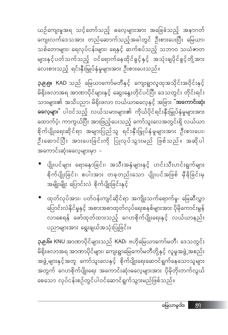**၃.၉.၆။** KNU အာဏာပိုင်များသည် KAD၊ ဗဟိုမြေယာကော်မတီ၊ ဒေသတွင်း မိရိုးဖလာအရ အာဏာပိုင်များ၊ ကျေးရွာမြေကော်မတီတို့နှင့် လူမှုအဖွဲ့ အစည်း အဖွဲ့ များနှင့်အတူ ကော်သူးလေနှင့် စိုက်ပျိုးရေးဆောင်ရွက်နေသောသူများ အတွက် ဂေဟစိုက်ပျိုးရေး အကောင်းဆုံးဓလေ့များအား ပိုမိုတိုးတက်လွယ် စေသော လုပ်ငန်းစဉ်တွင်ပါဝင်ဆောင်ရွက်သွားမည်ဖြစ်သည်။

ပညာများအား ရွေးချယ်အသုံးပြုခြင်း။

● ထုတ်လုပ်အား၊ ပတ်ဝန်းကျင်ဆိုင်ရာ အကျိုးသက်ရောက်မှု၊ မြေဆီလွှာ ပြောင်းလဲနိုင်မှုနှင့် အစားအစာထုတ်လုပ်ရေးစနစ်များအား ပိုမိုကောင်းမွန် လာစေရန် ဖော်ထုတ်ထားသည့် ဂေဟစိုက်ပျိုးရေးနှင့် လယ်ယာနည်း

● ပျိုးပင်များ ရောနှောခြင်း၊ အသီးအနှံများနှင့် ဟင်းသီးဟင်းရွက်များ စိုက်ပျိုးခြင်း၊ စပါးအား တခုတည်းသော ပျိုးပင်အဖြစ် မှီခိုခြင်းမှ အမျိုးမျိုး ပြောင်းလဲ စိုက်ပျိုးခြင်းနှင့်

.<br>မိရိုးဖလာအရ အာဏာပိုင်များနှင့် ဆွေးနွေးတိုင်ပင်ပြီး ဒေသတွင်း တိုင်းရင်း သားများ၏ အသိပညာ၊ မိရိုးဖလာ လယ်ယာဓလေ့နှင့် အခြား <sup>"</sup>**အကောင်းဆုံး ဓလေ့များ**" ပါဝင်သည့် လယ်သမားများ၏ ကိုယ်ပိုင်ရင်းနှီးမြှုပ်နှံမှုများအား ထောက်ပံ့၊ ကာကွယ်ပြီး အားဖြည့်ပေးသည့် ကော်သူးလေအတွင်းရှိ လယ်ယာ စိုက်ပျိုးရေးဆိုင်ရာ အများပြည်သူ ရင်းနှီးမြှုပ်နှံမှုများအား ဦးစားပေး၊ ဦးဆောင်ပြီး အားပေးခြင်းကို ပြုလုပ်သွားမည် ဖြစ်သည်။ အဆိုပါ အကောင်းဆုံးဓလေ့များမှာ –

ယဉ်ကျေးမှုအရ သင့်တော်သည့် ဓလေ့များအား အခြေခံသည့် အနာဂတ် ကျေးလက်ဒေသအား တည်ဆောက်သည့်အခါတွင် ဦးစားပေးပြီး မြေယာ၊ သစ်တောများ၊ ရေလုပ်ငန်းများ၊ ရေနှင့် ဆက်စပ်သည့် သဘာဝ သယံဇာတ များနှင့်ပတ်သက်သည့် ဝင်ရောက်နေထိုင်ခွင့်နှင့် အသုံးချပိုင်ခွင့်တို့အား လေးစားသည့် ရင်းနှီးမြှုပ်နှံမှုများအား ဦးစားပေးသည်။

**၃.၉.၅။ KAD** သည် မြေယာကော်မတီနှင့် ကျေးရွာလူထုအသိုင်းအဝိုင်းနှင့်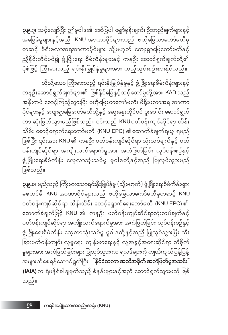**ှာ၉.၈။** မည်သည့် ကြီးမားသောရင်းနှီးမြှုပ်နှံမှု (သို့မဟုတ်) ဖွံ့ဖြိုးရေးစီမံကိန်းများ မစတင်မီ KNU အာဏာပိုင်များသည် ဗဟိုမြေယာကော်မတီမှတဆင့် KNU ပတ်ဝန်းကျင်ဆိုင်ရာ ထိန်းသိမ်း စောင့်ရှောက်ရေးကော်မတီ (KNU EPC) ၏ ထောက်ခံချက်ဖြင့် KNU ၏ ကနဦး ပတ်ဝန်းကျင်ဆိုင်ရာသုံးသပ်ချက်နှင့် ပတ်ဝန်းကျင်ဆိုင်ရာ အကျိုးသက်ရောက်မှုအား အကဲဖြတ်ခြင်း လုပ်ငန်းစဉ်နှင့် ဖွံ့ဖြိုးရေးစီမံကိန်း လေ့လာသုံးသပ်မှု မူဝါဒတို့နှင့်အညီ ပြုလုပ်သွားပြီး သီး ခြားပတ်ဝန်းကျင်၊ လူမှုရေး၊ ကျန်းမာရေးနှင့် လူ့အခွင့်အရေးဆိုင်ရာ ထိခိုက် မှုများအား အကဲဖြတ်ခြင်းများ ပြုလုပ်သွားကာ ရလဒ်များကို ကျယ်ကျယ်ပြန့်ပြန့် အများသိစေရန်ဆောင်ရွက်ပြီး <mark>"နိုင်ငံတကာ အထိအစိုက် အကဲဖြတ်မှုအသင်း</mark>" **(IAIA)** က ရံဖန်ရံခါချမှတ်သည့် စံနှန်းများနှင့်အညီ ဆောင်ရွက်သွားမည် ဖြစ် သည်။

ထိုသို့သော ကြီးမားသည့် ရင်းနှီးမြှုပ်နှံမှုနှင့် ဖွံ့ဖြိုးရေးစီမံကိန်းများနှင့် ကနဦးဆောင်ရွက်ချက်များ၏ ဖြစ်နိုင်ခြေနှင့်သင့်တော်မူတို့အား KAD သည် အနီးကပ် စောင့်ကြည့်သွားပြီး ဗဟိုမြေယာကော်မတီ၊ မိရိုးဖလာအရ အာဏာ ပိုင်များနှင့် ကျေးရွာမြေကော်မတီတို့နှင့် ဆွေးနွေးတိုင်ပင် ပူးပေါင်း ဆောင်ရွက် ကာ ဆုံးဖြတ်သွားမည်ဖြစ်သည်။ ၎င်းသည် KNU ပတ်ဝန်းကျင်ဆိုင်ရာ ထိန်း သိမ်း စောင့်ရှောက်ရေးကော်မတီ (KNU EPC) ၏ထောက်ခံချက်ရယူ ရမည် ဖြစ်ပြီး ၎င်းအား KNU ၏ ကနဦး ပတ်ဝန်းကျင်ဆိုင်ရာ သုံးသပ်ချက်နှင့် ပတ် ဝန်းကျင်ဆိုင်ရာ အကျိုးသက်ရောက်မှုအား အကဲဖြတ်ခြင်း လုပ်ငန်းစဉ်နှင့် ဖွံ့ဖြိုးရေးစီမံကိန်း လေ့လာသုံးသပ်မှု မူဝါဒတို့နှင့်အညီ ပြုလုပ်သွားမည် ဖြစ်သည်။

**၃.၉.ဂု။** သင့်လျော်ပြီး ဤမူဝါဒ၏ ဖော်ပြပါ မျှော်မှန်းချက်၊ ဦးတည်ချက်များနှင့် အခြေခံမူများနှင့်အညီ KNU အာဏာပိုင်များသည် ဗဟိုမြေယာကော်မတီမှ တဆင့် မိရိုးဖလာအရအာဏာပိုင်များ သို့မဟုတ် ကျေးရွာမြေကော်မတီနှင့် ညှိနိုင်းတိုင်ပင်၍ ဖွံ့ဖြိုးရေး စီမံကိန်းများနှင့် ကနဦး ဆောင်ရွက်ချက်တို့၏ ပုံစံဖြင့် ကြီးမားသည့် ရင်းနှီးမြှုပ်နှံမှုများအား ထည့်သွင်းစဉ်းစားနိုင်သည်။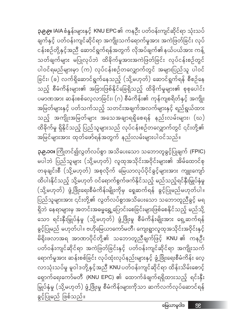ခွင့်ပြုမည် ဖြစ်သည်။

**၃.၉.၁၀။** ကြိုတင်၍လွတ်လပ်စွာ အသိပေးသော သဘောတူခွင့်ပြုချက် (FPIC) မပါဘဲ ပြည်သူများ (သို့မဟုတ်) လူထုအသိုင်းအဝိုင်းများ၏ အိမ်ထောင်စု တခုချင်းစီ (သို့မဟုတ်) အစုလိုက် မြေယာလုပ်ပိုင်ခွင့်များအား ကျူးကျော် ထိပါးနိုင်သည့် သို့မဟုတ် ဝင်ရောက်စွက်ဖက်နိုင်သည့် မည်သည့်ရင်နှီးမြှုပ်နှံမှု (သို့မဟုတ်) ဖွံ့ဖြိုးရေးစီမံကိန်းမျိုးကိုမှ ရှေဆက်ရန် ခွင့်ပြုမည်မဟုတ်ပါ။ .<br>ပြည်သူများအား ၎င်းတို့၏ လွတ်လပ်စွာအသိပေးသော သဘောတူညီခွင့် မရ ရှိဘဲ နေရာများမှ အတင်းအဓမ္မရွှေ့ပြောင်းစေခြင်းများဖြစ်စေနိုင်သည့် မည်သို့ သော ရင်းနှီးမြှုပ်နှံမှု (သို့မဟုတ်) ဖွံ့ဖြိုးမှု စီမံကိန်းမျိုးအား ရှေ့ဆက်ရန် ခွင့်ပြုမည် မဟုတ်ပါ။ ဗဟိုမြေယာကော်မတီ၊ ကျေးရွာလူထုအသိုင်းအဝိုင်းနှင့် မိရိုးဖလာအရ အာဏာပိုင်တို့၏ သဘောတူညီချက်ဖြင့် KNU ၏ ကနဦး ပတ်ဝန်းကျင်ဆိုင်ရာ အကဲဖြတ်ခြင်းနှင့် ပတ်ဝန်းကျင်ဆိုင်ရာ အကျိုးသက် ရောက်မှုအား ဆန်းစစ်ခြင်း လုပ်ထုံးလုပ်နည်းများနှင့် ဖွံ့ဖြိုးရေးစီမံကိန်း လေ့ လာသုံးသပ်မှု မူဝါဒတို့နှင့်အညီ KNU ပတ်ဝန်းကျင်ဆိုင်ရာ ထိန်းသိမ်းစောင့် မြှုပ်နှံမှု (သို့မဟုတ်) ဖွံ့ဖြိုးမှု စီမံကိန်းများကိုသာ ဆက်လက်လုပ်ဆောင်ရန်

**၃.၉.၉။** IAIA စံနှန်းများနှင့် KNU EPC ၏ ကနဦး ပတ်ဝန်းကျင်ဆိုင်ရာ သုံးသပ် ချက်နှင့် ပတ်ဝန်းကျင်ဆိုင်ရာ အကျိုးသက်ရောက်မှုအား အကဲဖြတ်ခြင်း လုပ် ငန်းစဉ်တို့နှင့်အညီ ဆောင်ရွက်ရန်အတွက် လိုအပ်ချက်၏နယ်ပယ်အား ကန့် သတ်ချက်များ မပြုလုပ်ဘဲ ထိခိုက်မှုအားအကဲဖြတ်ခြင်း လုပ်ငန်းစဉ်တွင် ပါဝင်ရမည်များမှာ (က) လုပ်ငန်းစဉ်တလျှောက်တွင် အများပြည်သူ ပါဝင် ခြင်း၊ (ခ) လက်ရှိဆောင်ရွက်နေသည့် (သို့မဟုတ်) ဆောင်ရွက်ရန် စီစဉ်နေ သည့် စီမံကိန်းများ၏ အခြားဖြစ်နိုင်ခြေရှိသည့် ထိခိုက်မှုများ၏ စုစုပေါင်း ပမာဏအား ဆန်းစစ်လေ့လာခြင်း၊ (ဂ) စီမံကိန်း၏ ကုန်ကျစရိတ်နှင့် အကျိုး အမြတ်များနှင့် ပတ်သက်သည့် သတင်းအချက်အလက်များနှင့် ရည်ရွယ်ထား သည့် အကျိုးအမြတ်များ အသေအချာရရှိစေရန် နည်းလမ်းများ၊ (ဃ) ထိခိုက်မှု ရှိနိုင်သည့် ပြည်သူများသည် လုပ်ငန်းစဉ်တလျှောက်တွင် ၎င်းတို့၏ အမြင်များအား ထုတ်ဖော်ရန်အတွက် နည်းလမ်းများပါဝင်သည်။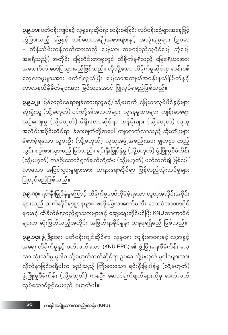**၃.၉.၁၄။** ဖွံ့ဖြိုးရေး၊ ပတ်ဝန်းကျင်ဆိုင်ရာ၊ လူမှုရေး၊ ကျန်းမာရေးနှင့် လူ့အခွင့် အရေး ထိခိုက်မှုနှင့် ပတ်သက်သော (KNU EPC) ၏ ဖွံ့ဖြိုးရေးစီမံကိန်း လေ့ လာ သုံးသပ်မှု မူဝါဒ သို့မဟုတ်သက်ဆိုင်ရာ ဥပဒေ သို့မဟုတ် မူဝါဒများအား လိုက်နာခြင်းမရှိပါက မည်သည့် ကြီးမားသော ရင်းနှီးမြှုပ်နှံမှု (သို့မဟုတ်) ဖွံ့ဖြိုးမှုစီမံကိန်း (သို့မဟုတ်) ကနဦး ဆောင်ရွက်ချက်များကိုမှ ဆက်လက် လုပ်ဆောင်ခွင့်ပေးမည် မဟုတ်ပါ။

**၃.၉.၁၃။** ရင်းနှီးမြှုပ်နှံမှုကြောင့် ထိခိုက်မှုဒဏ်ကိုခံခဲ့ရသော လူထုအသိုင်းအဝိုင်း များသည် သက်ဆိုင်ရာဌာနများ၊ ဗဟိုမြေယာကော်မတီ၊ ဒေသခံအာဏာပိုင် များနှင့် ထိခိုက်ခံရသည့်ရွာသားများနှင့် ဆွေးနွေးတိုင်ပင်ပြီး KNU အာဏာပိုင် များက ဆုံးဖြတ်သည့်အတိုင်း အမြတ်ရာခိုင်နူန်း တခုခုရရှိမည် ဖြစ်သည်။

#### ပြုလုပ်မည်ဖြစ်သည်။

**၃.၉.၁၂။** ပြန်လည်နေရာချခံထားရသူနှင့်/ သို့မဟုတ် မြေယာလုပ်ပိုင်ခွင့်များ ဆုံးရှုံးသူ (သို့မဟုတ်) ၎င်းတို့၏အသက်များ၊ လူနေမှုဘဝများ၊ ကျန်းမာရေး၊ ယဉ်ကျေးမှု (သို့မဟုတ်) မိရိုးဖလာဆိုင်ရာ တန်ဖိုးများ (သို့မဟုတ်) လူထု အသိုင်းအဝိုင်းဆိုင်ရာ ခံစားချက်တို့အပေါ် ကျရောက်လာသည့် ဆိုးကျိုးများ ခံစားခဲ့ရသော သူတဦး (သို့မဟုတ်) လူထုအဖွဲ့အစည်းအား မျှတစွာ ထည့် သွင်း စဉ်းစားသွားမည် ဖြစ်သည်။ ရင်းနှီးမြှုပ်နှံမှု (သို့မဟုတ်) ဖွံ့ဖြိုးမှုစီမံကိန်း (သို့မဟုတ်) ကနဦးဆောင်ရွက်ချက်တို့ထံမှ (သို့မဟုတ်) ပတ်သက်၍ ဖြစ်ပေါ် လာသော အငြင်းပွားမှုများအား တရားရေးဆိုင်ရာ ပြန်လည်သုံးသပ်မှုများ

**၃.၉.၁၁။** ပတ်ဝန်းကျင်နှင့် လူမှုရေးဆိုင်ရာ ဆန်းစစ်ခြင်း လုပ်ငန်းစဉ်များအနေဖြင့် .<br>ကွဲပြားသည့် မြေနှင့် သစ်တောအမျိုးအစားများနှင့် အသုံးချမှုများ (ဥပမာ – ထိန်းသိမ်းကန့်သတ်ထားသည့် မြေယာ၊ အများပြည်သူပိုင်မြေ၊ ဘုံမြေ၊ အစရှိသည့်) အတိုင်း မြေတိုင်းတာမှုတွင် ထိခိုက်မှုရှိသည့် မြေဧရိယာအား အသေးစိတ် ဖော်ပြသွားမည်ဖြစ်သည်။ ထိုသို့သော ထိခိုက်မှုဆိုင်ရာ ဆန်းစစ် လေ့လာမှုများအား ဖတ်၍လွယ်ပြီး မြေယာအကျယ်အဝန်းနယ်နိမိတ်နှင့် ကာလနယ်နိမိတ်များအား မြင်သာအောင် ပြုလုပ်ရမည်ဖြစ်သည်။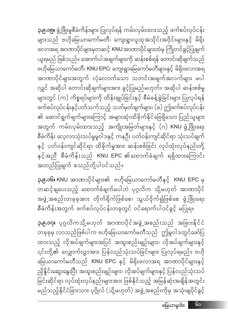**၃.၉.၁၇။** ပုဂ္ဂလိကသို့မဟုတ် အာဏာပိုင်အဖွဲ့အစည်းသည် အခြားနိုင်ငံ တခုခုမှ လာသည်ဖြစ်ပါက ဗဟိုမြေယာကော်မတီသည် ဤမူဝါဒတွင်ဖော်ပြ ထားသည့် လိုအပ်ချက်များအပြင် အထူးစည်းမျဉ်းများ၊ လိုအပ်ချက်များနှင့် ၎င်းတို့၏ လျှောက်လွှာအား ပြန်လည်သုံးသပ်ခြင်းများ ပြုလုပ်ရမည်။ ဗဟို မြေယာကော်မတီသည် KNU EPC နှင့် မိရိုးဖလာအရ အာဏာပိုင်များနှင့် ညှိနိုင်းဆွေးနွေးပြီး အထူးစည်းမျဉ်းများ၊ လိုအပ်ချက်များနှင့် ပြန်လည်သုံးသပ် ခြင်းဆိုင်ရာ လုပ်ထုံးလုပ်နည်းများအား ဖြစ်နိုင်သည့် အမြန်ဆုံးအချိန်အတွင်း 

**၃.၉.၁၆။** KNU အာဏာပိုင်များ၏ ဗဟိုမြေယာကော်မတီနှင့် KNU EPC မှ တဆင့်ချပေးသည့် ထောက်ခံချက်မပါဘဲ ပုဂ္ဂလိက သို့မဟုတ် အာဏာပိုင် အဖွဲ့ အစည်းတခုခုအား တိုက်ရိုက်ဖြစ်စေ၊ သွယ်ဝိုက်၍ဖြစ်စေ ဖွံ့ဖြိုးရေး စီမံကိန်းအတွက် ဖက်စပ်လုပ်ငန်းတခုတွင် ဝင်ရောက်ပါဝင်ခွင့် မပြုရ။

**၃.၉.၁၅။** ဖွံ့ဖြိုးမှုစီမံကိန်းများ ပြုလုပ်ရန် ကမ်းလှမ်းထားသည့် ဖက်စပ်လုပ်ငန်း များသည် ဗဟိုမြေယာကော်မတီ၊ ကျေးရွာလူထုအသိုင်းအဝိုင်းများနှင့် မိရိုး ဖလာအရ အာဏာပိုင်များမှတဆင့် KNU အာဏာပိုင်များထံမှ ကြိုတင်ခွင့်ပြုချက် ယူရမည် ဖြစ်သည်။ အောက်ပါအချက်များကို ဆန်းစစ်ရန် တောင်းဆိုချက်သည် ဗဟိုမြေယာကော်မတီ၊ KNU EPC၊ ကျေးရွာမြေကော်မတီများနှင့် မိရိုးဖလာအရ အာဏာပိုင်များအတွက် လုံလောက်သော သတင်းအချက်အလက်မျာ<mark>း</mark> မပါ လျှင် အဆိုပါ တောင်းဆိုချက်များအား ခွင့်ပြုမည်မဟုတ်။ အဆိုပါ ဆန်းစစ်မှု များတွင် (က) ကိစ္စရပ်များကို ထိန်းချုပ်ခြင်းနှင့် စီမံခန့်ခွဲခြင်းများ ပြုလုပ်ရန် ဖက်စပ်လုပ်ငန်းနှင့်ပတ်သက်သည့် သတ်မှတ်ချက်များ၊ (ခ) ဤဖက်စပ်လုပ်ငန်း ၏ ဆောင်ရွက်ချက်များကြောင့် အများဆုံးထိခိုက်နိုင်ခြေရှိသော ပြည်သူများ အတွက် ကမ်းလှမ်းထားသည့် အကျိုးအမြတ်များနှင့် (ဂ) KNU ဖွံ့ဖြိုးရေး စီမံကိန်း လေ့လာသုံးသပ်မှုမူဝါဒနှင့် ကနဦး ပတ်ဝန်းကျင်ဆိုင်ရာ သုံးသပ်ချက် နှင့် ပတ်ဝန်းကျင်ဆိုင်ရာ ထိခိုက်မှုအား ဆန်းစစ်ခြင်း လုပ်ထုံးလုပ်နည်းတို့ နှင့်အညီ စီမံကိန်းသည် KNU EPC ၏ထောက်ခံချက် ရရှိထားကြောင်း .<br>အတည်ပြုချက် စသည်တို့ပါဝင်သည်။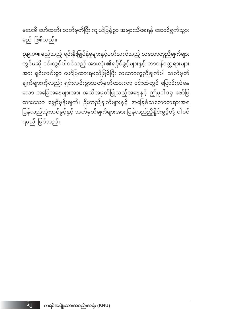မပေးမီ ဖော်ထုတ်၊ သတ်မှတ်ပြီး ကျယ်ပြန့်စွာ အများသိစေရန် ဆောင်ရွက်သွား မည် ဖြစ်သည်။

**၃.၉.၁၈။** မည်သည့် ရင်းနှီးမြှုပ်နှံမှုများနှင့်ပတ်သက်သည့် သဘောတူညီချက်များ ာ<br>တွင်မဆို ၎င်းတွင်ပါဝင်သည့် အားလုံး၏ရပိုင်ခွင့်များနှင့် တာဝန်ဝတ္တရားများ အား ရှင်းလင်းစွာ ဖော်ပြထားရမည်ဖြစ်ပြီး သဘောတူညီချက်ပါ သတ်မှတ် ချက်များကိုလည်း ရှင်းလင်းစွာသတ်မှတ်ထားကာ ၎င်းထဲတွင် ပြောင်းလဲနေ သော အခြေအနေများအား အသိအမှတ်ပြုသည့်အနေနှင့် ဤမူဝါဒမှ ဖော်ပြ ပြန်လည်သုံးသပ်ခွင့်နှင့် သတ်မှတ်ချက်များအား ပြန်လည်ညှိနှိုင်းခွင့်တို့ ပါဝင် ရမည် ဖြစ်သည်။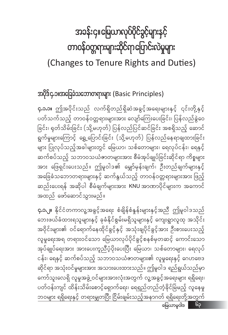# အခန်းငှ။မြေယာလုပ်ပိုင်ခွင့်များနှင့် တာဝန်ဝတ္တရားများဆိုင်ရာပြောင်းလဲမှုများ (Changes to Tenure Rights and Duties)

အပိုဒ်၄.၁။အခြေခံသဘောတရားများ (Basic Principles)

**၄.၁.၁။** ဤအပိုင်းသည် လက်ရှိတည်ရှိဆဲအခွင့်အရေးများနှင့် ၎င်းတို့နှင့် ပတ်သက်သည့် တာဝန်ဝတ္တရားများအား လျော်ကြေးပေးခြင်း၊ ပြန်လည်ခွဲဝေ ခြင်း၊ ရုတ်သိမ်းခြင်း (သို့မဟုတ်) ပြန်လည်ပြင်ဆင်ခြင်း အစရှိသည့် ဆောင် ရွက်မှုများကြောင့် ရွှေ့ပြောင်းခြင်း (သို့မဟုတ်) ပြန်လည်နေရာချထားခြင်း များ ပြုလုပ်သည့်အခါများတွင် မြေယာ၊ သစ်တောများ၊ ရေလုပ်ငန်း၊ ရေနှင့် ဆက်စပ်သည့် သဘာဝသယံဇာတမျာ<mark>း</mark>အား စီမံအုပ်ချုပ်ခြင်းဆိုင်ရာ ကိစ္စများ အား ဖြေရှင်းပေးသည်။ ဤမူဝါဒ၏ မျှော်မှန်းချက်၊ ဦးတည်ချက်များနှင့် အခြေခံသဘောတရားများနှင့် ဆက်နွယ်သည့် တာဝန်ဝတ္တရားများအား ဖြည့် ဆည်းပေးရန် အဆိုပါ စီမံချက်များအား KNU အာဏာပိုင်များက အကောင် အထည် ဖော်ဆောင်သွားမည်။

**၄.၁.၂။** နိုင်ငံတကာလူ့အခွင့်အရေး စံချိန်စံနှန်းများနှင့်အညီ ဤမူဝါဒသည် ဘေးဖယ်ခံထားရသူများနှင့် ခုခံနိုင်စွမ်းမရှိသူများနှင့် ကျေးရွာလူထု အသိုင်း အဝိုင်းများ၏ ဝင်ရောက်နေထိုင်ခွင့်နှင့် အသုံးချပိုင်ခွင့်အား ဦးစားပေးသည့် လူမှုရေးအရ တရားဝင်သော မြေယာလုပ်ပိုင်ခွင့်စနစ်မှတဆင့် ကောင်းသော အုပ်ချုပ်ရေးအား အားပေးကူညီပံ့ပိုးပေးပြီး မြေယာ၊ သစ်တောများ၊ ရေလုပ် ငန်း၊ ရေနှင့် ဆက်စပ်သည့် သဘာဝသယံဇာတများ၏ လူမှုရေးနှင့် ဂေဟဗေဒ ဆိုင်ရာ အသုံးဝင်မှုများအား အသားပေးထားသည်။ ဤမူဝါဒ ရည်ရွယ်သည်မှာ ကော်သူးလေရှိ လူမှုအဖွဲ့ ဝင်များအားလုံးအတွက် လူ့အခွင့်အရေးများ ရရှိရေး၊ ပတ်ဝန်းကျင် ထိန်းသိမ်းစောင့်ရှောက်ရေး၊ ရေရှည်တည်တံ့ခိုင်မြဲမည့် လူနေမှု ဘဝများ ရရှိရေးနှင့် တရားမျှတပြီး ငြိမ်းချမ်းသည့်အနာဂတ် ရရှိရေးတို့အတွက် မြေယာမူဝါဒ မြ<u>ာ</u>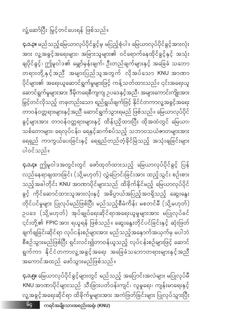**၄.၁.၅။** မြေယာလုပ်ပိုင်ခွင့်များတွင် မည်သည့် အပြောင်းအလဲများ မပြုလုပ်မီ KNU အာဏာပိုင်များသည် သီးခြားပတ်ဝန်းကျင်၊ လူမှုရေး၊ ကျန်းမာရေးနှင့် လူ့အခွင့်အရေးဆိုင်ရာ ထိခိုက်မှုများအား အကဲဖြတ်ခြင်းများ ပြုလုပ်သွားပြီး

#### အကောင်အထည် ဖော်သွားမည်ဖြစ်သည်။

**၄.၁.၄။** ဤမူဝါဒအတွင်းတွင် ဖော်ထုတ်ထားသည့် မြေယာလုပ်ပိုင်ခွင့် ပြန် လည်နေရာချထားခြင်း (သို့မဟုတ်) လွှဲပြောင်းခြင်းအား ထည့်သွင်း စဉ်းစား သည့်အခါတိုင်း KNU အာဏာပိုင်များသည် ထိခိုက်နိုင်မည့် မြေယာလုပ်ပိုင် ခွင့် ကိုင်ဆောင်ထားသူအားလုံးနှင့် အဓိပ္ပာယ်အပြည့်အဝရှိသည့် ဆွေးနွေး တိုင်ပင်မှုများ ပြုလုပ်မည်ဖြစ်ပြီး မည်သည့်စီမံကိန်း မစတင်မီ (သို့မဟုတ်) ဉပဒေ (သို့မဟုတ်) အုပ်ချုပ်ရေးဆိုင်ရာအရေးယူမှုများအား မပြုလုပ်ခင် ၎င်းတို့၏ FPIC အား ရယူရန် ဖြစ်သည်။ ဆွေးနွေးတိုင်ပင်ခြင်းနှင့် ဆုံးဖြတ် ချက်ချခြင်းဆိုင်ရာ လုပ်ငန်းစဉ်များအား မည်သည့်အနောက်အယှက်မှ မပါဘဲ စီစဉ်သွားမည်ဖြစ်ပြီး ရှင်းလင်း၍တာဝန်ယူသည့် လုပ်ငန်းစဉ်များဖြင့် ဆောင် ရွက်ကာ နိုင်ငံတကာလူ့အခွင့်အရေး အခြေခံသဘောတရားများနှင့်အညီ

ပါဝင်သည်။

**၄.၁.၃။** မည်သည့်မြေယာလုပ်ပိုင်ခွင့်မှ မပြည့်စုံပါ။ မြေယာလုပ်ပိုင်ခွင့်အားလုံး အား လူ့အခွင့်အရေးများ၊ အခြားသူများ၏ ဝင်ရောက်နေထိုင်ခွင့်နှင့် အသုံး ချပိုင်ခွင့်၊ ဤမူဝါဒ၏ မျှော်မှန်းချက်၊ ဦးတည်ချက်များနှင့် အခြေခံ သဘော တရားတို့နှင့်အညီ အများပြည်သူအတွက် လိုအပ်သော KNU အာဏာ ပိုင်များ၏ အရေးယူဆောင်ရွက်မှုများဖြင့် ကန့်သတ်ထားသည်။ ၎င်းအရေးယူ ဆောင်ရွက်မှုများအား ဒီမိုကရေစီကျကျ ဉပဒေနှင့်အညီ၊ အများကောင်းကျိုးအား မြှင့်တင်လိုသည့် တခုတည်းသော ရည်ရွယ်ချက်ဖြင့် နိုင်ငံတကာလူ့အခွင့်အရေး တာဝန်ဝတ္တရားများနှင့်အညီ ဆောင်ရွက်သွားရမည် ဖြစ်သည်။ မြေယာလုပ်ပိုင် ခွင့်များအား တာဝန်ဝတ္တရားများနှင့် ထိန်းညှိထားပြီး ထိုအထဲတွင် မြေယာ၊ သစ်တောများ၊ ရေလုပ်ငန်း၊ ရေနှင့်ဆက်စပ်သည့် သဘာဝသယံဇာတများအား ရေရှည် ကာကွယ်ပေးခြင်းနှင့် ရေရှည်တည်တံ့ခိုင်မြဲသည့် အသုံးချခြင်းများ

လှုံ့ဆော်ပြီး မြှင့်တင်ပေးရန် ဖြစ်သည်။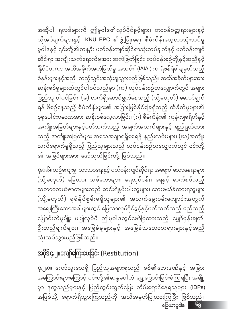**၄.၂.၁။** ကော်သူးလေရှိ ပြည်သူအများစုသည် စစ်၏ဘေးဒဏ်နှင့် အခြား အကြောင်းများကြောင့် ၎င်းတို့၏ဆန္ဒမပါဘဲ ရွှေ့ပြောင်းခြင်းခံကြရပြီး အချို့

## အပိုဒ်၄.၂။လျော်ကြေးပေးခြင်း (Restitution)

**၄.၁.၆။** ယဉ်ကျေးမှု၊ ဘာသာရေးနှင့် ပတ်ဝန်းကျင်ဆိုင်ရာ အရေးပါသောနေရာများ (သို့မဟုတ်) မြေယာ၊ သစ်တောများ၊ ရေလုပ်ငန်း၊ ရေနှင့် ဆက်စပ်သည့် (သို့မဟုတ်) ခုခံနိုင်စွမ်းမရှိသူများ၏ အသက်မွေးဝမ်းကျောင်းအတွက် အရေးကြီးသောအခါများတွင် မြေယာလုပ်ပိုင်ခွင့်နှင့်ပတ်သက်သည့် မည်သည့် ပြောင်းလဲမှုမျိုး မပြုလုပ်မီ ဤမူဝါဒတွင်ဖော်ပြထားသည့် မျှော်မှန်းချက်၊ ဦးတည်ချက်များ၊ အခြေခံမူများနှင့် အခြေခံသဘောတရားများနှင့်အညီ သုံးသပ်သွားမည်ဖြစ်သည်။

မှာ ဒုက္ခသည်များနှင့် ပြည်တွင်းထွက်ပြေး တိမ်းရှောင်နေရသူများ (lDPs)

အဆိုပါ ရလဒ်များကို ဤမူဝါဒ၏လုပ်ပိုင်ခွင့်များ၊ တာဝန်ဝတ္တရားများနှင့် လိုအပ်ချက်များနှင့် KNU EPC ၏ဖွံ့ဖြိုးရေး စီမံကိန်းလေ့လာသုံးသပ်မှု မူဝါဒနှင့် ၎င်းတို့၏ကနဉီး ပတ်ဝန်းကျင်ဆိုင်ရာသုံးသပ်ချက်နှင့် ပတ်ဝန်းကျင် ဆိုင်ရာ အကျိုးသက်ရောက်မှုအား အကဲဖြတ်ခြင်း လုပ်ငန်းစဉ်တို့နှင့်အညီနှင့် .<br>'နိုင်ငံတကာ အထိအခိုက်အကဲဖြတ်မှု အသင်းႛ (IAIA ) က ရံဖန်ရံခါချမှတ်သည့် စံနှန်းများနှင့်အညီ ထည့်သွင်းအသုံးချသွားမည်ဖြစ်သည်။ အထိအခိုက်များအား ဆန်းစစ်မှုများထဲတွင်ပါဝင်သည်မှာ (က) လုပ်ငန်းစဉ်တလျှောက်တွင် အများ ပြည်သူ ပါဝင်ခြင်း၊ (ခ) လက်ရှိဆောင်ရွက်နေသည့် (သို့မဟုတ်) ဆောင်ရွက် စုစုပေါင်းပမာဏအား ဆန်းစစ်လေ့လာခြင်း၊ (ဂ) စီမံကိန်း၏ ကုန်ကျစရိတ်နှင့် အကျိုးအမြတ်များနှင့်ပတ်သက်သည့် အချက်အလက်များနှင့် ရည်ရွယ်ထား သည့် အကျိုးအမြတ်များ အသေအချာရရှိစေရန် နည်းလမ်းများ၊ (ဃ)အကျိုး သက်ရောက်မှုရှိသည့် ပြည်သူများသည် လုပ်ငန်းစဉ်တလျှောက်တွင် ၎င်းတို့ ၏ အမြင်များအား ဖော်ထုတ်ခြင်းတို့ ဖြစ်သည်။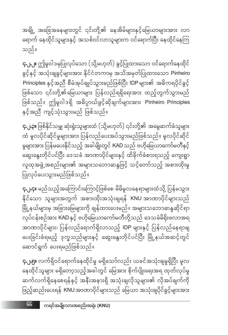**၄.၂.၅။** လက်ရှိဝင်ရောက်နေထိုင်မှု မရှိသော်လည်း ယခင်အသုံးချမှုရှိပြီး မူလ နေထိုင်သူများ မရှိတော့သည့်အခါတွင် မြေအား စိုက်ပျိုးရေးအရ ထုတ်လုပ်မှု ဆက်လက်ရှိနေစေရန်နှင့် အနီးအနားရှိ အသုံးချလိုသူများ၏ လိုအပ်ချက်ကို ဖြည့်ဆည်းပေးရန် KNU အာဏာပိုင်များသည် မြေယာ အသုံးချပိုင်ခွင့်များအား

**၄.၂.၄။** မည်သည့်အကြောင်းကြောင့်ဖြစ်စေ မိမိမူလနေရာများထံသို့ ပြန်မသွား နိုင်သော သူများအတွက် အစားထိုးအသုံးချရန် KNU အာဏာပိုင်များသည် မြို့နယ်များမှ အခြားမြေများကို ချန်ထားပေးမည်။ အများသဘောဆန္ဒဆိုင်ရာ လုပ်ငန်းစဉ်အား KAD နှင့် ဗဟိုမြေယာကော်မတီတို့သည် ဒေသခံမိရိုးဖလာအရ အာဏာပိုင်များ၊ ပြန်လည်ရောက်ရှိလာသည့် IDP များနှင့် ပြန်လည်နေရာချ ပေးခြင်းခံရမည့် ဒုက္ခသည်များနှင့် ဆွေးနွေးတိုင်ပင်ပြီး မြို့နယ်အဆင့်တွင် ဆောင်ရွက် ပေးရမည်ဖြစ်သည်။

**၄.၂.၃။** ဖြစ်နိုင်သမျှ ဆုံးရှုံးသူများထံ (သို့မဟုတ်) ၎င်းတို့၏ အမွေဆက်ခံသူများ ထံ မူလပိုင်ဆိုင်မှုများအား ပြန်လည်ပေးအပ်သွားမည်ဖြစ်သည်။ မူလပိုင်ဆိုင် မှုများအား ပြန်မပေးနိုင်သည့် အခါမျိုးတွင် KAD သည် ဗဟိုမြေယာကော်မတီနှင့် ဆွေးနွေးတိုင်ပင်ပြီး ဒေသခံ အာဏာပိုင်များနှင့် ထိခိုက်ခံစားရသည့် ကျေးရွာ လူထုအဖွဲ့ အစည်းများ၏ အများသဘောဆန္ဒဖြင့် သင့်တော်သည့် အစားထိုးမှု ပြုလုပ်ပေးသွားမည်ဖြစ်သည်။

**၄.၂.၂။** ဤမူဝါဒမုပြုလုပ်သော (သို့မဟုတ်) ခွင့်ပြုထားသော ဝင်ရောက်နေထိုင် ခွင့်နှင့် အသုံးချခွင့်များအား နိုင်ငံတကာမှ အသိအမှတ်ပြုထားသော Pinheiro Principles နှင့်အညီ စီမံအုပ်ချုပ်သွားမည်ဖြစ်ပြီး IDP များ၏ အဓိကရပိုင်ခွင့် ဖြစ်သော ၎င်းတို့၏မြေယာများ ပြန်လည်ရရှိရေးအား ထည့်တွက်သွားမည် ဖြစ်သည်။ ဤမူဝါဒရှိ အဓိပ္ပာယ်ဖွင့်ဆိုချက်များအား Pinheiro Principles နှင့်အညီ ကျင့်သုံးသွားမည် ဖြစ်သည်။

အချို့ အခြေအနေများတွင် ၎င်းတို့၏ နေအိမ်များနှင့်မြေယာများအား လာ ရောက် နေထိုင်သူများနှင့် အသစ်ဝင်လာသူများက ဝင်ရောက်ပြီး နေထိုင်နေကြ သည်။

 $66$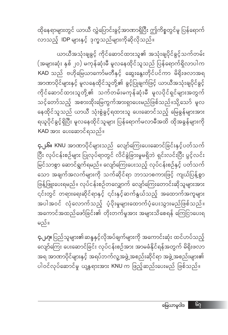ထိုနေရာများတွင် ယာယီ လွှဲပြောင်းခွင့်အာဏာရှိပြီး ဤကိစ္စတွင်မူ ပြန်ရောက် လာသည့် **IDP** များနှင့် ဒုက္ခသည်များကိုဆိုလိုသည်။

ယာယီအသုံးချခွင့် ကိုင်ဆောင်ထားသူ၏ အသုံးချပိုင်ခွင့်သက်တမ်း (အများဆုံး နှစ် ၂၀) မကုန်ဆုံးမီ မူလနေထိုင်သူသည် ပြန်ရောက်ရှိလာပါက KAD သည် ဗဟိုမြေယာကော်မတီနှင့် ဆွေးနွေးတိုင်ပင်ကာ မိရိုးဖလာအရ အာဏာပိုင်များနှင့် မူလနေထိုင်သူတို့၏ ခွင့်ပြုချက်ဖြင့် ယာယီအသုံးချပိုင်ခွင့် ကိုင်ဆောင်ထားသူတို့၏ သက်တမ်းမကုန်ဆုံးမီ မူလပိုင်ရှင်များအတွက် သင့်တော်သည့် အစားထိုးမြေကွက်အားရှာပေးမည်ဖြစ်သည်။သို့သော် မူလ နေထိုင်သူသည် ယာယီ သုံးစွဲခွင့်ရထားသူ ပေးဆောင်သည့် မြေခွန်များအား ရယူပိုင်ခွင့်ရှိပြီး မူလနေထိုင်သူများ ပြန်ရောက်မလာမီအထိ ထိုအခွန်များကို ု " " … *" …*<br>KAD အား ပေးဆောင်ရသည်။

**၄.၂.၆။ KNU** အာဏာပိုင်များသည် လျော်ကြေးပေးဆောင်ခြင်းနှင့်ပတ်သက် ပြီး လုပ်ငန်းစဉ်များ ပြုလုပ်ရာတွင် လိင်ခွဲခြားမှုမရှိဘဲ ရှင်းလင်းပြီး ပွင့်လင်း မြင်သာစွာ ဆောင်ရွက်ရမည်။ လျော်ကြေးပေးသည့် လုပ်ငန်းစဉ်နှင့် ပတ်သက် သော အချက်အလက်များကို သက်ဆိုင်ရာ ဘာသာစကားဖြင့် ကျယ်ပြန့်စွာ ဖြန့်ဖြူးပေးရမည်။ လုပ်ငန်းစဉ်တလျှောက် လျော်ကြေးတောင်းဆိုသူများအား — — —<br>၎င်းတွင် တရားရေးဆိုင်ရာနှင့် ၎င်းနှင့်ဆက်နွယ်သည့် အထောက်အကူများ အပါအဝင် လုံလောက်သည့် ပံ့ပိုးမှုများထောက်ပံ့ပေးသွားမည်ဖြစ်သည်။ အကောင်အထည်ဖော်ခြင်း၏ တိုးတက်မှုအား အများသိစေရန် ကြေငြာပေးရ မည်။

**၄.၂.၇။** ပြည်သူများ၏ဆန္ဒနှင့်လိုအပ်ချက်များကို အကောင်းဆုံး ထင်ဟပ်သည့် လျော်ကြေး ပေးဆောင်ခြင်း လုပ်ငန်းစဉ်အား အာမခံနိုင်ရန်အတွက် မိရိုးဖလာ အရ အာဏာပိုင်များနှင့် အရပ်ဘက်လူ့အဖွဲ့ အစည်းဆိုင်ရာ အဖွဲ့ အစည်းများ၏ ပါဝင်လုပ်ဆောင်မှု ယန္တရားအား KNU က ဖြည့်ဆည်းပေးမည် ဖြစ်သည်။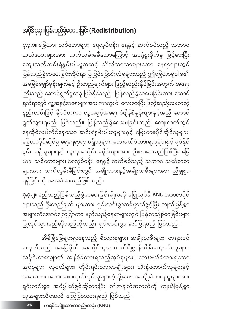၆၈

အိမ်ခြံမြေများရှာနေသည့် မိသားစုများ၊ အမျိုးသမီးများ၊ တရားဝင် မဟုတ်သည့် အခြေစိုက် နေထိုင်သူများ၊ တိရိစ္ဆာန်ထိန်းကျောင်းသူများ၊ သမိုင်းတလျှောက် အနှိမ်ခံထားရသည့်အုပ်စုများ၊ ဘေးဖယ်ခံထားရသော အုပ်စုများ၊ လူငယ်များ၊ တိုင်းရင်းသားလူမျိုးများ၊ သီးနှံကောက်သူများနှင့် ာ<br>အသေးစား အစားအစာထုတ်လုပ်သူများကဲ့သို့သော အကျိုးခံစားရသူများအား ရှင်းလင်းစွာ အဓိပ္ပါယ်ဖွင့်ဆိုထားပြီး ဤအချက်အလက်ကို ကျယ်ပြန့်စွာ လူအများသိအောင် ကြေငြာထားရမည် ဖြစ်သည်။

**၄.၃.၂။** မည်သည့်ပြန်လည်ခွဲဝေပေးခြင်းမျိုးမဆို မပြုလုပ်မီ KNU အာဏာပိုင် များသည် ဦးတည်ချက် များအား ရှင်းလင်းစွာအဓိပ္ပာယ်ဖွင့်ပြီး ကျယ်ပြန့်စွာ အများသိအောင်ကြေငြာကာ မည်သည့်နေရာများတွင် ပြန်လည်ခွဲဝေခြင်းများ ပြုလုပ်သွားမည်ဆိုသည်ကိုလည်း ရှင်းလင်းစွာ ဖော်ပြရမည် ဖြစ်သည်။

**၄.၃.၁။** မြေယာ၊ သစ်တောများ၊ ရေလုပ်ငန်း၊ ရေနှင့် ဆက်စပ်သည့် သဘာဝ သယံဇာတများအား လက်လှမ်းမမီသောကြောင့် အာရုံစူးစိုက်မှု မြင့်မားပြီး ကျေးလက်ဆင်းရဲနွမ်းပါးမှုအဆင့် သိသိသာသာများသော နေရာများတွင် ပြန်လည်ခွဲဝေပေးခြင်းဆိုင်ရာ ပြုပြင်ပြောင်းလဲမှုများသည် ဤမြေယာမူဝါဒ၏ အခြေခံမျှော်မုန်းချက်နှင့် ဦးတည်ချက်များ ဖြည့်ဆည်းနိုင်ခြင်းအတွက် အရေး .<br>ကြီးသည့် ဆောင်ရွက်မှုတခု ဖြစ်နိုင်သည်။ ပြန်လည်ခွဲဝေပေးခြင်းအား ဆောင် ရွက်ရာတွင် လူ့အခွင့်အရေးများအား ကာကွယ်၊ လေးစားပြီး ဖြည့်ဆည်းပေးသည့် နည်းလမ်းဖြင့် နိုင်ငံတကာ လူ့အခွင့်အရေး စံချိန်စံနှန်းများနှင့်အညီ ဆောင် ရွက်သွားရမည် ဖြစ်သည်။ ပြန်လည်ခွဲဝေပေးခြင်းသည် ကျေးလက်တွင် နေထိုင်လုပ်ကိုင်နေသော ဆင်းရဲနွမ်းပါးသူများနှင့် မြေယာမပိုင်ဆိုင်သူများ၊ မြေယာပိုင်ဆိုင်မှု ရေရေရာရာ မရှိသူများ၊ ဘေးဖယ်ခံထားရသူများနှင့် ခုခံနိုင် ယာ၊ သစ်တောများ၊ ရေလုပ်ငန်း၊ ရေနှင့် ဆက်စပ်သည့် သဘာဝ သယံဇာတ များအား လက်လှမ်းမီခြင်းတွင် အမျိုးသားနှင့်အမျိုးသမီးများအား ညီမျှစွာ ရရှိခြင်းကို အာမခံပေးမည်ဖြစ်သည်။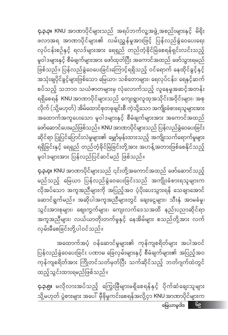မြေယာမူဝါဒ ၆၉

ထည့်သွင်းထားရမည်ဖြစ်သည်။ **၄.၃.၅။** မလိုလားအပ်သည့် ကြွေးမြီများမရှိစေရန်နှင့် ပိုက်ဆံချေးသူများ

အထောက်အပံ့ ဝန်ဆောင်မှုများ၏ ကုန်ကျစရိတ်များ အပါအဝင် ပြန်လည်ခွဲဝေပေးခြင်း ပဏာမ ခြေလှမ်းများနှင့် စီမံချက်များ၏ အပြည့်အဝ ကုန်ကျစရိတ်အား ကြိုတင်သတ်မှတ်ပြီး သက်ဆိုင်သည့် ဘတ်ဂျက်ထဲတွင်

သို့မဟုတ် ပွဲစားများ အပေါ် မှီခိုမှုကင်းစေရန်အလို့ငှာ KNU အာဏာပိုင်များက

**၄.၃.၄။** KNU အာဏာပိုင်များသည် ၎င်းတို့အကောင်အထည် ဖော်ဆောင်သည့် မည်သည့် မြေယာ ပြန်လည်ခွဲဝေပေးခြင်းသည် အကျိုးခံစားရသူများက လိုအပ်သော အကူအညီများကို အပြည့်အဝ ပံ့ပိုးပေးသွားရန် သေချာအောင် ဆောင်ရွက်မည်။ အဆိုပါအကူအညီများတွင် ချေးငွေများ၊ သီးနှံ အာမခံမှု၊ သွင်းအားစုများ၊ ဈေးကွက်များ၊ ကျေးလက်ဒေသအထိ နည်းပညာဆိုင်ရာ အကူအညီများ၊ လယ်ယာတိုးတက်မှုနှင့် နေအိမ်များ စသည်တို့အား လက် လှမ်းမီစေခြင်းတို့ပါဝင်သည်။

**၄.၃.၃။ KNU** အာဏာပိုင်များသည် အရပ်ဘက်လူ့အဖွဲ့အစည်းများနှင့် မိရိုး ဖလာအရ အာဏာပိုင်များ၏ လမ်းညွှန်မှုအားဖြင့် ပြန်လည်ခွဲဝေပေးရေး လုပ်ငန်းစဉ်နှင့် ရလဒ်များအား ရေရှည် တည်တံ့ခိုင်မြဲစေရန်ရှင်းလင်းသည့် မူဝါဒများနှင့် စီမံချက်များအား ဖော်ထုတ်ပြီး အကောင်အထည် ဖော်သွားရမည် ဖြစ်သည်။ ပြန်လည်ခွဲဝေပေးခြင်းကြောင့်ရရှိသည့် ဝင်ရောက် နေထိုင်ခွင့်နှင့် အသုံးချပိုင်ခွင့်များဖြစ်သော မြေယာ၊ သစ်တောများ၊ ရေလုပ်ငန်း၊ ရေနှင့်ဆက် စပ်သည့် သဘာ၀ သယံဇာတများမှ လုံလောက်သည့် လူနေမှုအဆင့်အတန်း ရရှိစေရန် KNU အာဏာပိုင်များသည် ကျေးရွာလူထုအသိုင်းအဝိုင်းများ၊ အစု လိုက် (သို့မဟုတ်) အိမ်ထောင်စုတခုချင်းစီ ကဲ့သို့သော အကျိုးခံစားရသူများအား အထောက်အကူပေးသော မူဝါဒများနှင့် စီမံချက်များအား အကောင်အထည် ဖော်ဆောင်ပေးမည်ဖြစ်သည်။ KNU အာဏာပိုင်များသည် ပြန်လည်ခွဲဝေပေးခြင်း ဆိုင်ရာ ပြုပြင်ပြောင်းလဲမှုများ၏ မျှော်မှန်းထားသည့် အကျိုးသက်ရောက်မှုများ ရရှိခြင်းနှင့် ရေရှည် တည်တံ့ခိုင်မြဲခြင်းတို့အား အဟန့်အတားဖြစ်စေနိုင်သည့် မူဝါဒများအား ပြန်လည်ပြင်ဆင်မည် ဖြစ်သည်။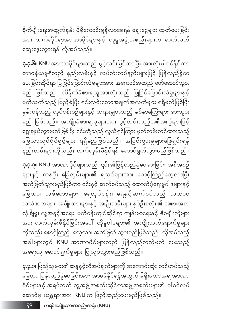စိုက်ပျိုးရေးအထွက်နူန်း ပိုမိုကောင်းမွန်လာစေရန် ချေးငွေများ ထုတ်ပေးခြင်း အား သက်ဆိုင်ရာအာဏာပိုင်များနှင့် လူမှုအဖွဲ့အစည်းများက ဆက်လက် ဆွေးနွေးသွားရန် လိုအပ်သည်။

**၄.၃.၆။** KNU အာဏာပိုင်များသည် ပွင့်လင်းမြင်သာပြီး အားလုံးပါဝင်နိုင်ကာ တာဝန်ယူမှုရှိသည့် နည်းလမ်းနှင့် လုပ်ထုံးလုပ်နည်းများဖြင့် ပြန်လည်ခွဲဝေ ပေးခြင်းဆိုင်ရာ ပြုပြင်ပြောင်းလဲမှုများအား အကောင်အထည် ဖော်ဆောင်သွား မည် ဖြစ်သည်။ ထိခိုက်ခံစားရသူအားလုံးသည် ပြုပြင်ပြောင်းလဲမှုများနှင့် ပတ်သက်သည့် ပြည့်စုံပြီး ရှင်းလင်းသောအချက်အလက်များ ရရှိမည်ဖြစ်ပြီး မှန်ကန်သည့် လုပ်ငန်းစဉ်များနှင့် တရားမျှတသည့် နစ်နာကြေးများ ပေးသွား မည် ဖြစ်သည်။ အကျိုးခံစားရသူများအား ပွင့်လင်းသည့်အစီအစဉ်များဖြင့် ရွေးချယ်သွားမည်ဖြစ်ပြီး ၎င်းတို့သည် လူသိရှင်ကြား မှတ်တမ်းတင်ထားသည့် မြေယာလုပ်ပိုင်ခွင့်များ ရရှိမည်ဖြစ်သည်။ အငြင်းပွားမှုများဖြေရှင်းရန် နည်းလမ်းများကိုလည်း လက်လှမ်းမီနိုင်ရန် ဆောင်ရွက်သွားမည်ဖြစ်သည်။

**၄.၃.ဂု။ KNU** အာဏာပိုင်များသည် ၎င်း၏ပြန်လည်ခွဲဝေပေးခြင်း အစီအစဉ် များနှင့် ကနဦး ခြေလှမ်းများ၏ ရလဒ်များအား စောင့်ကြည့်လေ့လာပြီး အကဲဖြတ်သွားမည်ဖြစ်ကာ ၎င်းနှင့် ဆက်စပ်သည့် ထောက်ပံ့ရေးမူဝါဒများနှင့် မြေယာ၊ သစ်တောများ၊ ရေလုပ်ငန်း၊ ရေနှင့်ဆက်စပ်သည့် သဘာ၀ သယံဇာတများ၊ အမျိုးသားများနှင့် အမျိုးသမီးများ နှစ်ဦးစလုံး၏ အစားအစာ လုံခြုံမူ၊ လူ့အခွင့်အရေး၊ ပတ်ဝန်းကျင်ဆိုင်ရာ ကျန်းမာရေးနှင့် ဇီဝမျိုးကွဲများ အား လက်လှမ်းမီနိုင်ခြင်းအပေါ် ထိုမူဝါဒများ၏ အကျိုးသက်ရောက်မှုများ ကိုလည်း စောင့်ကြည့်၊ လေ့လာ၊ အကဲဖြတ် သွားမည်ဖြစ်သည်။ လိုအပ်သည့် ာ-<br>အခါများတွင် KNU အာဏာပိုင်များသည် ပြန်လည်တည့်မတ် ပေးသည့် အရေးယူ ဆောင်ရွက်မှုများ ပြုလုပ်သွားမည်ဖြစ်သည်။

**၄.၃.၈။** ပြည်သူများ၏ဆန္ဒနှင့်လိုအပ်ချက်များကို အကောင်းဆုံး ထင်ဟပ်သည့် မြေယာ ပြန်လည်ခွဲဝေခြင်းအား အာမခံနိုင်ရန်အတွက် မိရိုးဖလာအရ အာဏာ .<br>ပိုင်များနှင့် အရပ်ဘက် လူ့အဖွဲ့ အစည်းဆိုင်ရာအဖွဲ့ အစည်းများ၏ ပါဝင်လုပ် ဆောင်မှု ယန္တရားအား KNU က ဖြည့်ဆည်းပေးမည်ဖြစ်သည်။

၇၀ ကရင်အမျိုးသားအစည်းအရုံး (KNU)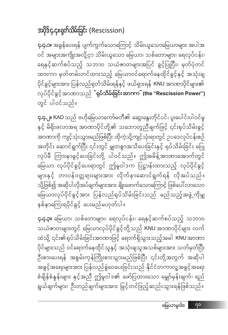**၄.၄.၃။** မြေယာ၊ သစ်တောများ၊ ရေလုပ်ငန်း၊ ရေနှင့်ဆက်စပ်သည့် သဘာဝ သယံဇာတများတွင် မြေယာလုပ်ပိုင်ခွင့်တို့သည် KNU အာဏာပိုင်များ လက် ထဲသို့ ၎င်း၏ရုပ်သိမ်းခြင်းအာဏာဖြင့် ရောက်ရှိသွားသည့်အခါ KNU အာဏာ .<br>ပိုင်များသည် ဝင်ရောက်နေထိုင်သူနှင့် အသုံးချသူအသစ်များအား သတ်မှတ်ပြီး ဦးစားပေးရန် အစွမ်းကုန်ကြိုးစားသွားမည်ဖြစ်ပြီး ၎င်းတို့အတွက် အဆိုပါ အခွင့်အရေးများအား ပြန်လည်ခွဲဝေပေးခြင်းသည် နိုင်ငံတကာလူ့အခွင့်အရေး စံချိန်စံနှန်းများ နှင့်အညီ ဤမူဝါဒ၏ ဖော်ပြထားသော မျှော်မှန်းချက်၊ ရည် ရွယ်ချက်များ၊ ဦးတည်ချက်များအား မြွင့်တင်ဖြည့်ဆည်းသွားရန်ဖြစ်သည်။

**၄.၄.၂။** KAD သည် ဗဟိုမြေယာကော်မတီ၏ ဆွေးနွေးတိုင်ပင်၊ ပူးပေါင်းပါဝင်မှု နှင့် မိရိုးဖလာအရ အာဏာပိုင်တို့၏ သဘောတူညီချက်ဖြင့် ၎င်းရုပ်သိမ်းခွင့် အာဏာကို ကျင့်သုံးသွားမည်ဖြစ်ပြီး ထိုကဲ့သို့ကျင့်သုံးရာတွင် ဥပဒေလုပ်ငန်းစဉ် အတိုင်း ဆောင်ရွက်ပြီး ၎င်းတွင် မျှတစွာအသိပေးခြင်းနှင့် ရုပ်သိမ်းခြင်း မပြု လုပ်မီ ကြားနာခွင့်ပေးခြင်းတို့ ပါဝင်သည်။ ဤအမိန့်အာဏာအောက်တွင် .<br>မြေယာ လုပ်ပိုင်ခွင့်ပေးရာတွင် ဤမူဝါဒက ပြဋ္ဌာန်းထားသည့် လုပ်ပိုင်ခွင့် များနှင့် တာဝန်ဝတ္တရားများအား လိုက်နာဆောင်ရွက်ရန် လိုအပ်သည်။ သို့ဖြစ်၍ အဆိုပါလိုအပ်ချက်များအား ချိုးဖောက်သောကြောင့် ဖြစ်ပေါ် လာသော မြေယာလုပ်ပိုင်ခွင့်အား ပြန်လည်ရုပ်သိမ်းခြင်းသည် မည်သည့်အဖွဲ့ကိုမျှ နစ်နာကြေးရပိုင်ခွင့် ပေးမည်မဟုတ်ပါ။

**၄.၄.၁။** အခွန်ပေးရန် ပျက်ကွက်သောကြောင့် သိမ်းယူသောမြေယာများ အပါအ ဝင် အများအကျိုးအလို့ငှာ သိမ်းယူသော မြေယာ၊ သစ်တောများ၊ ရေလုပ်ငန်း၊ ရေနှင့်ဆက်စပ်သည့် သဘာဝ သယံဇာတများအပြင် ခွင့်ပြုပြီး၊ မှတ်ပုံတင် ထားကာ မှတ်တမ်းတင်ထားသည့် မြေယာဝင်ရောက်နေထိုင်ခွင့်နှင့် အသုံးချ ပိုင်ခွင့်များအား ပြန်လည်ရုတ်သိမ်းရန်နှင့် ဖယ်ရှားရန် KNU အာဏာပိုင်များ၏ လုပ်ပိုင်ခွင့်အာဏာသည် <mark>ံရုပ်သိမ်းရြင်းအာကာ<sup>"</sup> (the "Rescission Power")</mark> တွင် ပါဝင်သည်။

### အပိုဒ်၄.၄။ရုတ်သိမ်းခြင်း (Rescission)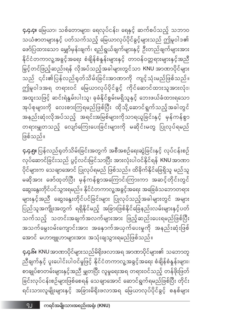**၄.၄.၆။ KNU** အာဏာပိုင်များသည်မိရိုးဖလာအရ အာဏာပိုင်များ၏ သဘောတူ ညီချက်နှင့် ပူးပေါင်းပါဝင်မှုဖြင့် နိုင်ငံတကာလူ့အခွင့်အရေး စံချိန်စံနှန်းများ၊ စာချုပ်စာတမ်းများနှင့်အညီ မျှတပြီး လူမှုရေးအရ တရားဝင်သည့် တန်ဖိုးဖြတ် ခြင်းလုပ်ငန်းစဉ်များဖြစ်စေရန် သေချာအောင် ဆောင်ရွက်ရမည်ဖြစ်ပြီး တိုင်း ရင်းသားလူမျိုးများနှင့် အခြားမိရိုးဖလာအရ မြေယာလုပ်ပိုင်ခွင့် စနစ်များ

**၄.၄.၅။** ပြန်လည်ရတ်သိမ်းခြင်းအတွက် အစီအစဉ်ရေးဆွဲခြင်းနှင့် လုပ်ငန်းစဉ် လုပ်ဆောင်ခြင်းသည် ပွင့်လင်းမြင်သာပြီး အားလုံးပါဝင်နိုင်ရန် KNU အာဏာ ပိုင်များက သေချာအောင် ပြုလုပ်ရမည် ဖြစ်သည်။ ထိခိုက်နိုင်ခြေရှိသူ မည်သူ မဆိုအား ဖော်ထုတ်ပြီး မှန်ကန်စွာအကြောင်းကြားကာ အဆင့်တိုင်းတွင် ဆွေးနွေးတိုင်ပင်သွားရမည်။ နိုင်ငံတကာလူ့အခွင့်အရေး အခြေခံသဘောတရား များနှင့်အညီ ဆွေးနွေးတိုင်ပင်ခြင်းများ ပြုလုပ်သည့်အခါများတွင် အများ ပြည်သူအကျိုးအတွက် ရရှိနိုင်မည့် အခြားဖြစ်နိုင်ခြေနည်းလမ်းများနှင့်ပတ် သက်သည့် သတင်းအချက်အလက်များအား ဖြည့်ဆည်းပေးရမည်ဖြစ်ပြီး အသက်မွေးဝမ်းကျောင်းအား အနေ၁က်အယှက်ပေးမှုကို အနည်းဆုံးဖြစ် အောင် မဟာဗျူဟာများအား အသုံးချသွားရမည်ဖြစ်သည်။

ဖြစ်သည်။

**၄.၄.၄။** မြေယာ၊ သစ်တောများ၊ ရေလုပ်ငန်း၊ ရေနှင့် ဆက်စပ်သည့် သဘာဝ သယံဇာတများနှင့် ပတ်သက်သည့် မြေယာလုပ်ပိုင်ခွင့်များသည် ဤမူဝါဒ၏ ဖော်ပြထားသော မျှော်မှန်းချက်၊ ရည်ရွယ်ချက်များနှင့် ဦးတည်ချက်များအား နိုင်ငံတကာလူ့အခွင့်အရေး စံချိန်စံနှန်းများနှင့် တာဝန်ဝတ္တရားများနှင့်အညီ .<br>မြှင့်တင်ဖြည့်ဆည်းရန် လိုအပ်သည့်အခါများတွင်သာ KNU အာဏာပိုင်များ သည် ၎င်း၏ပြန်လည်ရုတ်သိမ်းခြင်းအာဏာကို ကျင့်သုံးမည်ဖြစ်သည်။ ဤမူဝါဒအရ တရားဝင် မြေယာလုပ်ပိုင်ခွင့် ကိုင်ဆောင်ထားသူအားလုံး၊ .<br>အထူးသဖြင့် ဆင်းရဲနွမ်းပါးသူ၊ ခုခံနိုင်စွမ်းမရှိသူနှင့် ဘေးဖယ်ခံထားရသော အုပ်စုများကို လေးစားကြရမည်ဖြစ်ပြီး ထိုသို့ဆောင်ရွက်သည့်အခါတွင် အနည်းဆုံးလိုအပ်သည့် အရင်းအမြစ်များကိုသာရယူခြင်းနှင့် မုန်ကန်စွာ တရားမျှတသည့် လျော်ကြေးပေးခြင်းများကို မဆိုင်းမတွ ပြုလုပ်ရမည်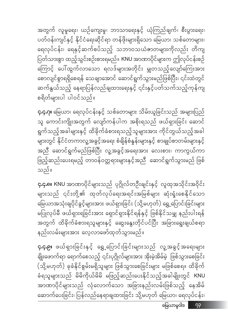**၄.၄.၉။** ဖယ်ရှားခြင်းနှင့် ရွှေ့ပြောင်းခြင်းများသည် လူ့အခွင့်အရေးများ ချိုးဖောက်ရာ ရောက်စေသည့် ၎င်းပုဂ္ဂိုလ်များအား အိုးမဲ့အိမ်မဲ့ ဖြစ်သွားစေခြင်း (သို့မဟုတ်) ခုခံနိုင်စွမ်းမရှိသူများ ဖြစ်သွားစေခြင်းများ မဖြစ်စေရ။ ထိခိုက် ခံရသူများသည် မိမိကိုယ်မိမိ မဖြည့်ဆည်းပေးနိုင်သည့်အခါမျိုးတွင် KNU အာဏာပိုင်များသည် လုံလောက်သော အခြားနည်းလမ်းဖြစ်သည့် နေအိမ် ဆောက်ပေးခြင်း၊ ပြန်လည်နေရာချထားခြင်း သို့မဟုတ် မြေယာ၊ ရေလုပ်ငန်း၊

**၄.၄.၈။** KNU အာဏာပိုင်များသည် ပုဂ္ဂိုလ်တဦးချင်းနှင့် လူထုအသိုင်းအဝိုင်း များသည် ၎င်းတို့၏ ထုတ်လုပ်ရေးအရင်းအမြစ်များ ဆုံးရုံးစေနိုင်သော မြေယာအသုံးချပိုင်ခွင့်များအား ဖယ်ရှားခြင်း (သို့မဟုတ်) ရွှေ့ပြောင်းခြင်းများ မပြုလုပ်မီ ဖယ်ရှားရခြင်းအား ရှောင်ရှားနိုင်ရန်နှင့် ဖြစ်နိုင်သမျှ နည်းပါးရန် အတွက် ထိခိုက်ခံစားရသူများနှင့် ဆွေးနွေးတိုင်ပင်ပြီး အခြားရွေးချယ်စရာ နည်းလမ်းများအား လေ့လာဖော်ထုတ်သွားမည်။

သည်။

**၄.၄.ဂု။** မြေယာ၊ ရေလုပ်ငန်းနှင့် သစ်တောများ သိမ်းယူခြင်းသည် အများပြည် သူ ကောင်းကျိုးအတွက် လျော်ကန်ပါက အစိုးရသည် ဖယ်ရှားခြင်း ဆောင် ရွက်သည့်အခါများနှင့် ထိခိုက်ခံစားရသည့်သူများအား ကိုင်တွယ်သည့်အခါ များတွင် နိုင်ငံတကာလူ့အခွင့်အရေး စံချိန်စံနှန်းများနှင့် စာချုပ်စာတမ်းများနှင့် အညီ ဆောင်ရွက်မည်ဖြစ်ပြီး လူ့အခွင့်အရေးအား လေးစား၊ ကာကွယ်ကာ ဖြည့်ဆည်းပေးရမည့် တာဝန်ဝတ္တရားများနှင့်အညီ ဆောင်ရွက်သွားမည် ဖြစ်

.<br>စရိတ်များပါ ပါဝင်သည်။

အတွက် လူမှုရေး၊ ယဉ်ကျေးမှု၊ ဘာသာရေးနှင့် ယုံကြည်ချက်၊ စီးပွားရေး၊ ပတ်ဝန်းကျင်နှင့် နိုင်ငံရေးဆိုင်ရာ တန်ဖိုးများရှိသော မြေယာ၊ သစ်တောများ၊ ရေလုပ်ငန်း၊ ရေနှင့်ဆက်စပ်သည့် သဘာဝသယံဇာတများကိုလည်း တိကျ ပြတ်သားစွာ ထည့်သွင်းစဉ်းစားရမည်။ KNU အာဏာပိုင်များက ဤလုပ်ငန်းစဉ် ကြောင့် ပေါ်ထွက်လာသော ရလဒ်များအတိုင်း မျှတသည့်လျော်ကြေးအား စောလျင်စွာရရှိစေရန် သေချာအောင် ဆောင်ရွက်သွားမည်ဖြစ်ပြီး၊ ၎င်းထဲတွင် ဆက်နွယ်သည့် နေရာပြန်လည်ချထားရေးနှင့် ၎င်းနှင့်ပတ်သက်သည့်ကုန်ကျ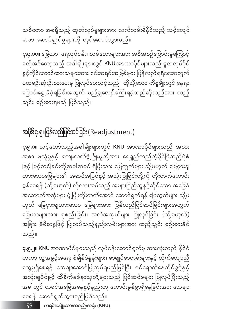**၄.၅.၂။ KNU** အာဏာပိုင်များသည် လုပ်ငန်းဆောင်ရွက်မှု အားလုံးသည် နိုင်ငံ တကာ လူ့အခွင့်အရေး စံချိန်စံနှုန်းများ၊ စာချုပ်စာတမ်းများနှင့် လိုက်လျောညီ ထွေမှုရှိစေရန် သေချာအောင်ပြုလုပ်ရမည်ဖြစ်ပြီး ဝင်ရောက်နေထိုင်ခွင့်နှင့် အသုံးချပိုင်ခွင့် ထိခိုက်နစ်နာသူတို့များသည် ပြင်ဆင်မှုများ ပြုလုပ်ပြီးသည့် အခါတွင် ယခင်အခြေအနေနှင့်နည်းတူ ကောင်းမွန်စွာရှိနေခြင်းအား သေချာ စေရန် ဆောင်ရွက်သွားမည်ဖြစ်သည်။

သည်။

**၄.၅.၁။** သင့်တော်သည့်အခါမျိုးများတွင် KNU အာဏာပိုင်များသည် အစား အစာ ဖူလုံမှုနှင့် ကျေးလက်ဖွံ့ဖြိုးမှုတို့အား ရေရှည်တည်တံ့ခိုင်မြဲသည့်ပုံစံ ဖြင့် မြှင့်တင်ခြင်းတို့အပါအဝင် ရှိပြီးသား မြေကွက်များ သို့မဟုတ် မြေငှားချ ထားသောမြေများ၏ အဆင်အပြင်နှင့် အသုံးပြုခြင်းတို့ကို တိုးတက်ကောင်း မွန်စေရန် (သို့မဟုတ်) လိုလားအပ်သည့် အများပြည်သူနှင့်ဆိုင်သော အခြေခံ အဆောက်အအုံများ ဖွံ့ဖြိုးတိုးတက်အောင် ဆောင်ရွက်ရန် မြေကွက်များ သို့မ ဟုတ် မြေငှားချထားသော မြေများအား ပြန်လည်ပြင်ဆင်ခြင်းများအတွက် မြေယာများအား စုစည်းခြင်း၊ အလဲအလှယ်များ ပြုလုပ်ခြင်း (သို့မဟုတ်) အခြား မိမိဆန္ဒဖြင့် ပြုလုပ်သည့်နည်းလမ်းများအား ထည့်သွင်း စဉ်းစားနိုင်

## အပိုဒ်၄.၅။ပြန်လည်ပြင်ဆင်ခြင်း (Readjustment)

**၄.၄.၁ဝ။** မြေယာ၊ ရေလုပ်ငန်း၊ သစ်တောများအား အစီအစဉ်ပြောင်းမှုကြောင့် မလိုအပ်တော့သည့် အခါမျိုးများတွင် KNU အာဏာပိုင်များသည် မူလလုပ်ပိုင် ခွင့်ကိုင်ဆောင်ထားသူများအား ၎င်းအရင်းအမြစ်များ ပြန်လည်ရရှိရေးအတွက် ပထမဦးဆုံးဦးစားပေးမှု ပြုလုပ်ပေးသင့်သည်။ ထိုသို့သော ကိစ္စမျိုးတွင် နေရာ ပြောင်းရွှေ့ခံခဲ့ရခြင်းအတွက် မည်မျှလျော်ကြေးရခဲ့သည်ဆိုသည်အား ထည့် သွင်း စဉ်းစားရမည် ဖြစ်သည်။

သစ်တော အစရှိသည့် ထုတ်လုပ်မှုများအား လက်လှမ်းမီနိုင်သည့် သင့်လျော် သော ဆောင်ရွက်မှုများကို လုပ်ဆောင်သွားမည်။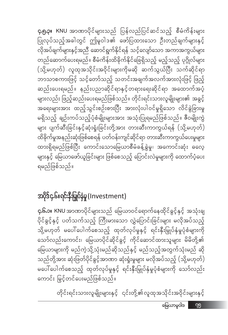**၄.၅.၃။ KNU** အာဏာပိုင်များသည် ပြန်လည်ပြင်ဆင်သည့် စီမံကိန်းများ ပြုလုပ်သည့်အခါတွင် ဤမူဝါဒ၏ ဖော်ပြထားသော ဦးတည်ချက်များနှင့် —-<br>လိုအပ်ချက်များနှင့်အညီ ဆောင်ရွက်နိုင်ရန် သင့်လျော်သော အကာအကွယ်များ တည်ဆောက်ပေးရမည်။ စီမံကိန်းထိခိုက်နိုင်ခြေရှိသည့် မည့်သည့် ပုဂ္ဂိုလ်များ (သို့မဟုတ်) လူထုအသိုင်းအဝိုင်းများကိုမဆို ဆက်သွယ်ပြီး သက်ဆိုင်ရာ ဘာသာစကားဖြင့် သင့်တော်သည့် သတင်းအချက်အလက်အားလုံးဖြင့် ဖြည့် ဆည်းပေးရမည်။ နည်းပညာဆိုင်ရာနှင့်တရားရေးဆိုင်ရာ အထောက်အပံ့ အရေးများအား ထည့်သွင်းစဉ်းစားပြီး အားလုံးပါဝင်မှုရှိသော လိင်ခွဲခြားမှု မရှိသည့် ချဉ်းကပ်သည့်ပုံစံမျိုးများအား အသုံးပြုရမည်ဖြစ်သည်။ ဇီဝမျိုးကွဲ များ ပျက်ဆီးခြင်းနှင့်ဆုံးရှုံးခြင်းတို့အား တားဆီးကာကွယ်ရန် (သို့မဟုတ်) ထိခိုက်မှုအနည်းဆုံးဖြစ်စေရန် ပတ်ဝန်းကျင်ဆိုင်ရာ တားဆီးကာကွယ်ပေးမှုများ ထားရှိရမည်ဖြစ်ပြီး ကောင်းသောမြေယာစီမံခန့်ခွဲမှု၊ အကောင်းဆုံး ဓလေ့ များနှင့် မြေယာဖော်ယူခြင်းများ ဖြစ်စေသည့် ပြောင်းလဲမှုများကို ထောက်ပံ့ပေး ရမည်ဖြစ်သည်။

# အပိုဒ်၄.၆။ရင်းနီးမြှုပ်နှံမှု (Investment)

**၄.၆.၁။ KNU** အာဏာပိုင်များသည် မြေယာဝင်ရောက်နေထိုင်ခွင့်နှင့် အသုံးချ ပိုင်ခွင့်နှင့် ပတ်သက်သည့် ကြီးမားသော လွှဲပြောင်းခြင်းများ မလိုအပ်သည့် သို့မဟုတ် မပေါ်ပေါက်စေသည့် ထုတ်လုပ်မှုနှင့် ရင်းနှီးမြှုပ်နှံမှုပုံစံများကို သော်လည်းကောင်း၊ မြေယာပိုင်ဆိုင်ခွင့် ကိုင်ဆောင်ထားသူများ မိမိတို့၏ မြေယာများကို မည်ကဲ့သို့သုံးမည်ဆိုသည်နှင့် မည်သည့်အတွက်သုံးမည် ဆို သည်တို့အား ဆုံးဖြတ်ပိုင်ခွင့်အာဏာ ဆုံးရှုံးမှုများ မလိုအပ်သည့် (သို့မဟုတ်) မပေါ်ပေါက်စေသည့် ထုတ်လုပ်မှုနှင့် ရင်းနှီးမြှုပ်နှံမှုပုံစံများကို သော်လည်း ကောင်း မြှင့်တင်ပေးမည်ဖြစ်သည်။

တိုင်းရင်းသားလူမျိုးများနှင့် ၎င်းတို့၏လူထုအသိုင်းအဝိုင်းများနှင့်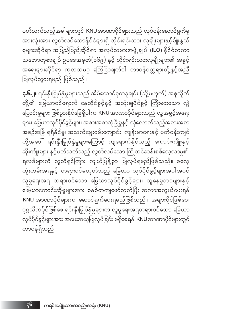**၄.၆.၂။** ရင်းနှီးမြှုပ်နှံမှုများသည် အိမ်ထောင်စုတခုချင်း (သို့မဟုတ်) အစုလိုက် တို့၏ မြေယာဝင်ရောက် နေထိုင်ခွင့်နှင့် အသုံးချပိုင်ခွင့် ကြီးမားသော လွှဲ ပြောင်းမှုများ ဖြစ်ပွားနိုင်ခြေရှိပါက KNU အာဏာပိုင်များသည် လူ့အခွင့်အရေး များ၊ မြေယာလုပ်ပိုင်ခွင့်များ၊ အစားအစာလုံခြုံမှုနှင့် လုံလောက်သည့်အစားအစာ တို့အပေါ် ရင်းနှီးမြှုပ်နှံမှုများကြောင့် ကျရောက်နိုင်သည့် ကောင်းကျိုးနှင့် ဆိုးကျိုးများ နှင့်ပတ်သက်သည့် လွတ်လပ်သော ကြိုတင်ဆန်းစစ်လေ့လာမှု၏ ္<br>ရလဒ်များကို လူသိရှင်ကြား ကျယ်ပြန့်စွာ ပြုလုပ်ရမည်ဖြစ်သည်။ ဓလေ့ ထုံးတမ်းအရနှင့် တရားဝင်မဟုတ်သည့် မြေယာ လုပ်ပိုင်ခွင့်များအပါအဝင် လူမှုရေးအရ တရားဝင်သော မြေယာလုပ်ပိုင်ခွင့်များ၊ လူနေမှုဘဝများနှင့် မြေယာတောင်းဆိုမှုများအား စနစ်တကျဖော်ထုတ်ပြီး အကာအကွယ်ပေးရန် KNU အာဏာပိုင်များက ဆောင်ရွက်ပေးရမည်ဖြစ်သည်။ အများပိုင်ဖြစ်စေ၊ ပုဂ္ဂလိကပိုင်ဖြစ်စေ ရင်းနှီးမြှုပ်နှံမှုများက လူမှုရေးအရတရားဝင်သော မြေယာ လုပ်ပိုင်ခွင့်များအား အပေးအယူပြုလုပ်ခြင်း မရှိစေရန် KNU အာဏာပိုင်များတွင် တာဝန်ရှိသည်။

ပတ်သက်သည့်အခါများတွင် KNU အာဏာပိုင်များသည် လုပ်ငန်းဆောင်ရွက်မှု အားလုံးအား လွတ်လပ်သောနိုင်ငံများရှိ တိုင်းရင်းသား လူမျိုးများနှင့်မျိုးနွယ် စုများဆိုင်ရာ အပြည်ပြည်ဆိုင်ရာ အလုပ်သမားအဖွဲ့ ချုပ် (ILO) နိုင်ငံတကာ သဘောတူစာချုပ် ဥပဒေအမှတ်(၁၆၉) နှင့် တိုင်းရင်းသားလူမျိုးများ၏ အခွင့် အရေးများဆိုင်ရာ ကုလသမဂ္ဂ ကြေငြာချက်ပါ တာဝန်ဝတ္တရားတို့နှင့်အညီ ပြုလုပ်သွားရမည် ဖြစ်သည်။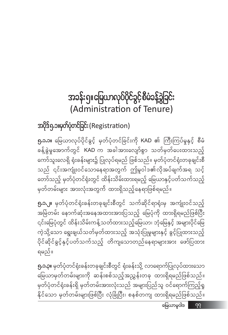# အခန်းရှ။မြေယာလုပ်ပိုင်ခွင့်စီမံခန့်ခွဲခြင်း (Administration of Tenure)

## အပိုဒ်ရှ.၁။မှတ်ပုံတင်ခြင်း (Registration)

၅.၁.၁။ မြေယာလုပ်ပိုင်ခွင့် မှတ်ပုံတင်ခြင်းကို KAD ၏ ကြီးကြပ်မှုနှင့် စီမံ -<br>ခန့်ခွဲမှုအောက်တွင် KAD က အခါအားလျော်စွာ သတ်မှတ်ပေးထားသည့် ကော်သူးလေရှိ ရုံးခန်းများ၌ ပြုလုပ်ရမည် ဖြစ်သည်။ မှတ်ပုံတင်ရုံးတခုချင်းစီ သည် ၎င်းအကျုံးဝင်သောနေရာအတွက် ဤမူဝါဒ၏လိုအပ်ချက်အရ သင့် တော်သည့် မှတ်ပုံတင်ရုံးတွင် ထိန်းသိမ်းထားရမည့် မြေယာနှင့်ပတ်သက်သည့် မှတ်တမ်းများ အားလုံးအတွက် ထားရှိသည့်နေရာဖြစ်ရမည်။

**၅.၁.၂။** မှတ်ပုံတင်ရုံးခန်းတခုချင်းစီတွင် သက်ဆိုင်ရာရုံးမှ အကျုံးဝင်သည့် အမြဲတမ်း နောက်ဆုံးအနေအထားအားပြသည့် မြေပုံကို ထားရှိရမည်ဖြစ်ပြီး ၎င်းမြေပုံတွင် ထိန်းသိမ်းကန့်သတ်ထားသည့်မြေယာ၊ ဘုံမြေနှင့် အများပိုင်မြေ ကဲ့သို့သော ရွေးချယ်သတ်မှတ်ထားသည့် အသုံးပြုမှုများနှင့် ခွင့်ပြုထားသည့် ပိုင်ဆိုင်ခွင့်နှင့်ပတ်သက်သည့် တိကျသောတည်နေရာများအား ဖော်ပြထား ရမည်။

**၅.၁.၃။** မှတ်ပုံတင်ရုံးခန်းတခုချင်းစီတွင် ရုံးခန်းသို့ လာရောက်ပြုလုပ်ထားသော မြေယာမှတ်တမ်းများကို ဆန်းစစ်သည့်အညွှန်းတခု ထားရှိရမည်ဖြစ်သည်။ မှတ်ပုံတင်ရုံးခန်းရှိ မှတ်တမ်းအားလုံးသည် အများပြည်သူ ဝင်ရောက်ကြည့်ရှု နိုင်သော မှတ်တမ်းများဖြစ်ပြီး လုံခြုံပြီး၊ စနစ်တကျ ထားရှိရမည်ဖြစ်သည်။ မြေယာမူဝါဒ  $99$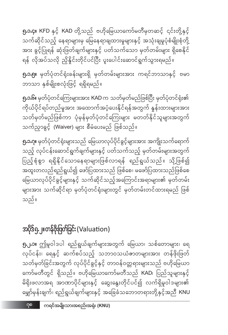**၅.၂.၁။** ဤမူဝါဒပါ ရည်ရွယ်ချက်များအတွက် မြေယာ၊ သစ်တောများ၊ ရေ လုပ်ငန်း၊ ရေနှင့် ဆက်စပ်သည့် သဘာဝသယံဇာတများအား တန်ဖိုးဖြတ် .<br>သတ်မှတ်ခြင်းအတွက် လုပ်ပိုင်ခွင့်နှင့် တာဝန်ဝတ္တရားများသည် ဗဟိုမြေယာ ကော်မတီတွင် ရှိသည်။ ဗဟိုမြေယာကော်မတီသည် KAD၊ ပြည်သူများနှင့် မိရိုးဖလာအရ အာဏာပိုင်များနှင့် ဆွေးနွေးတိုင်ပင်၍ လက်ရှိမူဝါဒများ၏ မျှော်မှန်းချက်၊ ရည်ရွယ်ချက်များနှင့် အခြေခံသဘောတရားတို့နှင့်အညီ KNU

## အပိုဒ်ရှ ၂။တန်ဗိုးဖြတ်ခြင်း (Valuation)

သည်။

**၅.၁.ဂု။** မှတ်ပုံတင်ရုံးများသည် မြေယာလုပ်ပိုင်ခွင့်များအား အကျိုးသက်ရောက် သည့် လုပ်ငန်းဆောင်ရွက်ချက်များနှင့် ပတ်သက်သည့် မှတ်တမ်းများအတွက် .<br>ပြည့်စုံစွာ ရရှိနိုင်သောနေရာများဖြစ်လာရန် ရည်ရွယ်သည်။ သို့ဖြစ်၍ အထူးတလည်ရည်ရွယ်၍ ဖော်ပြထားသည် ဖြစ်စေ၊ မဖော်ပြထားသည်ဖြစ်စေ မြေယာလုပ်ပိုင်ခွင့်များနှင့် သက်ဆိုင်သည့်အကြောင်းအရာများ၏ မှတ်တမ်း များအား သက်ဆိုင်ရာ မှတ်ပုံတင်ရုံးများတွင် မှတ်တမ်းတင်ထားရမည် ဖြစ်

**၅.၁.၆။** မှတ်ပုံတင်ကြေးများအား KAD က သတ်မှတ်မည်ဖြစ်ပြီး မှတ်ပုံတင်ရုံး၏ ကိုယ်ပိုင်ရပ်တည်မှုအား အထောက်အပံ့ပေးနိုင်ရန်အတွက် နှန်းထားများအား သတ်မှတ်မည်ဖြစ်ကာ ပုံမှန်မှတ်ပုံတင်ကြေးများ မတတ်နိုင်သူများအတွက် သက်ညှာခွင့် (Waiver) များ စီမံပေးမည် ဖြစ်သည်။

**၅.၁.၅။** မှတ်ပုံတင်ရုံးခန်းများရှိ မှတ်တမ်းများအား ကရင်ဘာသာနှင့် ဗမာ ဘာသာ နှစ်မျိုးစလုံးဖြင့် ရရှိရမည်။

**၅.၁.၄။ KFD** နှင့် KAD တို့သည် ဗဟိုမြေယာကော်မတီမှတဆင့် ၎င်းတို့နှင့် သက်ဆိုင်သည့် နေရာများမှ မြေနေရာချထားမှုများနှင့် အသုံးချမှုပုံစံမျိုးစုံတို့ အား ခွင့်ပြုရန် ဆုံးဖြတ်ချက်များနှင့် ပတ်သက်သော မှတ်တမ်းများ ရှိစေနိုင် ရန် လိုအပ်သလို ညှိနိူင်းတိုင်ပင်ပြီး ပူးပေါင်းဆောင်ရွက်သွားရမည်။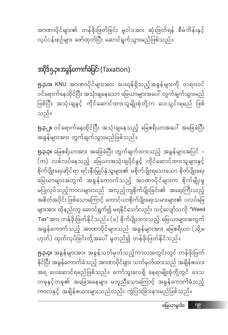**၅.၃.၄။** အခွန်များအား အခွန်သတ်မှတ်သည့်ကာလအတွင်းတွင် တန်ဖိုးဖြတ် နိုင်ပြီး အခွန်ကောက်ခံသည့် အာဏာပိုင်များ သတ်မှတ်ထားသည် အချိန်ဇယား အရ ပေးဆောင်ရမည်ဖြစ်သည်။ ကော်သူးလေရှိ နေရာမျိုးစုံတို့တွင် ဒေသ တခုနှင့်တခု၏ အခြေအနေများ မတူညီသောကြောင့် အခွန်ကောက်ခံသည့် ကာလနှင့် အချိန်ဇယားများသည်လည်း ကွဲပြားခြားနားမည်ဖြစ်သည်။

**၅.၃.၃။** မြေဧရိယာအား အခြေခံပြီး တွက်ချက်ထားသည့် အခွန်များအပြင်  $-$ (က) လစ်လပ်နေသည့် မြေယာအသုံးချပိုင်ခွင့် ကိုင်ဆောင်ထားသူများနှင့် စိုက်ပျိုးရေးဆိုင်ရာ ရင်းနှီးမြှုပ်နှံသူများ၏ မစိုက်ပျိုးရသေးသော စိုက်ပျိုးရေး မြေယာများအတွက် အခွန်ကောက်သည့် အာဏာပိုင်များက စိုက်မျိုးမှု မပြုလုပ်သည့်ကာလများသည် အလှည့်ကျစိုက်ပျိုးခြင်း၏ အရေးကြီးသည့် အစိတ်အပိုင်း ဖြစ်သောကြောင့် တောင်ယာစိုက်ပျိုးရေးသမားများ၏ ပလပ်မြေ များအား ထိုနည်းတူ ဆောင်ရွက်၍ မရနိုင်သော်လည်း သင့်လျော်သလို "Weed Tax"အား တန်ဖိုးဖြတ်နိုင်သည်။ (ခ) စိုက်ပျိုးထားသည့် မြေယာများအတွက် အခွန်ကောက်သည့် အာဏာပိုင်များသည် အခွန်များအား မြေဧရိယာ (သို့မ ဟုတ်) ထုတ်လုပ်ခြင်းတို့အပေါ် မူတည်၍ တန်ဖိုးဖြတ်နိုင်သည်။

**၅.၃.၂။** ဝင်ရောက်နေထိုင်ပြီး အသုံးချနေသည့် မြေဧရိယာအပေါ် အခြေခံပြီး အခွန်များအား တွက်ချက်သွားမည်ဖြစ်သည်။

**၅.၃.၁။** KNU အာဏာပိုင်များအား ပေးရန်ရှိသည့်အခွန်များကို တရားဝင် ဝင်ရောက်နေထိုင်ပြီး အသုံးချနေသော မြေယာများအပေါ် တွက်ချက်သွားမည် ဖြစ်ပြီး အသုံးချခွင့် ကိုင်ဆောင်ထားသူမျိုးစုံတို့က ပေးသွင်းရမည် ဖြစ် သည်။

#### အပိုဒ်ရှ.<mark>ဉ။အခွန်ကောက်ခံခြင်း (T</mark>axation)

အာဏာပိုင်များ၏ တန်ဖိုးဖြတ်ခြင်း မူဝါဒအား ဆုံးဖြတ်ရန် စီမံကိန်းနှင့် လုပ်ငန်းစဉ်များ ဖော်ထုတ်ပြီး ဆောင်ရွက်သွားမည်ဖြစ်သည်။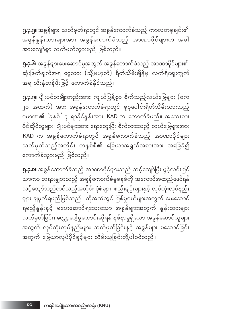**၅.၃.၅။** အခွန်များ သတ်မှတ်ရာတွင် အခွန်ကောက်ခံသည့် ကာလတခုချင်း၏ အခွန်နှုန်းထားများအား အခွန်ကောက်ခံသည့် အာဏာပိုင်များက အခါ -<br>အားလျော်စွာ သတ်မှတ်သွားမည် ဖြစ်သည်။

**၅.၃.၆။** အခွန်များပေးဆောင်မှုအတွက် အခွန်ကောက်ခံသည့် အာဏာပိုင်များ၏ ဆုံးဖြတ်ချက်အရ ငွေသား (သို့မဟုတ်) ရိတ်သိမ်းချိန်မှ လက်ရှိဈေးကွက် အရ သီးနှံတန်ဖိုးဖြင့် ကောက်ခံနိုင်သည်။

**၅.၃.၇။** ပျိုးပင်တမျိုးတည်းအား ကျယ်ပြန့်စွာ စိုက်သည့်လယ်မြေများ (ဧက ၂၀ အထက်) အား အခွန်ကောက်ခံရာတွင် စုစုပေါင်းရိတ်သိမ်းထားသည့် ပမာဏ၏ <sup>'</sup>ခုနစ်' ၇ ရာခိုင်နှုန်းအား KAD က ကောက်ခံမည်။ အသေးစား ပိုင်ဆိုင်သူများ၊ ပျိုးပင်များအား ရောထွေးပြီး စိုက်ထားသည့် လယ်မြေများအား KAD က အခွန်ကောက်ခံရာတွင် အခွန်ကောက်ခံသည့် အာဏာပိုင်များ သတ်မှတ်သည့်အတိုင်း တနှစ်စီ၏ မြေယာအရွယ်အစားအား အခြေခံ၍ ကောက်ခံသွားမည် ဖြစ်သည်။

**၅.၃.၈။** အခွန်ကောက်ခံသည့် အာဏာပိုင်များသည် သင့်လျော်ပြီး ပွင့်လင်းမြင် သာကာ တရားမျှတသည့် အခွန်ကောက်ခံမှုစနစ်ကို အကောင်အထည်ဖော်ရန် သင့်လျော်သည်ထင်သည့်အတိုင်း ပုံစံများ၊ စည်းမျဉ်းများနှင့် လုပ်ထုံးလုပ်နည်း များ ချမှတ်ရမည်ဖြစ်သည်။ ထိုအထဲတွင် ပြစ်မှုငယ်များအတွက် ပေးဆောင် ရမည့်နှန်းနှင့် မပေးဆောင်ရသေးသော အခွန်များအတွက် နှန်းထားများ သတ်မှတ်ခြင်း၊ လျှော့ပေါ့မှုတောင်းဆိုရန် နစ်နာမှုရှိသော အခွန်ဆောင်သူမျာ<mark>း</mark> .<br>အတွက် လုပ်ထုံးလုပ်နည်းများ သတ်မှတ်ခြင်းနှင့် အခွန်များ မဆောင်ခြင်း အတွက် မြေယာလုပ်ပိုင်ခွင့်များ သိမ်းယူခြင်းတို့ပါဝင်သည်။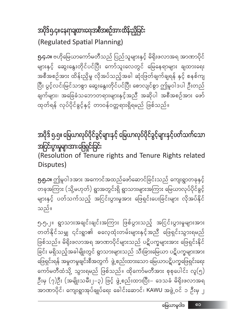#### အပိုဒ်၅.၄။ နေရာချထားရေးအစီအစဉ်အားထိန်းညှိခြင်း (Regulated Spatial Planning)

**၅.၄.၁။** ဗဟိုမြေယာကော်မတီသည် ပြည်သူများနှင့် မိရိုးဖလာအရ အာဏာပိုင် များနှင့် ဆွေးနွေးတိုင်ပင်ပြီး ကော်သူးလေတွင် မြေနေရာများ ချထားရေး အစီအစဉ်အား ထိန်းညှိမှု လိုအပ်သည့်အခါ ဆုံးဖြတ်ချက်ချရန် နှင့် စနစ်ကျ ပြီး ပွင့်လင်းမြင်သာစွာ ဆွေးနွေးတိုင်ပင်ပြီး စောလျင်စွာ ဤမူဝါဒပါ ဦးတည် ချက်များ၊ အခြေခံသဘောတရားများနှင့်အညီ အဆိုပါ အစီအစဉ်အား ဖော် ထုတ်ရန် လုပ်ပိုင်ခွင့်နှင့် တာဝန်ဝတ္တရားရှိရမည် ဖြစ်သည်။

အပိုဒ် ၅.၅။ မြေယာလုပ်ပိုင်ခွင့်များနှင့် မြေယာလုပ်ပိုင်ခွင့်များနှင့်ပတ်သက်သော အငြင်းပွားမှုများအားဖြေရှင်းခြင်း

(Resolution of Tenure rights and Tenure Rights related Disputes)

**၅.၅.၁။** ဤမူဝါဒအား အကောင်အထည်ဖော်ဆောင်ခြင်းသည် ကျေးရွာတခုနှင့် တခုအကြား (သို့မဟုတ်) ရွာအတွင်းရှိ ရွာသားများအကြား မြေယာလုပ်ပိုင်ခွင့် များနှင့် ပတ်သက်သည့် အငြင်းပွားမှုအား ဖြေရှင်းပေးခြင်းများ လိုအပ်နိုင် သည်။

၅.၅.၂။ ရွာသားအချင်းချင်းအကြား ဖြစ်ပွားသည့် အငြင်းပွားမှုများအား တတ်နိုင်သမျှ ၎င်းရွာ၏ ဓလေ့ထုံးတမ်းများနှင့်အညီ ဖြေရှင်းသွားရမည် ဖြစ်သည်။ မိရိုးဖလာအရ အာဏာပိုင်များသည် ပဋိပက္ခများအား ဖြေရှင်းနိုင် ခြင်း မရှိသည့်အခါမျိုးတွင် ရွာသားများသည် သီးခြားမြေယာ ပဋိပက္ခများအား ဖြေရှင်းရန် အမှုတမှုချင်းစီအတွက် `ဖွဲ့ စည်းထားသော မြေယာပဋိပက္ခဖြေရှင်းရေး ကော်မတီထံသို့ သွားရမည် ဖြစ်သည်။ ထိုကော်မတီအား စုစုပေါင်း လူ(၅) ဦးမှ (၇)ဦး (အမျိုးသမီး၂–၃) ဖြင့် ဖွဲ့စည်းထားပြီး– ဒေသခံ မိရိုးဖလာအရ အာဏာပိုင်၊ ကျေးရွာအုပ်ချုပ်ရေး ခေါင်းဆောင်၊ KAWU အဖွဲ့့ဝင် ၁ ဦးမှ ၂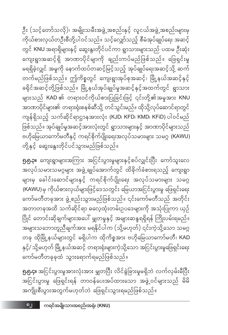**၅.၅.၄။** အငြင်းပွားမှုအားလုံးအား မျှတပြီး လိင်ခွဲခြားမှုမရှိဘဲ လက်လှမ်းမီပြီး အငြင်းပွားမှု ဖြေရှင်းရန် တာဝန်ပေးအပ်ထားသော အဖွဲ့ဝင်များသည် မိမိ အကျိုးစီးပွားအတွက်မဟုတ်ဘဲ ဖြေရှင်းသွားရမည်ဖြစ်သည်။

**၅.၅.၃။** ကျေးရွာများအကြား အငြင်းပွားမှုများနှင့်စပ်လျှင်းပြီး ကော်သူးလေ အလုပ်သမားသမဂ္ဂများ အဖွဲ့ ချုပ်အောက်တွင် ထိခိုက်ခံစားရသည့် ကျေးရွာ များမှ ခေါင်းဆောင်များနှင့် ကရင်စိုက်ပျိုးရေး အလုပ်သမားများ သမဂ္ဂ (KAWU)မှ ကိုယ်စားလှယ်များဖြင့်ဒေသတွင်း မြေယာအငြင်းပွားမှု ဖြေရှင်းရေး ကော်မတီတခုအား ဖွဲ့ စည်းသွားမည်ဖြစ်သည်။ ၎င်းကော်မတီသည် အတိုင်း အတာတခုအထိ သက်ဆိုင်ရာ ဓလေ့ထုံးတမ်းဥပဒေများကို အသုံးပြုကာ ယှဉ် ပြိုင် တောင်းဆိုချက်များအပေါ် မျှတမှုနှင့် အများဆန္ဒရရှိရန် ကြိုးပမ်းရမည်။ အများသဘောတူညီချက်အား မရနိုင်ပါက (သို့မဟုတ်) ၎င်းကဲ့သို့သော သမဂ္ဂ တခု ထိုမြို့နယ်များတွင် မရှိပါက ထိုကိစ္စအား ဗဟိုမြေယာကော်မတီ၊ KAD နှင့်/ သို့မဟုတ် မြို့နယ်အဆင့် တရားရုံးများကဲ့သို့သော အငြင်းပွားမှုဖြေရှင်းရေး ကော်မတီတခုခုထံ သွားရောက်ရမည်ဖြစ်သည်။

တို့နှင့် ဆွေးနွေးတိုင်ပင်သွားမည်ဖြစ်သည်။

ဦး (သင့်တော်သလို)၊ အမျိုးသမီးအဖွဲ့ အစည်းနှင့် လူငယ်အဖွဲ့ အစည်းများမှ \_\_<br>ကိုယ်စားလှယ်တဦးစီတို့ပါဝင်သည်။ သင့်လျှော်သည့် စီမံအုပ်ချုပ်ရေး အဆင့် တွင် KNU အရာရှိများနှင့် ဆွေးနွးတိုင်ပင်ကာ ရွာသားများသည် ပထမ ဦးဆုံး ကျေးရွာအဆင့် ရှိ အာဏာပိုင်မျာကို ချည်းကပ်မည်ဖြစ်သည်။ ဖြေရှင်းမှု မရရှိခဲ့လျှင် အမှုကို နောက်ထပ်တဆင့်မြင့်သည့် အုပ်ချုပ်ရေးအဆင့်သို့ ဆက် တက်မည်ဖြစ်သည်။ ဤကိစ္စတွင် ကျေးရွာအုပ်စုအဆင့်၊ မြို့နယ်အဆင့်နှင့် ခရိုင်အဆင့်တို့ဖြစ်သည်။ မြို့နယ်အုပ်ချုပ်မှုအဆင့်နှင့်အထက်တွင် ရွာသား များသည် KAD ၏ တရားဝင်ကိုယ်စားပြုခြင်းဖြင့် ၎င်းတို့၏အမှုအား KNU အာဏာပိုင်များ၏ တရားရုံးစနစ်ဆီသို့ တင်သွင်းမည်။ ထိုသို့လုပ်ဆောင်ရာတွင် ကျန်ရှိသည့် သက်ဆိုင်ရာဌာနအားလုံး (KJD၊ KFD၊ KMD၊ KFiD) ပါဝင်မည် ဖြစ်သည်။ အုပ်ချုပ်မှုအဆင့်အားလုံးတွင် ရွာသားများနှင့် အာဏာပိုင်များသည် ဗဟိုမြေယာကော်မတီနှင့် ကရင်စိုက်ပျိုးရေးအလုပ်သမားများ သမဂ္ဂ (KAWU)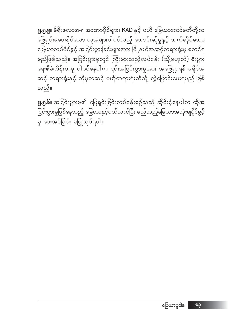၅.၅.၅။ မိရိုးဖလာအရ အာဏာပိုင်များ၊ KAD နှင့် ဗဟို မြေယာကော်မတီတို့က ဖြေရှင်းမပေးနိုင်သော လူအများပါဝင်သည့် တောင်းဆိုမှုနှင့် သက်ဆိုင်သော မြေယာလုပ်ပိုင်ခွင့် အငြင်းပွားခြင်းများအား မြို့နယ်အဆင့်တရားရုံးမှ စတင်ရ မည်ဖြစ်သည်။ အငြင်းပွားမှုတွင် ကြီးမားသည့်လုပ်ငန်း (သို့မဟုတ်) စီးပွား ရေးစီမံကိန်းတခု ပါဝင်နေပါက ၎င်းအငြင်းပွားမှုအား အဖြေရှာရန် ခရိုင်အ ဆင့် တရားရုံးနှင့် ထိုမှတဆင့် ဗဟိုတရားရုံးဆီသို့ လွှဲပြောင်းပေးရမည် ဖြစ် သည်။

 $\boldsymbol{9}$ . $\boldsymbol{6}$ ါ၊ အငြင်းပွားမှု၏ ဖြေရှင်းခြင်းလုပ်ငန်းစဉ်သည် ဆိုင်းငံ့နေပါက ထိုအ j<br>ပြင်းပွားမှုဖြစ်နေသည့် မြေယာနှင့်ပတ်သက်ပြီး မည်သည့်မြေယာအသုံးချပိုင်ခွင့် မှ ပေးအပ်ခြင်း မပြုလုပ်ရပါ။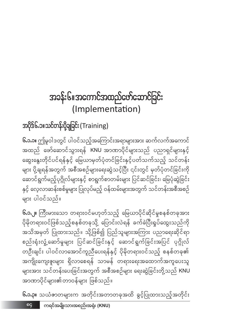# အခန်း၆။အကောင်အထည်ဖော်ဆောင်ခြင်း (Implementation)

## အပိုဒ်၆.၁။သင်တန်းပို့ချခြင်း (Training)

**၆.၁.၁။** ဤမူဝါဒတွင် ပါဝင်သည့်အကြောင်းအရာများအား ဆက်လက်အကောင် အထည် ဖော်ဆောင်သွားရန် KNU အာဏာပိုင်များသည် ပညာရှင်များနှင့် ဆွေးနွေးတိုင်ပင်ရန်နှင့် မြေယာမှတ်ပုံတင်ခြင်းနှင့်ပတ်သက်သည့် သင်တန်း များ ပို့ချရန်အတွက် အစီအစဉ်များရေးဆွဲသင့်ပြီး ၎င်းတွင် မှတ်ပုံတင်ခြင်းကို ဆောင်ရွက်မည့်ပုဂ္ဂိုလ်များနှင့် စာရွက်စာတမ်းများ ပြင်ဆင်ခြင်း၊ မြေပုံဆွဲခြင်း နှင့် လေ့လာဆန်းစစ်မှုများ ပြုလုပ်မည့် ဝန်ထမ်းများအတွက် သင်တန်းအစီအစဉ် များ ပါဝင်သည်။

**၆.၁.၂။** ကြီးမားသော တရားဝင်မဟုတ်သည့် မြေယာပိုင်ဆိုင်မှုစနစ်တခုအား .<br>ပိုမိုတရားဝင်ဖြစ်သည့်စနစ်တခုသို့ ပြောင်းလဲရန် ခက်ခဲပြီးရှုပ်ထွေးသည်ကို အသိအမှတ် ပြုထားသည်။ သို့ဖြစ်၍ ပြည်သူများအကြား ပညာရေးဆိုင်ရာ စည်းရုံးလှုံ့ဆော်မှုများ ပြင်ဆင်ခြင်းနှင့် ဆောင်ရွက်ခြင်းအပြင် ပုဂ္ဂိုလ် တဦးချင်း ပါဝင်လာအောင်ကူညီပေးရန်နှင့် ပိုမိုတရားဝင်သည့် စနစ်တခု၏ အကျိုးကျေးဇူးများ ရှိလာစေရန် သာမန် တရားရေးအထောက်အကူပေးသူ များအား သင်တန်းပေးခြင်းအတွက် အစီအစဉ်များ ရေးဆွဲခြင်းတို့သည် KNU အာဏာပိုင်များ၏တာဝန်များ ဖြစ်သည်။

**၆.၁.၃။** သယံဇာတများက အတိုင်းအတာတခုအထိ ခွင့်ပြုထားသည့်အတိုင်း

ကရင်အမျိုးသားအစည်းအရုံး (KNU) ရင္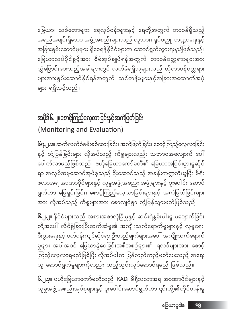**၆.၂.၃။** ဗဟိုမြေယာကော်မတီသည် KAD၊ မိရိုးဖလာအရ အာဏာပိုင်များနှင့် လူမှုအဖွဲ့ အစည်းအုပ်စုများနှင့် ပူးပေါင်းဆောင်ရွက်ကာ ၎င်းတို့၏တိုင်တန်းမှု

**၆.၂.၂။** နိုင်ငံများသည် အစားအစာလုံခြုံမှုနှင့် ဆင်းရဲနွမ်းပါးမှု ပပျောက်ခြင်း တို့အပေါ် လိင်ခွဲခြားပြီးဆက်ဆံမှု၏ အကျိုးသက်ရောက်မှုများနှင့် လူမှုရေး၊ စီးပွားရေးနှင့် ပတ်ဝန်းကျင်ဆိုင်ရာ ဦးတည်ချက်များအပေါ် အကျိုးသက်ရောက် မှုများ အပါအဝင် မြေယာခွဲဝေခြင်းအစီအစဉ်များ၏ ရလဒ်များအား စောင့် ကြည့်လေ့လာရမည်ဖြစ်ပြီး လိုအပ်ပါက ပြန်လည်တည့်မတ်ပေးသည့် အရေး ယူ ဆောင်ရွက်မှုများကိုလည်း ထည့်သွင်းလုပ်ဆောင်ရမည် ဖြစ်သည်။

**၆ဂု<sub>ပ</sub>,ာ။** ဆက်လက်စုံစမ်းစစ်ဆေးခြင်း၊ အကဲဖြတ်ခြင်း၊ စောင့်ကြည့်လေ့လာခြင်း နှင့် တုံ့ပြန်ခြင်းများ လိုအပ်သည့် ကိစ္စများလည်း သဘာဝအလျောက် ပေါ် ပေါက်လာမည်ဖြစ်သည်။ ဗဟိုမြေယာကော်မတီ၏ မြေယာအငြင်းပွားမှုဆိုင် ရာ အလုပ်အမှုဆောင်အုပ်စုသည် ဦးဆောင်သည့် အခန်းကဏ္ဍကိုယူပြီး မိရိုး ဖလာအရ အာဏာပိုင်များနှင့် လူမှုအဖွဲ့ အစည်း အဖွဲ့ များနှင့် ပူးပေါင်း ဆောင် ရွက်ကာ ဖြေရှင်းခြင်း၊ စောင့်ကြည့်လေ့လာခြင်းများနှင့် အကဲဖြတ်ခြင်းများ အား လိုအပ်သည့် ကိစ္စများအား စောလျင်စွာ တုံ့ပြန်သွားမည်ဖြစ်သည်။

#### အပိုဒ်၆.၂။ စောင့်ကြည့်လေ့လာခြင်းနှင့် အကဲဖြတ်ခြင်း (Monitoring and Evaluation)

မြေယာ၊ သစ်တောများ၊ ရေလုပ်ငန်းများနှင့် ရေတို့အတွက် တာဝန်ရှိသည့် အရည်အချင်းရှိသော အဖွဲ့ အစည်းများသည် လူသား၊ ရုပ်ဝတ္ထု၊ ဘဏ္ဍာရေးနှင့် .<br>အခြားစွမ်းဆောင်မှုများ ရှိစေရန်နိုင်ငံများက ဆောင်ရွက်သွားရမည်ဖြစ်သည်။ မြေယာလုပ်ပိုင်ခွင့်အား စီမံအုပ်ချုပ်ရန်အတွက် တာဝန်ဝတ္တရားများအား လွှဲပြောင်းပေးသည့်အခါများတွင် လက်ခံရရှိသူများသည် ထိုတာဝန်ဝတ္တရား များအားစွမ်းဆောင်နိုင်ရန်အတွက် သင်တန်းများနှင့်အခြားအထောက်အပံ့ များ ရရှိသင့်သည်။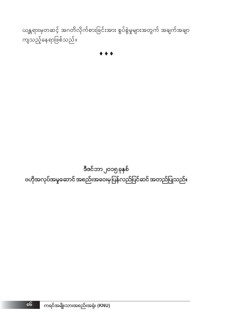ဒီဇင်ဘာ၂၀၁၅ <mark>ခုနှစ်</mark> ဗဟိုအလုပ်အမှုဆောင် အစည်းအဝေးမှပြန်လည်ပြင်ဆင် အတည်ပြုသည်။

 $\bullet\bullet$ 

ယန္တရားမှတဆင့် အဂတိလိုက်စားခြင်းအား စွပ်စွဲမှုများအတွက် အချက်အချာ ကျသည့်နေရာဖြစ်သည်။

၈၆